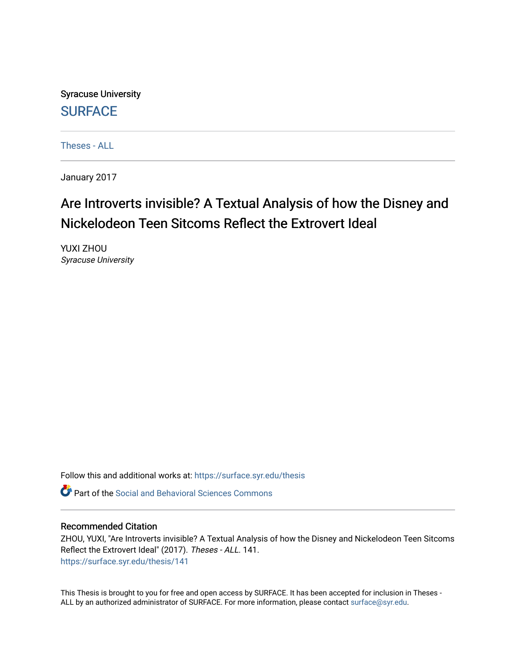Syracuse University **[SURFACE](https://surface.syr.edu/)** 

[Theses - ALL](https://surface.syr.edu/thesis)

January 2017

## Are Introverts invisible? A Textual Analysis of how the Disney and Nickelodeon Teen Sitcoms Reflect the Extrovert Ideal

YUXI ZHOU Syracuse University

Follow this and additional works at: [https://surface.syr.edu/thesis](https://surface.syr.edu/thesis?utm_source=surface.syr.edu%2Fthesis%2F141&utm_medium=PDF&utm_campaign=PDFCoverPages)

Part of the [Social and Behavioral Sciences Commons](http://network.bepress.com/hgg/discipline/316?utm_source=surface.syr.edu%2Fthesis%2F141&utm_medium=PDF&utm_campaign=PDFCoverPages) 

#### Recommended Citation

ZHOU, YUXI, "Are Introverts invisible? A Textual Analysis of how the Disney and Nickelodeon Teen Sitcoms Reflect the Extrovert Ideal" (2017). Theses - ALL. 141. [https://surface.syr.edu/thesis/141](https://surface.syr.edu/thesis/141?utm_source=surface.syr.edu%2Fthesis%2F141&utm_medium=PDF&utm_campaign=PDFCoverPages)

This Thesis is brought to you for free and open access by SURFACE. It has been accepted for inclusion in Theses - ALL by an authorized administrator of SURFACE. For more information, please contact [surface@syr.edu](mailto:surface@syr.edu).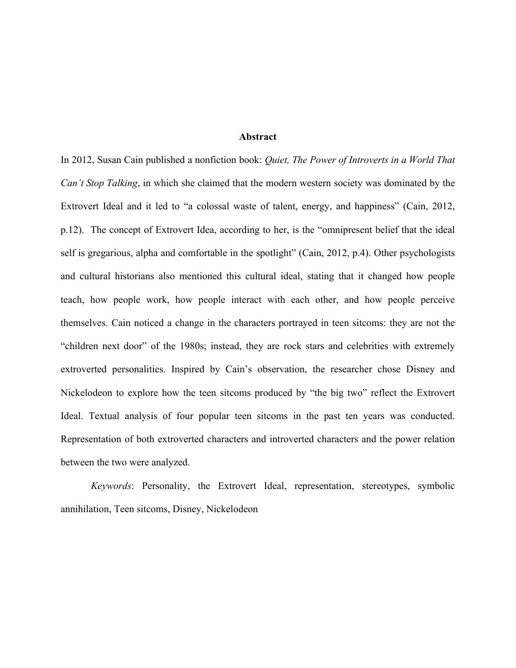#### **Abstract**

In 2012, Susan Cain published a nonfiction book: *Quiet, The Power of Introverts in a World That Can't Stop Talking*, in which she claimed that the modern western society was dominated by the Extrovert Ideal and it led to "a colossal waste of talent, energy, and happiness" (Cain, 2012, p.12). The concept of Extrovert Idea, according to her, is the "omnipresent belief that the ideal self is gregarious, alpha and comfortable in the spotlight" (Cain, 2012, p.4). Other psychologists and cultural historians also mentioned this cultural ideal, stating that it changed how people teach, how people work, how people interact with each other, and how people perceive themselves. Cain noticed a change in the characters portrayed in teen sitcoms: they are not the "children next door" of the 1980s; instead, they are rock stars and celebrities with extremely extroverted personalities. Inspired by Cain's observation, the researcher chose Disney and Nickelodeon to explore how the teen sitcoms produced by "the big two" reflect the Extrovert Ideal. Textual analysis of four popular teen sitcoms in the past ten years was conducted. Representation of both extroverted characters and introverted characters and the power relation between the two were analyzed.

 *Keywords*: Personality, the Extrovert Ideal, representation, stereotypes, symbolic annihilation, Teen sitcoms, Disney, Nickelodeon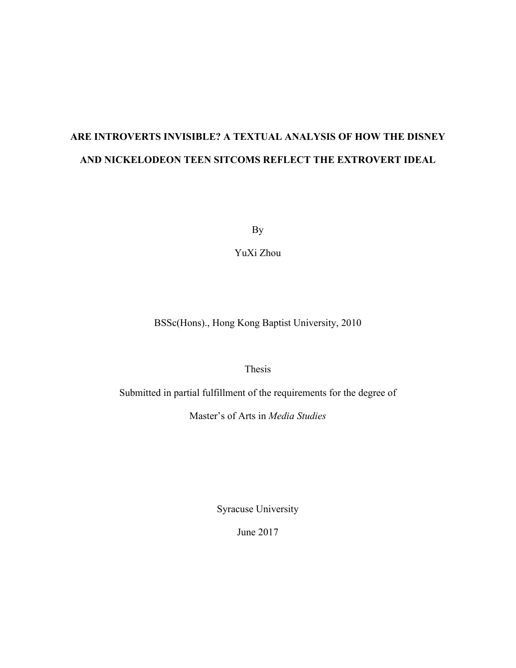# **ARE INTROVERTS INVISIBLE? A TEXTUAL ANALYSIS OF HOW THE DISNEY AND NICKELODEON TEEN SITCOMS REFLECT THE EXTROVERT IDEAL**

By

YuXi Zhou

BSSc(Hons)., Hong Kong Baptist University, 2010

Thesis

Submitted in partial fulfillment of the requirements for the degree of

Master's of Arts in *Media Studies*

Syracuse University

June 2017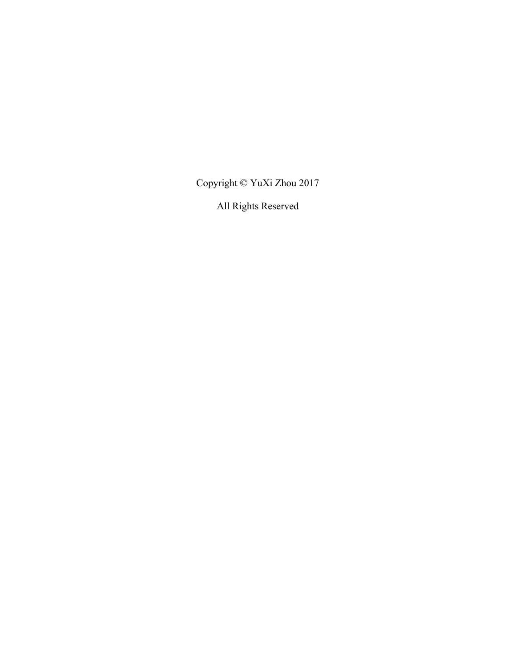Copyright © YuXi Zhou 2017

All Rights Reserved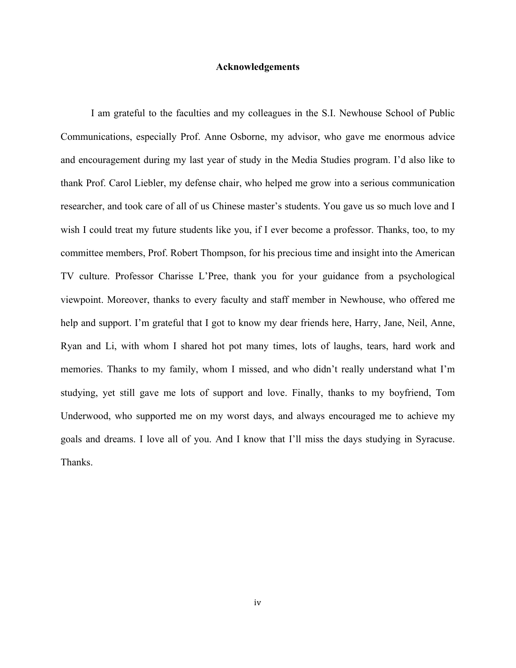#### **Acknowledgements**

I am grateful to the faculties and my colleagues in the S.I. Newhouse School of Public Communications, especially Prof. Anne Osborne, my advisor, who gave me enormous advice and encouragement during my last year of study in the Media Studies program. I'd also like to thank Prof. Carol Liebler, my defense chair, who helped me grow into a serious communication researcher, and took care of all of us Chinese master's students. You gave us so much love and I wish I could treat my future students like you, if I ever become a professor. Thanks, too, to my committee members, Prof. Robert Thompson, for his precious time and insight into the American TV culture. Professor Charisse L'Pree, thank you for your guidance from a psychological viewpoint. Moreover, thanks to every faculty and staff member in Newhouse, who offered me help and support. I'm grateful that I got to know my dear friends here, Harry, Jane, Neil, Anne, Ryan and Li, with whom I shared hot pot many times, lots of laughs, tears, hard work and memories. Thanks to my family, whom I missed, and who didn't really understand what I'm studying, yet still gave me lots of support and love. Finally, thanks to my boyfriend, Tom Underwood, who supported me on my worst days, and always encouraged me to achieve my goals and dreams. I love all of you. And I know that I'll miss the days studying in Syracuse. Thanks.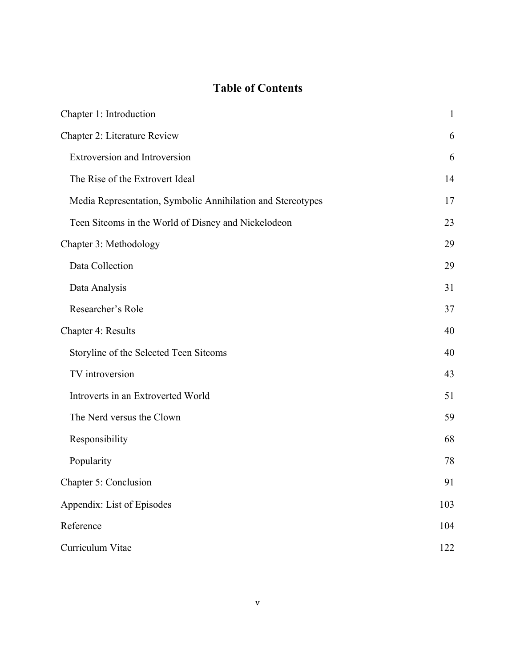### **Table of Contents**

| Chapter 1: Introduction                                     | $\mathbf{1}$ |
|-------------------------------------------------------------|--------------|
| Chapter 2: Literature Review                                | 6            |
| <b>Extroversion and Introversion</b>                        | 6            |
| The Rise of the Extrovert Ideal                             | 14           |
| Media Representation, Symbolic Annihilation and Stereotypes | 17           |
| Teen Sitcoms in the World of Disney and Nickelodeon         | 23           |
| Chapter 3: Methodology                                      | 29           |
| Data Collection                                             | 29           |
| Data Analysis                                               | 31           |
| Researcher's Role                                           | 37           |
| Chapter 4: Results                                          | 40           |
| Storyline of the Selected Teen Sitcoms                      | 40           |
| TV introversion                                             | 43           |
| Introverts in an Extroverted World                          | 51           |
| The Nerd versus the Clown                                   | 59           |
| Responsibility                                              | 68           |
| Popularity                                                  | 78           |
| Chapter 5: Conclusion                                       | 91           |
| Appendix: List of Episodes                                  | 103          |
| Reference                                                   | 104          |
| Curriculum Vitae                                            | 122          |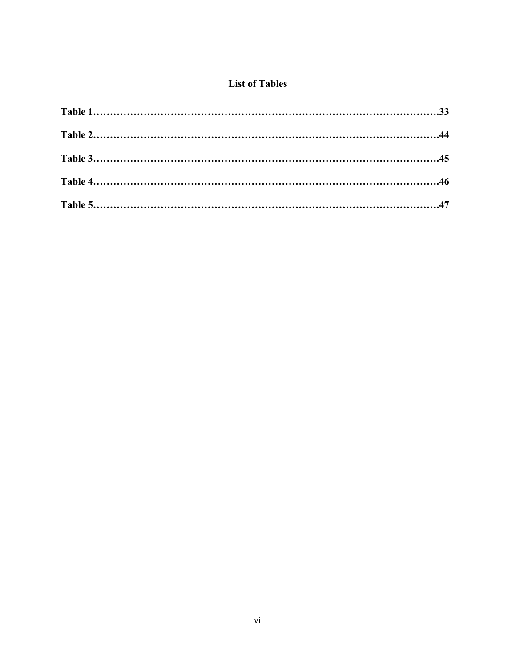### **List of Tables**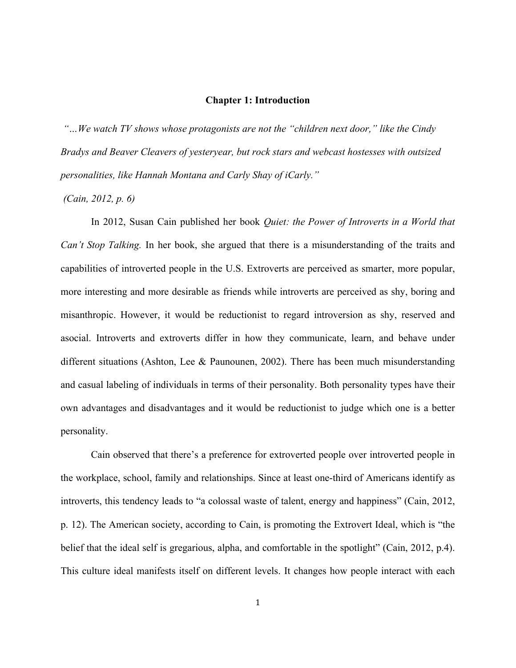#### **Chapter 1: Introduction**

*"…We watch TV shows whose protagonists are not the "children next door," like the Cindy Bradys and Beaver Cleavers of yesteryear, but rock stars and webcast hostesses with outsized personalities, like Hannah Montana and Carly Shay of iCarly."*

*(Cain, 2012, p. 6)* 

In 2012, Susan Cain published her book *Quiet: the Power of Introverts in a World that Can't Stop Talking.* In her book, she argued that there is a misunderstanding of the traits and capabilities of introverted people in the U.S. Extroverts are perceived as smarter, more popular, more interesting and more desirable as friends while introverts are perceived as shy, boring and misanthropic. However, it would be reductionist to regard introversion as shy, reserved and asocial. Introverts and extroverts differ in how they communicate, learn, and behave under different situations (Ashton, Lee & Paunounen, 2002). There has been much misunderstanding and casual labeling of individuals in terms of their personality. Both personality types have their own advantages and disadvantages and it would be reductionist to judge which one is a better personality.

Cain observed that there's a preference for extroverted people over introverted people in the workplace, school, family and relationships. Since at least one-third of Americans identify as introverts, this tendency leads to "a colossal waste of talent, energy and happiness" (Cain, 2012, p. 12). The American society, according to Cain, is promoting the Extrovert Ideal, which is "the belief that the ideal self is gregarious, alpha, and comfortable in the spotlight" (Cain, 2012, p.4). This culture ideal manifests itself on different levels. It changes how people interact with each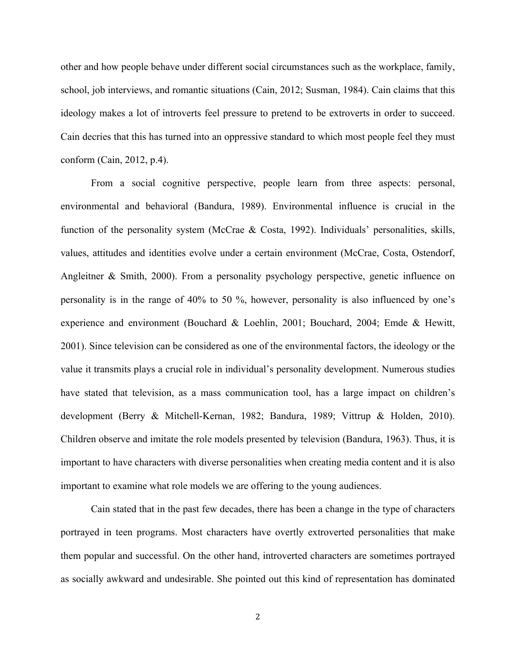other and how people behave under different social circumstances such as the workplace, family, school, job interviews, and romantic situations (Cain, 2012; Susman, 1984). Cain claims that this ideology makes a lot of introverts feel pressure to pretend to be extroverts in order to succeed. Cain decries that this has turned into an oppressive standard to which most people feel they must conform (Cain, 2012, p.4).

From a social cognitive perspective, people learn from three aspects: personal, environmental and behavioral (Bandura, 1989). Environmental influence is crucial in the function of the personality system (McCrae & Costa, 1992). Individuals' personalities, skills, values, attitudes and identities evolve under a certain environment (McCrae, Costa, Ostendorf, Angleitner & Smith, 2000). From a personality psychology perspective, genetic influence on personality is in the range of 40% to 50 %, however, personality is also influenced by one's experience and environment (Bouchard & Loehlin, 2001; Bouchard, 2004; Emde & Hewitt, 2001). Since television can be considered as one of the environmental factors, the ideology or the value it transmits plays a crucial role in individual's personality development. Numerous studies have stated that television, as a mass communication tool, has a large impact on children's development (Berry & Mitchell-Kernan, 1982; Bandura, 1989; Vittrup & Holden, 2010). Children observe and imitate the role models presented by television (Bandura, 1963). Thus, it is important to have characters with diverse personalities when creating media content and it is also important to examine what role models we are offering to the young audiences.

Cain stated that in the past few decades, there has been a change in the type of characters portrayed in teen programs. Most characters have overtly extroverted personalities that make them popular and successful. On the other hand, introverted characters are sometimes portrayed as socially awkward and undesirable. She pointed out this kind of representation has dominated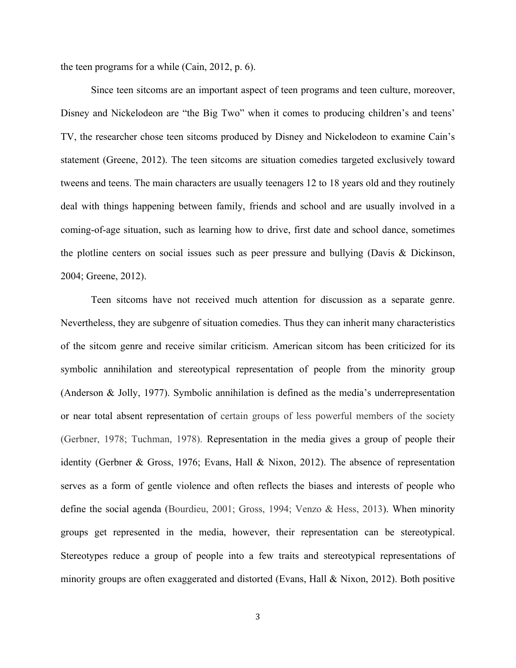the teen programs for a while (Cain, 2012, p. 6).

Since teen sitcoms are an important aspect of teen programs and teen culture, moreover, Disney and Nickelodeon are "the Big Two" when it comes to producing children's and teens' TV, the researcher chose teen sitcoms produced by Disney and Nickelodeon to examine Cain's statement (Greene, 2012). The teen sitcoms are situation comedies targeted exclusively toward tweens and teens. The main characters are usually teenagers 12 to 18 years old and they routinely deal with things happening between family, friends and school and are usually involved in a coming-of-age situation, such as learning how to drive, first date and school dance, sometimes the plotline centers on social issues such as peer pressure and bullying (Davis & Dickinson, 2004; Greene, 2012).

Teen sitcoms have not received much attention for discussion as a separate genre. Nevertheless, they are subgenre of situation comedies. Thus they can inherit many characteristics of the sitcom genre and receive similar criticism. American sitcom has been criticized for its symbolic annihilation and stereotypical representation of people from the minority group (Anderson & Jolly, 1977). Symbolic annihilation is defined as the media's underrepresentation or near total absent representation of certain groups of less powerful members of the society (Gerbner, 1978; Tuchman, 1978). Representation in the media gives a group of people their identity (Gerbner & Gross, 1976; Evans, Hall & Nixon, 2012). The absence of representation serves as a form of gentle violence and often reflects the biases and interests of people who define the social agenda (Bourdieu, 2001; Gross, 1994; Venzo & Hess, 2013). When minority groups get represented in the media, however, their representation can be stereotypical. Stereotypes reduce a group of people into a few traits and stereotypical representations of minority groups are often exaggerated and distorted (Evans, Hall & Nixon, 2012). Both positive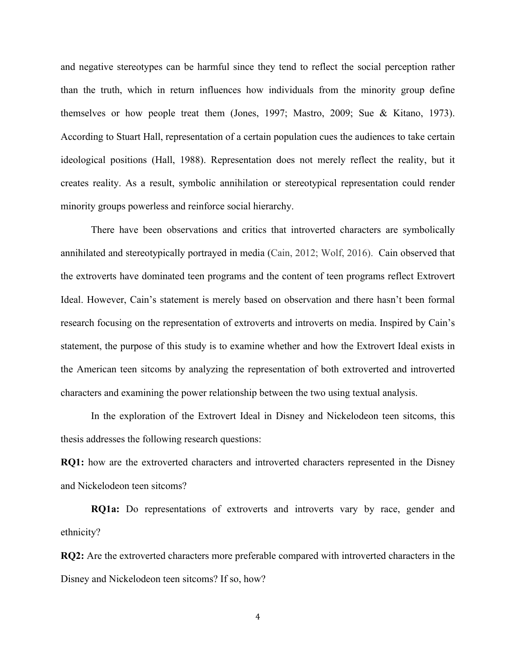and negative stereotypes can be harmful since they tend to reflect the social perception rather than the truth, which in return influences how individuals from the minority group define themselves or how people treat them (Jones, 1997; Mastro, 2009; Sue & Kitano, 1973). According to Stuart Hall, representation of a certain population cues the audiences to take certain ideological positions (Hall, 1988). Representation does not merely reflect the reality, but it creates reality. As a result, symbolic annihilation or stereotypical representation could render minority groups powerless and reinforce social hierarchy.

There have been observations and critics that introverted characters are symbolically annihilated and stereotypically portrayed in media (Cain, 2012; Wolf, 2016). Cain observed that the extroverts have dominated teen programs and the content of teen programs reflect Extrovert Ideal. However, Cain's statement is merely based on observation and there hasn't been formal research focusing on the representation of extroverts and introverts on media. Inspired by Cain's statement, the purpose of this study is to examine whether and how the Extrovert Ideal exists in the American teen sitcoms by analyzing the representation of both extroverted and introverted characters and examining the power relationship between the two using textual analysis.

In the exploration of the Extrovert Ideal in Disney and Nickelodeon teen sitcoms, this thesis addresses the following research questions:

**RQ1:** how are the extroverted characters and introverted characters represented in the Disney and Nickelodeon teen sitcoms?

 **RQ1a:** Do representations of extroverts and introverts vary by race, gender and ethnicity?

**RQ2:** Are the extroverted characters more preferable compared with introverted characters in the Disney and Nickelodeon teen sitcoms? If so, how?

4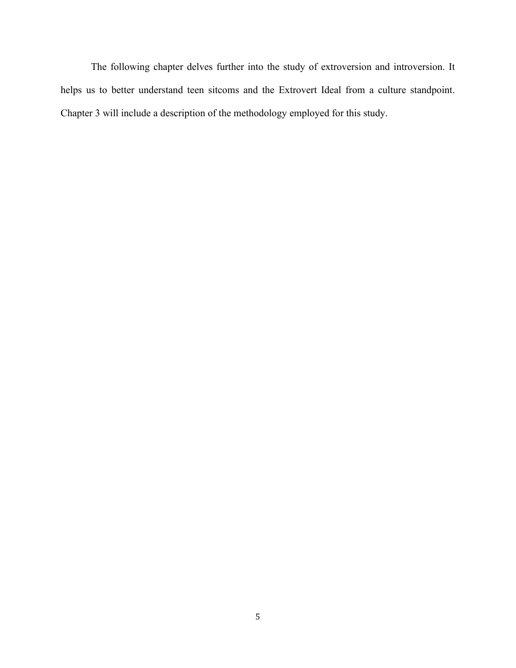The following chapter delves further into the study of extroversion and introversion. It helps us to better understand teen sitcoms and the Extrovert Ideal from a culture standpoint. Chapter 3 will include a description of the methodology employed for this study.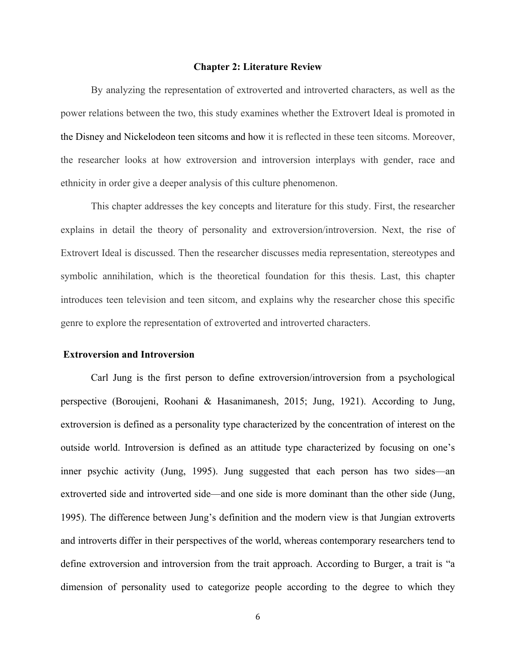#### **Chapter 2: Literature Review**

By analyzing the representation of extroverted and introverted characters, as well as the power relations between the two, this study examines whether the Extrovert Ideal is promoted in the Disney and Nickelodeon teen sitcoms and how it is reflected in these teen sitcoms. Moreover, the researcher looks at how extroversion and introversion interplays with gender, race and ethnicity in order give a deeper analysis of this culture phenomenon.

This chapter addresses the key concepts and literature for this study. First, the researcher explains in detail the theory of personality and extroversion/introversion. Next, the rise of Extrovert Ideal is discussed. Then the researcher discusses media representation, stereotypes and symbolic annihilation, which is the theoretical foundation for this thesis. Last, this chapter introduces teen television and teen sitcom, and explains why the researcher chose this specific genre to explore the representation of extroverted and introverted characters.

#### **Extroversion and Introversion**

Carl Jung is the first person to define extroversion/introversion from a psychological perspective (Boroujeni, Roohani & Hasanimanesh, 2015; Jung, 1921). According to Jung, extroversion is defined as a personality type characterized by the concentration of interest on the outside world. Introversion is defined as an attitude type characterized by focusing on one's inner psychic activity (Jung, 1995). Jung suggested that each person has two sides—an extroverted side and introverted side—and one side is more dominant than the other side (Jung, 1995). The difference between Jung's definition and the modern view is that Jungian extroverts and introverts differ in their perspectives of the world, whereas contemporary researchers tend to define extroversion and introversion from the trait approach. According to Burger, a trait is "a dimension of personality used to categorize people according to the degree to which they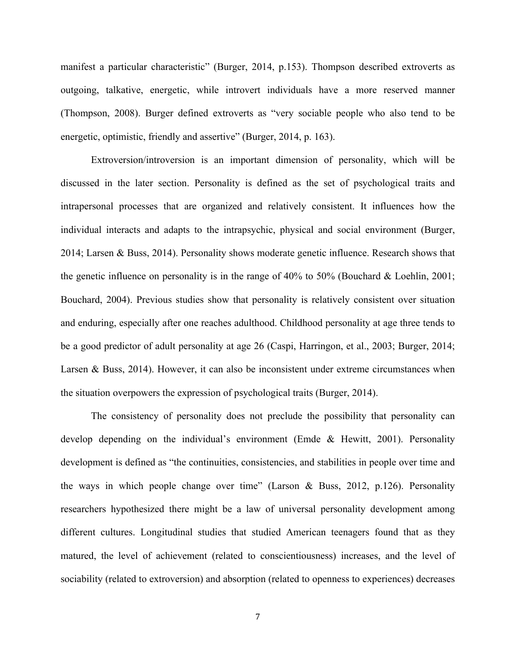manifest a particular characteristic" (Burger, 2014, p.153). Thompson described extroverts as outgoing, talkative, energetic, while introvert individuals have a more reserved manner (Thompson, 2008). Burger defined extroverts as "very sociable people who also tend to be energetic, optimistic, friendly and assertive" (Burger, 2014, p. 163).

Extroversion/introversion is an important dimension of personality, which will be discussed in the later section. Personality is defined as the set of psychological traits and intrapersonal processes that are organized and relatively consistent. It influences how the individual interacts and adapts to the intrapsychic, physical and social environment (Burger, 2014; Larsen & Buss, 2014). Personality shows moderate genetic influence. Research shows that the genetic influence on personality is in the range of 40% to 50% (Bouchard & Loehlin, 2001; Bouchard, 2004). Previous studies show that personality is relatively consistent over situation and enduring, especially after one reaches adulthood. Childhood personality at age three tends to be a good predictor of adult personality at age 26 (Caspi, Harringon, et al., 2003; Burger, 2014; Larsen & Buss, 2014). However, it can also be inconsistent under extreme circumstances when the situation overpowers the expression of psychological traits (Burger, 2014).

The consistency of personality does not preclude the possibility that personality can develop depending on the individual's environment (Emde & Hewitt, 2001). Personality development is defined as "the continuities, consistencies, and stabilities in people over time and the ways in which people change over time" (Larson & Buss, 2012, p.126). Personality researchers hypothesized there might be a law of universal personality development among different cultures. Longitudinal studies that studied American teenagers found that as they matured, the level of achievement (related to conscientiousness) increases, and the level of sociability (related to extroversion) and absorption (related to openness to experiences) decreases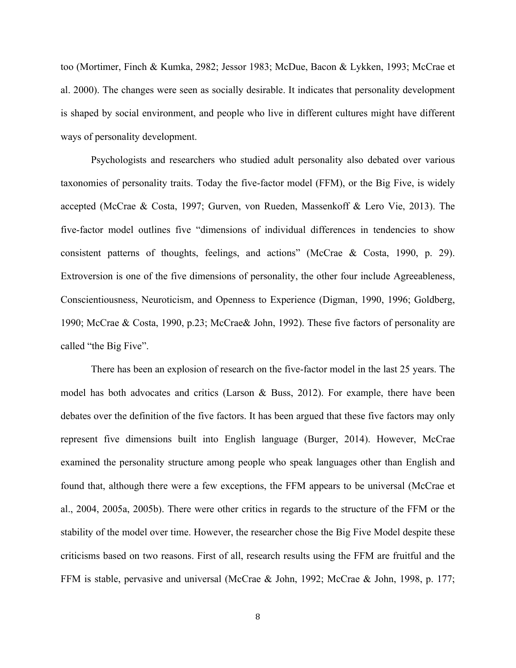too (Mortimer, Finch & Kumka, 2982; Jessor 1983; McDue, Bacon & Lykken, 1993; McCrae et al. 2000). The changes were seen as socially desirable. It indicates that personality development is shaped by social environment, and people who live in different cultures might have different ways of personality development.

Psychologists and researchers who studied adult personality also debated over various taxonomies of personality traits. Today the five-factor model (FFM), or the Big Five, is widely accepted (McCrae & Costa, 1997; Gurven, von Rueden, Massenkoff & Lero Vie, 2013). The five-factor model outlines five "dimensions of individual differences in tendencies to show consistent patterns of thoughts, feelings, and actions" (McCrae & Costa, 1990, p. 29). Extroversion is one of the five dimensions of personality, the other four include Agreeableness, Conscientiousness, Neuroticism, and Openness to Experience (Digman, 1990, 1996; Goldberg, 1990; McCrae & Costa, 1990, p.23; McCrae& John, 1992). These five factors of personality are called "the Big Five".

There has been an explosion of research on the five-factor model in the last 25 years. The model has both advocates and critics (Larson & Buss, 2012). For example, there have been debates over the definition of the five factors. It has been argued that these five factors may only represent five dimensions built into English language (Burger, 2014). However, McCrae examined the personality structure among people who speak languages other than English and found that, although there were a few exceptions, the FFM appears to be universal (McCrae et al., 2004, 2005a, 2005b). There were other critics in regards to the structure of the FFM or the stability of the model over time. However, the researcher chose the Big Five Model despite these criticisms based on two reasons. First of all, research results using the FFM are fruitful and the FFM is stable, pervasive and universal (McCrae & John, 1992; McCrae & John, 1998, p. 177;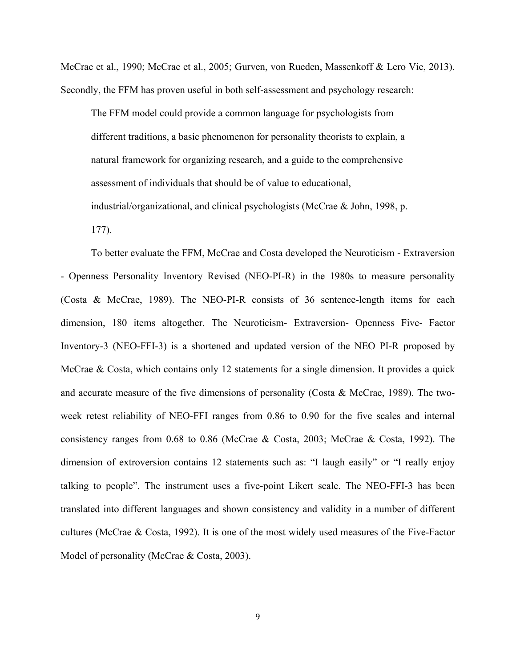McCrae et al., 1990; McCrae et al., 2005; Gurven, von Rueden, Massenkoff & Lero Vie, 2013). Secondly, the FFM has proven useful in both self-assessment and psychology research:

The FFM model could provide a common language for psychologists from different traditions, a basic phenomenon for personality theorists to explain, a natural framework for organizing research, and a guide to the comprehensive assessment of individuals that should be of value to educational, industrial/organizational, and clinical psychologists (McCrae & John, 1998, p.

177).

To better evaluate the FFM, McCrae and Costa developed the Neuroticism - Extraversion - Openness Personality Inventory Revised (NEO-PI-R) in the 1980s to measure personality (Costa & McCrae, 1989). The NEO-PI-R consists of 36 sentence-length items for each dimension, 180 items altogether. The Neuroticism- Extraversion- Openness Five- Factor Inventory-3 (NEO-FFI-3) is a shortened and updated version of the NEO PI-R proposed by McCrae & Costa, which contains only 12 statements for a single dimension. It provides a quick and accurate measure of the five dimensions of personality (Costa & McCrae, 1989). The twoweek retest reliability of NEO-FFI ranges from 0.86 to 0.90 for the five scales and internal consistency ranges from 0.68 to 0.86 (McCrae & Costa, 2003; McCrae & Costa, 1992). The dimension of extroversion contains 12 statements such as: "I laugh easily" or "I really enjoy talking to people". The instrument uses a five-point Likert scale. The NEO-FFI-3 has been translated into different languages and shown consistency and validity in a number of different cultures (McCrae & Costa, 1992). It is one of the most widely used measures of the Five-Factor Model of personality (McCrae & Costa, 2003).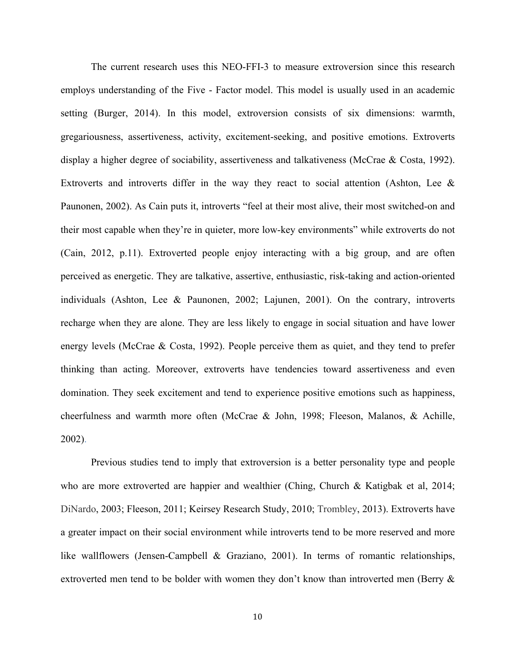The current research uses this NEO-FFI-3 to measure extroversion since this research employs understanding of the Five - Factor model. This model is usually used in an academic setting (Burger, 2014). In this model, extroversion consists of six dimensions: warmth, gregariousness, assertiveness, activity, excitement-seeking, and positive emotions. Extroverts display a higher degree of sociability, assertiveness and talkativeness (McCrae & Costa, 1992). Extroverts and introverts differ in the way they react to social attention (Ashton, Lee  $\&$ Paunonen, 2002). As Cain puts it, introverts "feel at their most alive, their most switched-on and their most capable when they're in quieter, more low-key environments" while extroverts do not (Cain, 2012, p.11). Extroverted people enjoy interacting with a big group, and are often perceived as energetic. They are talkative, assertive, enthusiastic, risk-taking and action-oriented individuals (Ashton, Lee & Paunonen, 2002; Lajunen, 2001). On the contrary, introverts recharge when they are alone. They are less likely to engage in social situation and have lower energy levels (McCrae & Costa, 1992). People perceive them as quiet, and they tend to prefer thinking than acting. Moreover, extroverts have tendencies toward assertiveness and even domination. They seek excitement and tend to experience positive emotions such as happiness, cheerfulness and warmth more often (McCrae & John, 1998; Fleeson, Malanos, & Achille, 2002).

Previous studies tend to imply that extroversion is a better personality type and people who are more extroverted are happier and wealthier (Ching, Church & Katigbak et al, 2014; DiNardo, 2003; Fleeson, 2011; Keirsey Research Study, 2010; Trombley, 2013). Extroverts have a greater impact on their social environment while introverts tend to be more reserved and more like wallflowers (Jensen-Campbell & Graziano, 2001). In terms of romantic relationships, extroverted men tend to be bolder with women they don't know than introverted men (Berry &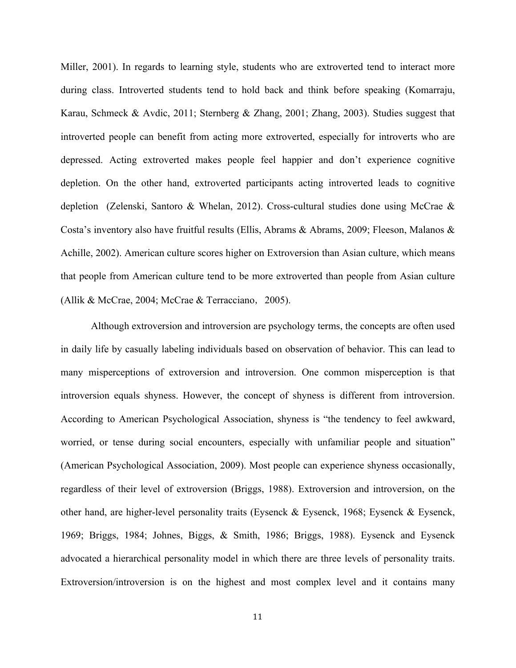Miller, 2001). In regards to learning style, students who are extroverted tend to interact more during class. Introverted students tend to hold back and think before speaking (Komarraju, Karau, Schmeck & Avdic, 2011; Sternberg & Zhang, 2001; Zhang, 2003). Studies suggest that introverted people can benefit from acting more extroverted, especially for introverts who are depressed. Acting extroverted makes people feel happier and don't experience cognitive depletion. On the other hand, extroverted participants acting introverted leads to cognitive depletion (Zelenski, Santoro & Whelan, 2012). Cross-cultural studies done using McCrae & Costa's inventory also have fruitful results (Ellis, Abrams & Abrams, 2009; Fleeson, Malanos & Achille, 2002). American culture scores higher on Extroversion than Asian culture, which means that people from American culture tend to be more extroverted than people from Asian culture (Allik & McCrae, 2004; McCrae & Terracciano, 2005).

Although extroversion and introversion are psychology terms, the concepts are often used in daily life by casually labeling individuals based on observation of behavior. This can lead to many misperceptions of extroversion and introversion. One common misperception is that introversion equals shyness. However, the concept of shyness is different from introversion. According to American Psychological Association, shyness is "the tendency to feel awkward, worried, or tense during social encounters, especially with unfamiliar people and situation" (American Psychological Association, 2009). Most people can experience shyness occasionally, regardless of their level of extroversion (Briggs, 1988). Extroversion and introversion, on the other hand, are higher-level personality traits (Eysenck & Eysenck, 1968; Eysenck & Eysenck, 1969; Briggs, 1984; Johnes, Biggs, & Smith, 1986; Briggs, 1988). Eysenck and Eysenck advocated a hierarchical personality model in which there are three levels of personality traits. Extroversion/introversion is on the highest and most complex level and it contains many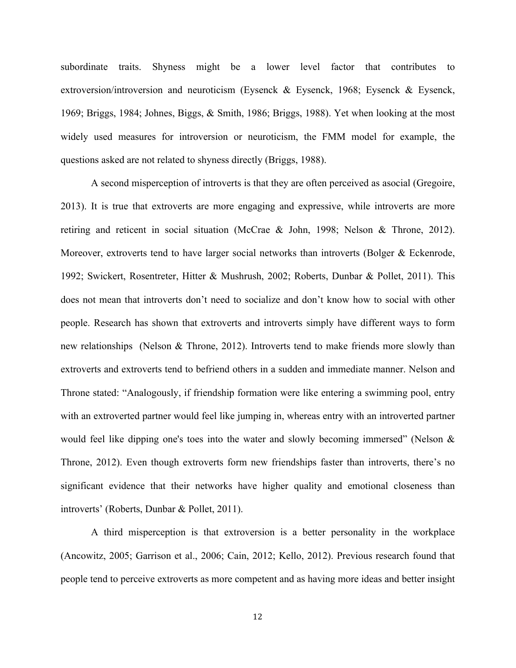subordinate traits. Shyness might be a lower level factor that contributes to extroversion/introversion and neuroticism (Eysenck & Eysenck, 1968; Eysenck & Eysenck, 1969; Briggs, 1984; Johnes, Biggs, & Smith, 1986; Briggs, 1988). Yet when looking at the most widely used measures for introversion or neuroticism, the FMM model for example, the questions asked are not related to shyness directly (Briggs, 1988).

A second misperception of introverts is that they are often perceived as asocial (Gregoire, 2013). It is true that extroverts are more engaging and expressive, while introverts are more retiring and reticent in social situation (McCrae & John, 1998; Nelson & Throne, 2012). Moreover, extroverts tend to have larger social networks than introverts (Bolger & Eckenrode, 1992; Swickert, Rosentreter, Hitter & Mushrush, 2002; Roberts, Dunbar & Pollet, 2011). This does not mean that introverts don't need to socialize and don't know how to social with other people. Research has shown that extroverts and introverts simply have different ways to form new relationships (Nelson & Throne, 2012). Introverts tend to make friends more slowly than extroverts and extroverts tend to befriend others in a sudden and immediate manner. Nelson and Throne stated: "Analogously, if friendship formation were like entering a swimming pool, entry with an extroverted partner would feel like jumping in, whereas entry with an introverted partner would feel like dipping one's toes into the water and slowly becoming immersed" (Nelson  $\&$ Throne, 2012). Even though extroverts form new friendships faster than introverts, there's no significant evidence that their networks have higher quality and emotional closeness than introverts' (Roberts, Dunbar & Pollet, 2011).

A third misperception is that extroversion is a better personality in the workplace (Ancowitz, 2005; Garrison et al., 2006; Cain, 2012; Kello, 2012). Previous research found that people tend to perceive extroverts as more competent and as having more ideas and better insight

12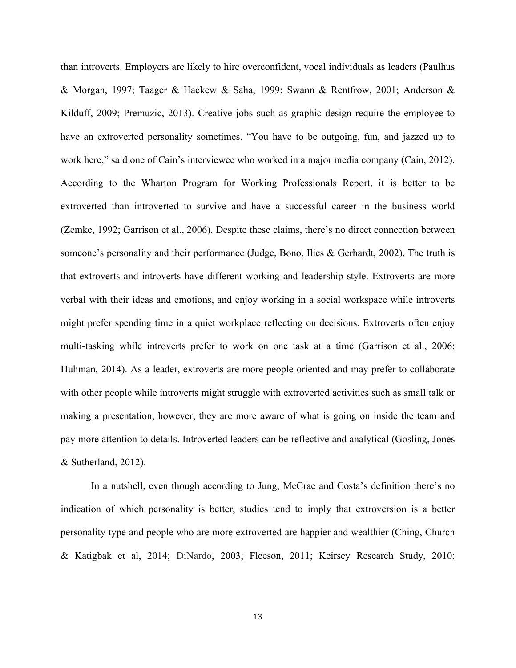than introverts. Employers are likely to hire overconfident, vocal individuals as leaders (Paulhus & Morgan, 1997; Taager & Hackew & Saha, 1999; Swann & Rentfrow, 2001; Anderson & Kilduff, 2009; Premuzic, 2013). Creative jobs such as graphic design require the employee to have an extroverted personality sometimes. "You have to be outgoing, fun, and jazzed up to work here," said one of Cain's interviewee who worked in a major media company (Cain, 2012). According to the Wharton Program for Working Professionals Report, it is better to be extroverted than introverted to survive and have a successful career in the business world (Zemke, 1992; Garrison et al., 2006). Despite these claims, there's no direct connection between someone's personality and their performance (Judge, Bono, Ilies & Gerhardt, 2002). The truth is that extroverts and introverts have different working and leadership style. Extroverts are more verbal with their ideas and emotions, and enjoy working in a social workspace while introverts might prefer spending time in a quiet workplace reflecting on decisions. Extroverts often enjoy multi-tasking while introverts prefer to work on one task at a time (Garrison et al., 2006; Huhman, 2014). As a leader, extroverts are more people oriented and may prefer to collaborate with other people while introverts might struggle with extroverted activities such as small talk or making a presentation, however, they are more aware of what is going on inside the team and pay more attention to details. Introverted leaders can be reflective and analytical (Gosling, Jones & Sutherland, 2012).

In a nutshell, even though according to Jung, McCrae and Costa's definition there's no indication of which personality is better, studies tend to imply that extroversion is a better personality type and people who are more extroverted are happier and wealthier (Ching, Church & Katigbak et al, 2014; DiNardo, 2003; Fleeson, 2011; Keirsey Research Study, 2010;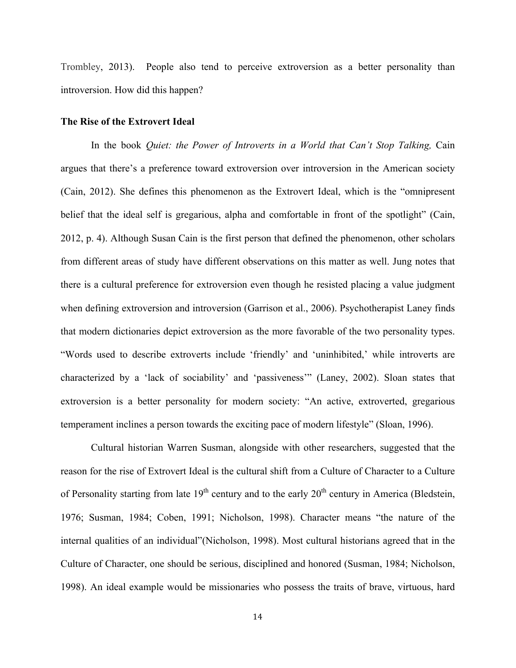Trombley, 2013). People also tend to perceive extroversion as a better personality than introversion. How did this happen?

#### **The Rise of the Extrovert Ideal**

In the book *Quiet: the Power of Introverts in a World that Can't Stop Talking*, Cain argues that there's a preference toward extroversion over introversion in the American society (Cain, 2012). She defines this phenomenon as the Extrovert Ideal, which is the "omnipresent belief that the ideal self is gregarious, alpha and comfortable in front of the spotlight" (Cain, 2012, p. 4). Although Susan Cain is the first person that defined the phenomenon, other scholars from different areas of study have different observations on this matter as well. Jung notes that there is a cultural preference for extroversion even though he resisted placing a value judgment when defining extroversion and introversion (Garrison et al., 2006). Psychotherapist Laney finds that modern dictionaries depict extroversion as the more favorable of the two personality types. "Words used to describe extroverts include 'friendly' and 'uninhibited,' while introverts are characterized by a 'lack of sociability' and 'passiveness'" (Laney, 2002). Sloan states that extroversion is a better personality for modern society: "An active, extroverted, gregarious temperament inclines a person towards the exciting pace of modern lifestyle" (Sloan, 1996).

Cultural historian Warren Susman, alongside with other researchers, suggested that the reason for the rise of Extrovert Ideal is the cultural shift from a Culture of Character to a Culture of Personality starting from late  $19<sup>th</sup>$  century and to the early  $20<sup>th</sup>$  century in America (Bledstein, 1976; Susman, 1984; Coben, 1991; Nicholson, 1998). Character means "the nature of the internal qualities of an individual"(Nicholson, 1998). Most cultural historians agreed that in the Culture of Character, one should be serious, disciplined and honored (Susman, 1984; Nicholson, 1998). An ideal example would be missionaries who possess the traits of brave, virtuous, hard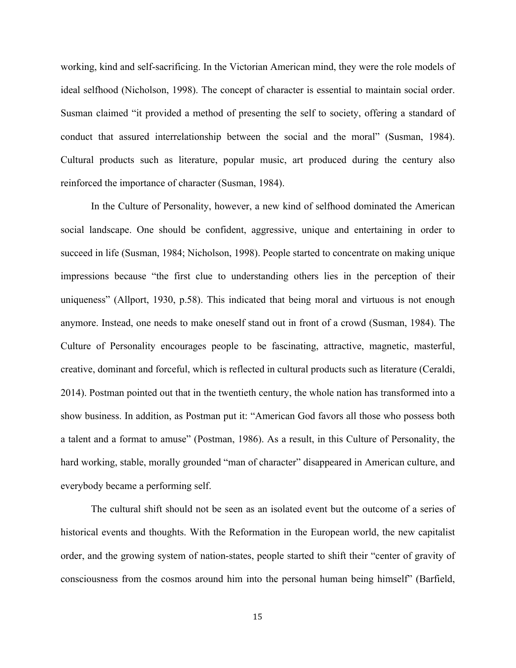working, kind and self-sacrificing. In the Victorian American mind, they were the role models of ideal selfhood (Nicholson, 1998). The concept of character is essential to maintain social order. Susman claimed "it provided a method of presenting the self to society, offering a standard of conduct that assured interrelationship between the social and the moral" (Susman, 1984). Cultural products such as literature, popular music, art produced during the century also reinforced the importance of character (Susman, 1984).

In the Culture of Personality, however, a new kind of selfhood dominated the American social landscape. One should be confident, aggressive, unique and entertaining in order to succeed in life (Susman, 1984; Nicholson, 1998). People started to concentrate on making unique impressions because "the first clue to understanding others lies in the perception of their uniqueness" (Allport, 1930, p.58). This indicated that being moral and virtuous is not enough anymore. Instead, one needs to make oneself stand out in front of a crowd (Susman, 1984). The Culture of Personality encourages people to be fascinating, attractive, magnetic, masterful, creative, dominant and forceful, which is reflected in cultural products such as literature (Ceraldi, 2014). Postman pointed out that in the twentieth century, the whole nation has transformed into a show business. In addition, as Postman put it: "American God favors all those who possess both a talent and a format to amuse" (Postman, 1986). As a result, in this Culture of Personality, the hard working, stable, morally grounded "man of character" disappeared in American culture, and everybody became a performing self.

The cultural shift should not be seen as an isolated event but the outcome of a series of historical events and thoughts. With the Reformation in the European world, the new capitalist order, and the growing system of nation-states, people started to shift their "center of gravity of consciousness from the cosmos around him into the personal human being himself" (Barfield,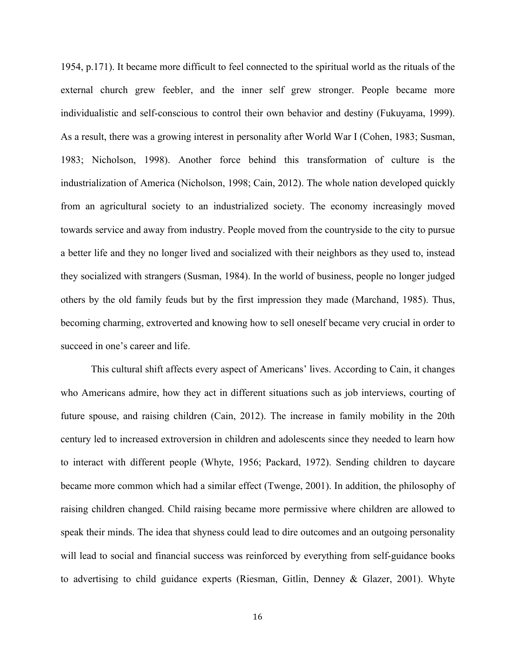1954, p.171). It became more difficult to feel connected to the spiritual world as the rituals of the external church grew feebler, and the inner self grew stronger. People became more individualistic and self-conscious to control their own behavior and destiny (Fukuyama, 1999). As a result, there was a growing interest in personality after World War I (Cohen, 1983; Susman, 1983; Nicholson, 1998). Another force behind this transformation of culture is the industrialization of America (Nicholson, 1998; Cain, 2012). The whole nation developed quickly from an agricultural society to an industrialized society. The economy increasingly moved towards service and away from industry. People moved from the countryside to the city to pursue a better life and they no longer lived and socialized with their neighbors as they used to, instead they socialized with strangers (Susman, 1984). In the world of business, people no longer judged others by the old family feuds but by the first impression they made (Marchand, 1985). Thus, becoming charming, extroverted and knowing how to sell oneself became very crucial in order to succeed in one's career and life.

This cultural shift affects every aspect of Americans' lives. According to Cain, it changes who Americans admire, how they act in different situations such as job interviews, courting of future spouse, and raising children (Cain, 2012). The increase in family mobility in the 20th century led to increased extroversion in children and adolescents since they needed to learn how to interact with different people (Whyte, 1956; Packard, 1972). Sending children to daycare became more common which had a similar effect (Twenge, 2001). In addition, the philosophy of raising children changed. Child raising became more permissive where children are allowed to speak their minds. The idea that shyness could lead to dire outcomes and an outgoing personality will lead to social and financial success was reinforced by everything from self-guidance books to advertising to child guidance experts (Riesman, Gitlin, Denney & Glazer, 2001). Whyte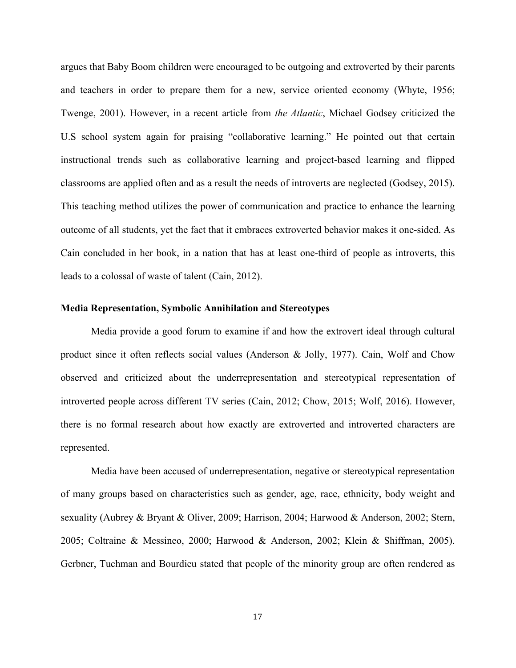argues that Baby Boom children were encouraged to be outgoing and extroverted by their parents and teachers in order to prepare them for a new, service oriented economy (Whyte, 1956; Twenge, 2001). However, in a recent article from *the Atlantic*, Michael Godsey criticized the U.S school system again for praising "collaborative learning." He pointed out that certain instructional trends such as collaborative learning and project-based learning and flipped classrooms are applied often and as a result the needs of introverts are neglected (Godsey, 2015). This teaching method utilizes the power of communication and practice to enhance the learning outcome of all students, yet the fact that it embraces extroverted behavior makes it one-sided. As Cain concluded in her book, in a nation that has at least one-third of people as introverts, this leads to a colossal of waste of talent (Cain, 2012).

#### **Media Representation, Symbolic Annihilation and Stereotypes**

Media provide a good forum to examine if and how the extrovert ideal through cultural product since it often reflects social values (Anderson & Jolly, 1977). Cain, Wolf and Chow observed and criticized about the underrepresentation and stereotypical representation of introverted people across different TV series (Cain, 2012; Chow, 2015; Wolf, 2016). However, there is no formal research about how exactly are extroverted and introverted characters are represented.

Media have been accused of underrepresentation, negative or stereotypical representation of many groups based on characteristics such as gender, age, race, ethnicity, body weight and sexuality (Aubrey & Bryant & Oliver, 2009; Harrison, 2004; Harwood & Anderson, 2002; Stern, 2005; Coltraine & Messineo, 2000; Harwood & Anderson, 2002; Klein & Shiffman, 2005). Gerbner, Tuchman and Bourdieu stated that people of the minority group are often rendered as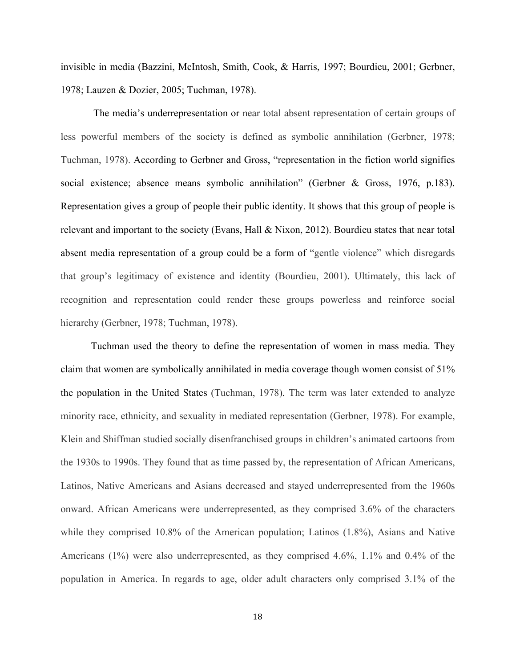invisible in media (Bazzini, McIntosh, Smith, Cook, & Harris, 1997; Bourdieu, 2001; Gerbner, 1978; Lauzen & Dozier, 2005; Tuchman, 1978).

The media's underrepresentation or near total absent representation of certain groups of less powerful members of the society is defined as symbolic annihilation (Gerbner, 1978; Tuchman, 1978). According to Gerbner and Gross, "representation in the fiction world signifies social existence; absence means symbolic annihilation" (Gerbner & Gross, 1976, p.183). Representation gives a group of people their public identity. It shows that this group of people is relevant and important to the society (Evans, Hall & Nixon, 2012). Bourdieu states that near total absent media representation of a group could be a form of "gentle violence" which disregards that group's legitimacy of existence and identity (Bourdieu, 2001). Ultimately, this lack of recognition and representation could render these groups powerless and reinforce social hierarchy (Gerbner, 1978; Tuchman, 1978).

Tuchman used the theory to define the representation of women in mass media. They claim that women are symbolically annihilated in media coverage though women consist of 51% the population in the United States (Tuchman, 1978). The term was later extended to analyze minority race, ethnicity, and sexuality in mediated representation (Gerbner, 1978). For example, Klein and Shiffman studied socially disenfranchised groups in children's animated cartoons from the 1930s to 1990s. They found that as time passed by, the representation of African Americans, Latinos, Native Americans and Asians decreased and stayed underrepresented from the 1960s onward. African Americans were underrepresented, as they comprised 3.6% of the characters while they comprised 10.8% of the American population; Latinos (1.8%), Asians and Native Americans (1%) were also underrepresented, as they comprised 4.6%, 1.1% and 0.4% of the population in America. In regards to age, older adult characters only comprised 3.1% of the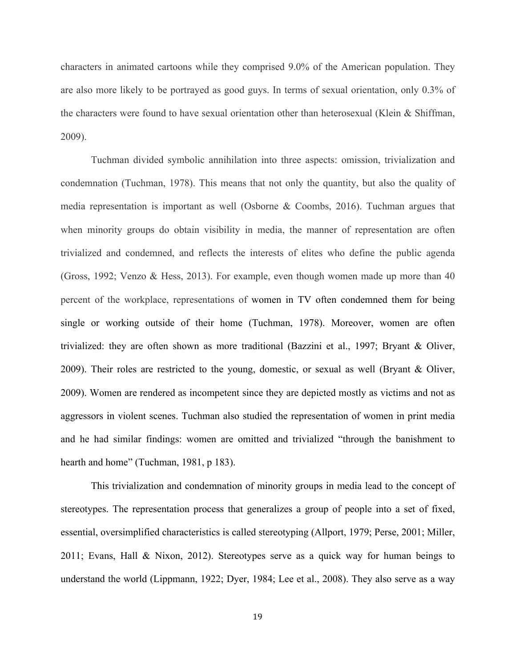characters in animated cartoons while they comprised 9.0% of the American population. They are also more likely to be portrayed as good guys. In terms of sexual orientation, only 0.3% of the characters were found to have sexual orientation other than heterosexual (Klein & Shiffman, 2009).

Tuchman divided symbolic annihilation into three aspects: omission, trivialization and condemnation (Tuchman, 1978). This means that not only the quantity, but also the quality of media representation is important as well (Osborne & Coombs, 2016). Tuchman argues that when minority groups do obtain visibility in media, the manner of representation are often trivialized and condemned, and reflects the interests of elites who define the public agenda (Gross, 1992; Venzo & Hess, 2013). For example, even though women made up more than 40 percent of the workplace, representations of women in TV often condemned them for being single or working outside of their home (Tuchman, 1978). Moreover, women are often trivialized: they are often shown as more traditional (Bazzini et al., 1997; Bryant & Oliver, 2009). Their roles are restricted to the young, domestic, or sexual as well (Bryant & Oliver, 2009). Women are rendered as incompetent since they are depicted mostly as victims and not as aggressors in violent scenes. Tuchman also studied the representation of women in print media and he had similar findings: women are omitted and trivialized "through the banishment to hearth and home" (Tuchman, 1981, p 183).

This trivialization and condemnation of minority groups in media lead to the concept of stereotypes. The representation process that generalizes a group of people into a set of fixed, essential, oversimplified characteristics is called stereotyping (Allport, 1979; Perse, 2001; Miller, 2011; Evans, Hall & Nixon, 2012). Stereotypes serve as a quick way for human beings to understand the world (Lippmann, 1922; Dyer, 1984; Lee et al., 2008). They also serve as a way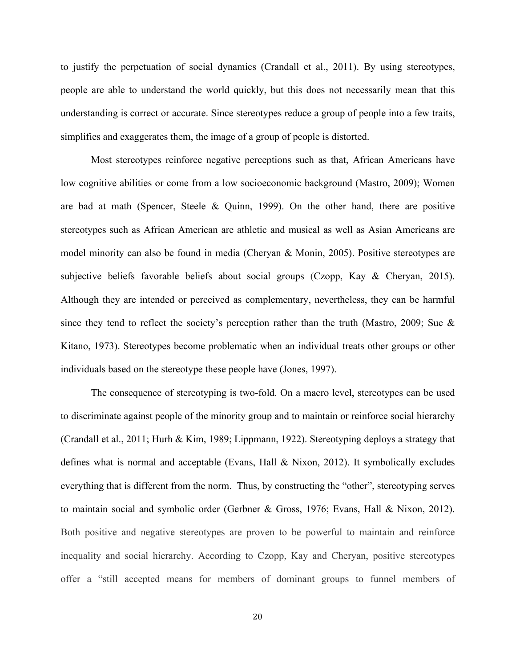to justify the perpetuation of social dynamics (Crandall et al., 2011). By using stereotypes, people are able to understand the world quickly, but this does not necessarily mean that this understanding is correct or accurate. Since stereotypes reduce a group of people into a few traits, simplifies and exaggerates them, the image of a group of people is distorted.

Most stereotypes reinforce negative perceptions such as that, African Americans have low cognitive abilities or come from a low socioeconomic background (Mastro, 2009); Women are bad at math (Spencer, Steele & Quinn, 1999). On the other hand, there are positive stereotypes such as African American are athletic and musical as well as Asian Americans are model minority can also be found in media (Cheryan & Monin, 2005). Positive stereotypes are subjective beliefs favorable beliefs about social groups (Czopp, Kay & Cheryan, 2015). Although they are intended or perceived as complementary, nevertheless, they can be harmful since they tend to reflect the society's perception rather than the truth (Mastro, 2009; Sue  $\&$ Kitano, 1973). Stereotypes become problematic when an individual treats other groups or other individuals based on the stereotype these people have (Jones, 1997).

The consequence of stereotyping is two-fold. On a macro level, stereotypes can be used to discriminate against people of the minority group and to maintain or reinforce social hierarchy (Crandall et al., 2011; Hurh & Kim, 1989; Lippmann, 1922). Stereotyping deploys a strategy that defines what is normal and acceptable (Evans, Hall & Nixon, 2012). It symbolically excludes everything that is different from the norm. Thus, by constructing the "other", stereotyping serves to maintain social and symbolic order (Gerbner & Gross, 1976; Evans, Hall & Nixon, 2012). Both positive and negative stereotypes are proven to be powerful to maintain and reinforce inequality and social hierarchy. According to Czopp, Kay and Cheryan, positive stereotypes offer a "still accepted means for members of dominant groups to funnel members of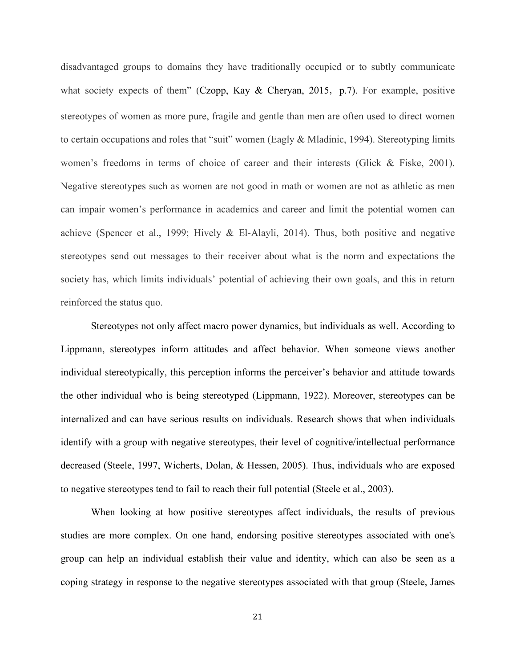disadvantaged groups to domains they have traditionally occupied or to subtly communicate what society expects of them" (Czopp, Kay  $\&$  Cheryan, 2015, p.7). For example, positive stereotypes of women as more pure, fragile and gentle than men are often used to direct women to certain occupations and roles that "suit" women (Eagly & Mladinic, 1994). Stereotyping limits women's freedoms in terms of choice of career and their interests (Glick & Fiske, 2001). Negative stereotypes such as women are not good in math or women are not as athletic as men can impair women's performance in academics and career and limit the potential women can achieve (Spencer et al., 1999; Hively & El-Alayli, 2014). Thus, both positive and negative stereotypes send out messages to their receiver about what is the norm and expectations the society has, which limits individuals' potential of achieving their own goals, and this in return reinforced the status quo.

Stereotypes not only affect macro power dynamics, but individuals as well. According to Lippmann, stereotypes inform attitudes and affect behavior. When someone views another individual stereotypically, this perception informs the perceiver's behavior and attitude towards the other individual who is being stereotyped (Lippmann, 1922). Moreover, stereotypes can be internalized and can have serious results on individuals. Research shows that when individuals identify with a group with negative stereotypes, their level of cognitive/intellectual performance decreased (Steele, 1997, Wicherts, Dolan, & Hessen, 2005). Thus, individuals who are exposed to negative stereotypes tend to fail to reach their full potential (Steele et al., 2003).

When looking at how positive stereotypes affect individuals, the results of previous studies are more complex. On one hand, endorsing positive stereotypes associated with one's group can help an individual establish their value and identity, which can also be seen as a coping strategy in response to the negative stereotypes associated with that group (Steele, James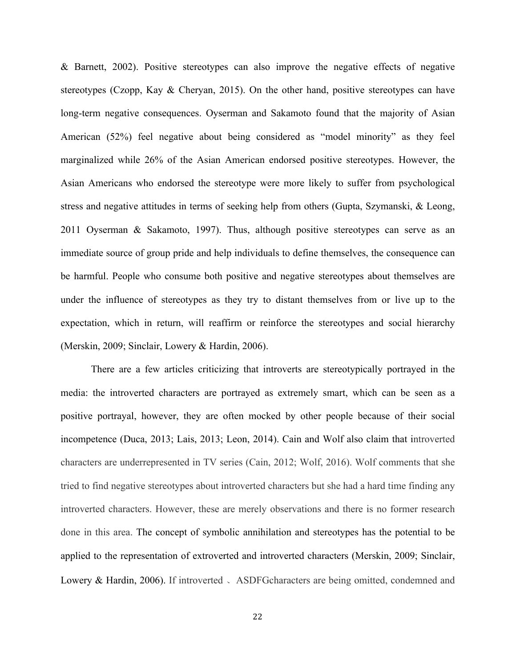& Barnett, 2002). Positive stereotypes can also improve the negative effects of negative stereotypes (Czopp, Kay & Cheryan, 2015). On the other hand, positive stereotypes can have long-term negative consequences. Oyserman and Sakamoto found that the majority of Asian American (52%) feel negative about being considered as "model minority" as they feel marginalized while 26% of the Asian American endorsed positive stereotypes. However, the Asian Americans who endorsed the stereotype were more likely to suffer from psychological stress and negative attitudes in terms of seeking help from others (Gupta, Szymanski, & Leong, 2011 Oyserman & Sakamoto, 1997). Thus, although positive stereotypes can serve as an immediate source of group pride and help individuals to define themselves, the consequence can be harmful. People who consume both positive and negative stereotypes about themselves are under the influence of stereotypes as they try to distant themselves from or live up to the expectation, which in return, will reaffirm or reinforce the stereotypes and social hierarchy (Merskin, 2009; Sinclair, Lowery & Hardin, 2006).

There are a few articles criticizing that introverts are stereotypically portrayed in the media: the introverted characters are portrayed as extremely smart, which can be seen as a positive portrayal, however, they are often mocked by other people because of their social incompetence (Duca, 2013; Lais, 2013; Leon, 2014). Cain and Wolf also claim that introverted characters are underrepresented in TV series (Cain, 2012; Wolf, 2016). Wolf comments that she tried to find negative stereotypes about introverted characters but she had a hard time finding any introverted characters. However, these are merely observations and there is no former research done in this area. The concept of symbolic annihilation and stereotypes has the potential to be applied to the representation of extroverted and introverted characters (Merskin, 2009; Sinclair, Lowery & Hardin, 2006). If introverted . ASDFGcharacters are being omitted, condemned and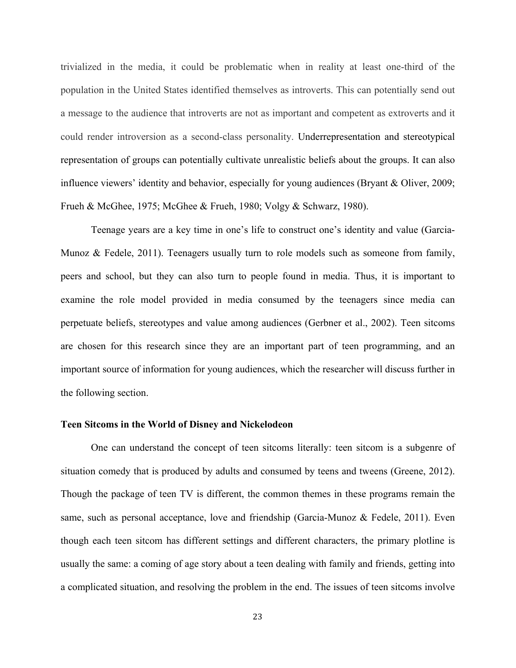trivialized in the media, it could be problematic when in reality at least one-third of the population in the United States identified themselves as introverts. This can potentially send out a message to the audience that introverts are not as important and competent as extroverts and it could render introversion as a second-class personality. Underrepresentation and stereotypical representation of groups can potentially cultivate unrealistic beliefs about the groups. It can also influence viewers' identity and behavior, especially for young audiences (Bryant & Oliver, 2009; Frueh & McGhee, 1975; McGhee & Frueh, 1980; Volgy & Schwarz, 1980).

Teenage years are a key time in one's life to construct one's identity and value (Garcia-Munoz & Fedele, 2011). Teenagers usually turn to role models such as someone from family, peers and school, but they can also turn to people found in media. Thus, it is important to examine the role model provided in media consumed by the teenagers since media can perpetuate beliefs, stereotypes and value among audiences (Gerbner et al., 2002). Teen sitcoms are chosen for this research since they are an important part of teen programming, and an important source of information for young audiences, which the researcher will discuss further in the following section.

#### **Teen Sitcoms in the World of Disney and Nickelodeon**

One can understand the concept of teen sitcoms literally: teen sitcom is a subgenre of situation comedy that is produced by adults and consumed by teens and tweens (Greene, 2012). Though the package of teen TV is different, the common themes in these programs remain the same, such as personal acceptance, love and friendship (Garcia-Munoz & Fedele, 2011). Even though each teen sitcom has different settings and different characters, the primary plotline is usually the same: a coming of age story about a teen dealing with family and friends, getting into a complicated situation, and resolving the problem in the end. The issues of teen sitcoms involve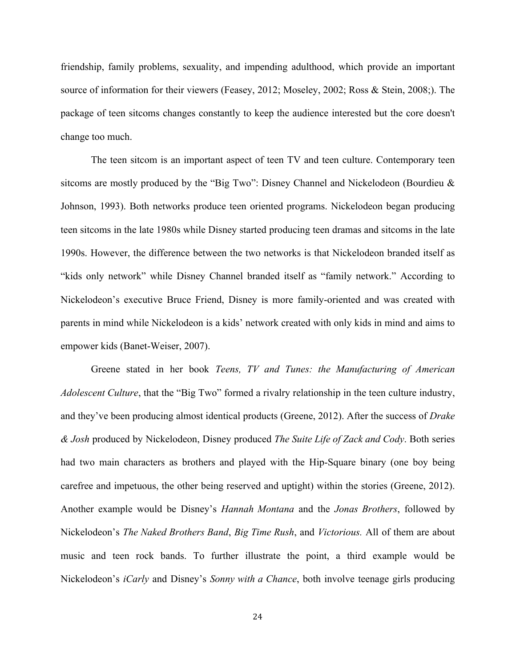friendship, family problems, sexuality, and impending adulthood, which provide an important source of information for their viewers (Feasey, 2012; Moseley, 2002; Ross & Stein, 2008;). The package of teen sitcoms changes constantly to keep the audience interested but the core doesn't change too much.

The teen sitcom is an important aspect of teen TV and teen culture. Contemporary teen sitcoms are mostly produced by the "Big Two": Disney Channel and Nickelodeon (Bourdieu & Johnson, 1993). Both networks produce teen oriented programs. Nickelodeon began producing teen sitcoms in the late 1980s while Disney started producing teen dramas and sitcoms in the late 1990s. However, the difference between the two networks is that Nickelodeon branded itself as "kids only network" while Disney Channel branded itself as "family network." According to Nickelodeon's executive Bruce Friend, Disney is more family-oriented and was created with parents in mind while Nickelodeon is a kids' network created with only kids in mind and aims to empower kids (Banet-Weiser, 2007).

Greene stated in her book *Teens, TV and Tunes: the Manufacturing of American Adolescent Culture*, that the "Big Two" formed a rivalry relationship in the teen culture industry, and they've been producing almost identical products (Greene, 2012). After the success of *Drake & Josh* produced by Nickelodeon, Disney produced *The Suite Life of Zack and Cody*. Both series had two main characters as brothers and played with the Hip-Square binary (one boy being carefree and impetuous, the other being reserved and uptight) within the stories (Greene, 2012). Another example would be Disney's *Hannah Montana* and the *Jonas Brothers*, followed by Nickelodeon's *The Naked Brothers Band*, *Big Time Rush*, and *Victorious.* All of them are about music and teen rock bands. To further illustrate the point, a third example would be Nickelodeon's *iCarly* and Disney's *Sonny with a Chance*, both involve teenage girls producing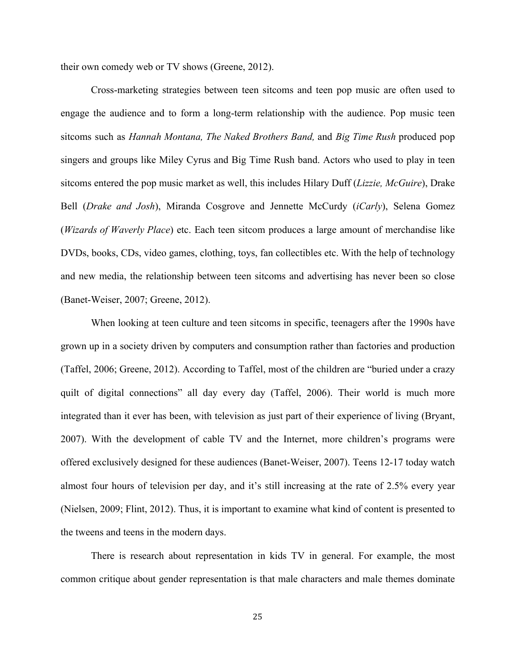their own comedy web or TV shows (Greene, 2012).

Cross-marketing strategies between teen sitcoms and teen pop music are often used to engage the audience and to form a long-term relationship with the audience. Pop music teen sitcoms such as *Hannah Montana, The Naked Brothers Band,* and *Big Time Rush* produced pop singers and groups like Miley Cyrus and Big Time Rush band. Actors who used to play in teen sitcoms entered the pop music market as well, this includes Hilary Duff (*Lizzie, McGuire*), Drake Bell (*Drake and Josh*), Miranda Cosgrove and Jennette McCurdy (*iCarly*), Selena Gomez (*Wizards of Waverly Place*) etc. Each teen sitcom produces a large amount of merchandise like DVDs, books, CDs, video games, clothing, toys, fan collectibles etc. With the help of technology and new media, the relationship between teen sitcoms and advertising has never been so close (Banet-Weiser, 2007; Greene, 2012).

When looking at teen culture and teen sitcoms in specific, teenagers after the 1990s have grown up in a society driven by computers and consumption rather than factories and production (Taffel, 2006; Greene, 2012). According to Taffel, most of the children are "buried under a crazy quilt of digital connections" all day every day (Taffel, 2006). Their world is much more integrated than it ever has been, with television as just part of their experience of living (Bryant, 2007). With the development of cable TV and the Internet, more children's programs were offered exclusively designed for these audiences (Banet-Weiser, 2007). Teens 12-17 today watch almost four hours of television per day, and it's still increasing at the rate of 2.5% every year (Nielsen, 2009; Flint, 2012). Thus, it is important to examine what kind of content is presented to the tweens and teens in the modern days.

There is research about representation in kids TV in general. For example, the most common critique about gender representation is that male characters and male themes dominate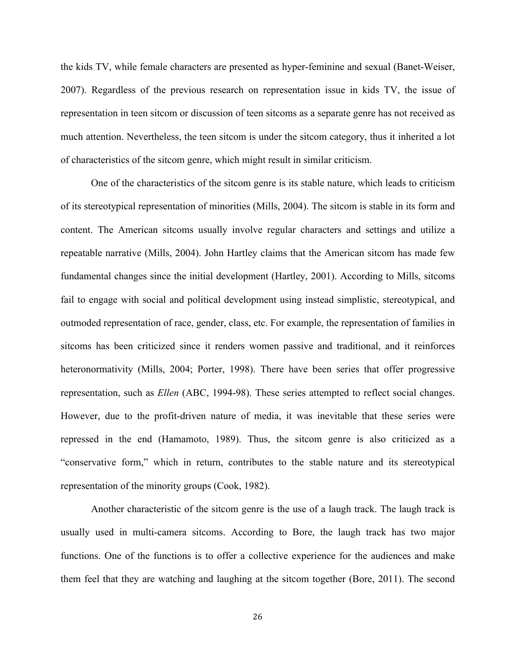the kids TV, while female characters are presented as hyper-feminine and sexual (Banet-Weiser, 2007). Regardless of the previous research on representation issue in kids TV, the issue of representation in teen sitcom or discussion of teen sitcoms as a separate genre has not received as much attention. Nevertheless, the teen sitcom is under the sitcom category, thus it inherited a lot of characteristics of the sitcom genre, which might result in similar criticism.

One of the characteristics of the sitcom genre is its stable nature, which leads to criticism of its stereotypical representation of minorities (Mills, 2004). The sitcom is stable in its form and content. The American sitcoms usually involve regular characters and settings and utilize a repeatable narrative (Mills, 2004). John Hartley claims that the American sitcom has made few fundamental changes since the initial development (Hartley, 2001). According to Mills, sitcoms fail to engage with social and political development using instead simplistic, stereotypical, and outmoded representation of race, gender, class, etc. For example, the representation of families in sitcoms has been criticized since it renders women passive and traditional, and it reinforces heteronormativity (Mills, 2004; Porter, 1998). There have been series that offer progressive representation, such as *Ellen* (ABC, 1994-98). These series attempted to reflect social changes. However, due to the profit-driven nature of media, it was inevitable that these series were repressed in the end (Hamamoto, 1989). Thus, the sitcom genre is also criticized as a "conservative form," which in return, contributes to the stable nature and its stereotypical representation of the minority groups (Cook, 1982).

Another characteristic of the sitcom genre is the use of a laugh track. The laugh track is usually used in multi-camera sitcoms. According to Bore, the laugh track has two major functions. One of the functions is to offer a collective experience for the audiences and make them feel that they are watching and laughing at the sitcom together (Bore, 2011). The second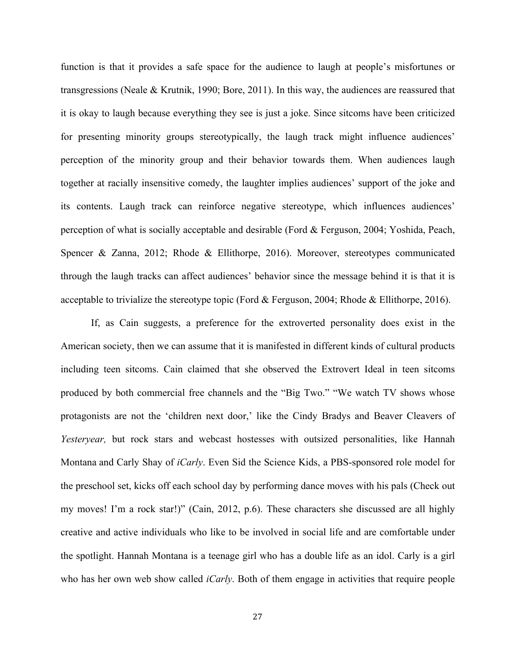function is that it provides a safe space for the audience to laugh at people's misfortunes or transgressions (Neale & Krutnik, 1990; Bore, 2011). In this way, the audiences are reassured that it is okay to laugh because everything they see is just a joke. Since sitcoms have been criticized for presenting minority groups stereotypically, the laugh track might influence audiences' perception of the minority group and their behavior towards them. When audiences laugh together at racially insensitive comedy, the laughter implies audiences' support of the joke and its contents. Laugh track can reinforce negative stereotype, which influences audiences' perception of what is socially acceptable and desirable (Ford & Ferguson, 2004; Yoshida, Peach, Spencer & Zanna, 2012; Rhode & Ellithorpe, 2016). Moreover, stereotypes communicated through the laugh tracks can affect audiences' behavior since the message behind it is that it is acceptable to trivialize the stereotype topic (Ford & Ferguson, 2004; Rhode & Ellithorpe, 2016).

If, as Cain suggests, a preference for the extroverted personality does exist in the American society, then we can assume that it is manifested in different kinds of cultural products including teen sitcoms. Cain claimed that she observed the Extrovert Ideal in teen sitcoms produced by both commercial free channels and the "Big Two." "We watch TV shows whose protagonists are not the 'children next door,' like the Cindy Bradys and Beaver Cleavers of *Yesteryear,* but rock stars and webcast hostesses with outsized personalities, like Hannah Montana and Carly Shay of *iCarly*. Even Sid the Science Kids, a PBS-sponsored role model for the preschool set, kicks off each school day by performing dance moves with his pals (Check out my moves! I'm a rock star!)" (Cain, 2012, p.6). These characters she discussed are all highly creative and active individuals who like to be involved in social life and are comfortable under the spotlight. Hannah Montana is a teenage girl who has a double life as an idol. Carly is a girl who has her own web show called *iCarly*. Both of them engage in activities that require people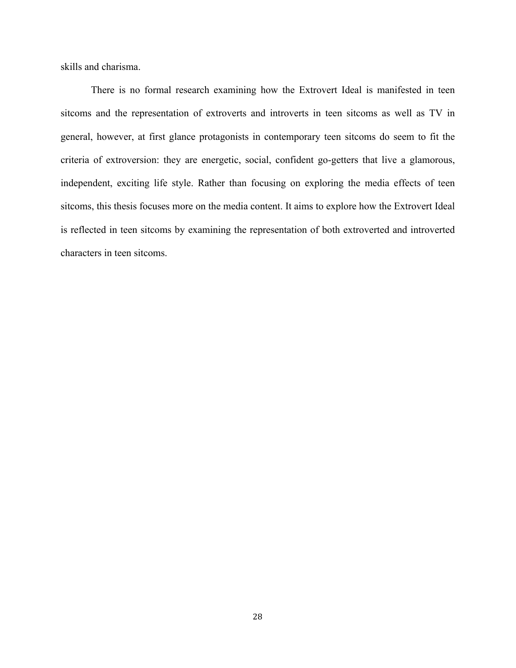skills and charisma.

There is no formal research examining how the Extrovert Ideal is manifested in teen sitcoms and the representation of extroverts and introverts in teen sitcoms as well as TV in general, however, at first glance protagonists in contemporary teen sitcoms do seem to fit the criteria of extroversion: they are energetic, social, confident go-getters that live a glamorous, independent, exciting life style. Rather than focusing on exploring the media effects of teen sitcoms, this thesis focuses more on the media content. It aims to explore how the Extrovert Ideal is reflected in teen sitcoms by examining the representation of both extroverted and introverted characters in teen sitcoms.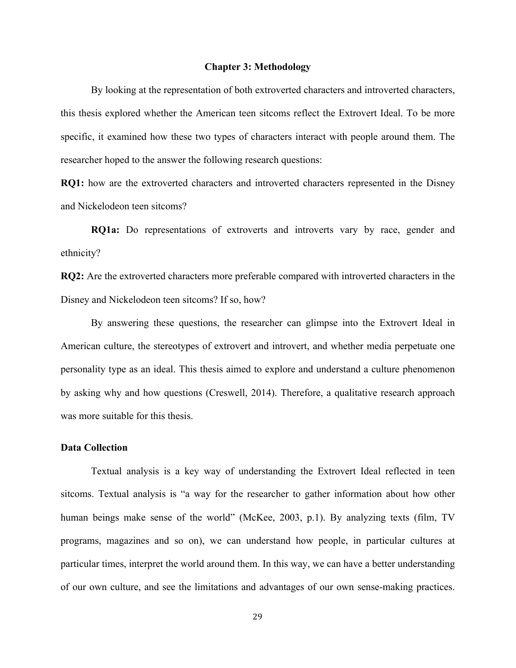#### **Chapter 3: Methodology**

By looking at the representation of both extroverted characters and introverted characters, this thesis explored whether the American teen sitcoms reflect the Extrovert Ideal. To be more specific, it examined how these two types of characters interact with people around them. The researcher hoped to the answer the following research questions:

**RQ1:** how are the extroverted characters and introverted characters represented in the Disney and Nickelodeon teen sitcoms?

 **RQ1a:** Do representations of extroverts and introverts vary by race, gender and ethnicity?

**RQ2:** Are the extroverted characters more preferable compared with introverted characters in the Disney and Nickelodeon teen sitcoms? If so, how?

By answering these questions, the researcher can glimpse into the Extrovert Ideal in American culture, the stereotypes of extrovert and introvert, and whether media perpetuate one personality type as an ideal. This thesis aimed to explore and understand a culture phenomenon by asking why and how questions (Creswell, 2014). Therefore, a qualitative research approach was more suitable for this thesis.

#### **Data Collection**

Textual analysis is a key way of understanding the Extrovert Ideal reflected in teen sitcoms. Textual analysis is "a way for the researcher to gather information about how other human beings make sense of the world" (McKee, 2003, p.1). By analyzing texts (film, TV programs, magazines and so on), we can understand how people, in particular cultures at particular times, interpret the world around them. In this way, we can have a better understanding of our own culture, and see the limitations and advantages of our own sense-making practices.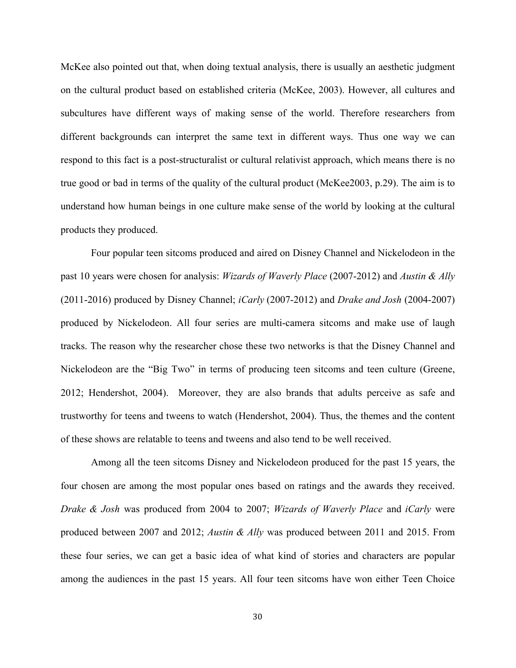McKee also pointed out that, when doing textual analysis, there is usually an aesthetic judgment on the cultural product based on established criteria (McKee, 2003). However, all cultures and subcultures have different ways of making sense of the world. Therefore researchers from different backgrounds can interpret the same text in different ways. Thus one way we can respond to this fact is a post-structuralist or cultural relativist approach, which means there is no true good or bad in terms of the quality of the cultural product (McKee2003, p.29). The aim is to understand how human beings in one culture make sense of the world by looking at the cultural products they produced.

Four popular teen sitcoms produced and aired on Disney Channel and Nickelodeon in the past 10 years were chosen for analysis: *Wizards of Waverly Place* (2007-2012) and *Austin & Ally* (2011-2016) produced by Disney Channel; *iCarly* (2007-2012) and *Drake and Josh* (2004-2007) produced by Nickelodeon. All four series are multi-camera sitcoms and make use of laugh tracks. The reason why the researcher chose these two networks is that the Disney Channel and Nickelodeon are the "Big Two" in terms of producing teen sitcoms and teen culture (Greene, 2012; Hendershot, 2004). Moreover, they are also brands that adults perceive as safe and trustworthy for teens and tweens to watch (Hendershot, 2004). Thus, the themes and the content of these shows are relatable to teens and tweens and also tend to be well received.

Among all the teen sitcoms Disney and Nickelodeon produced for the past 15 years, the four chosen are among the most popular ones based on ratings and the awards they received. *Drake & Josh* was produced from 2004 to 2007; *Wizards of Waverly Place* and *iCarly* were produced between 2007 and 2012; *Austin & Ally* was produced between 2011 and 2015. From these four series, we can get a basic idea of what kind of stories and characters are popular among the audiences in the past 15 years. All four teen sitcoms have won either Teen Choice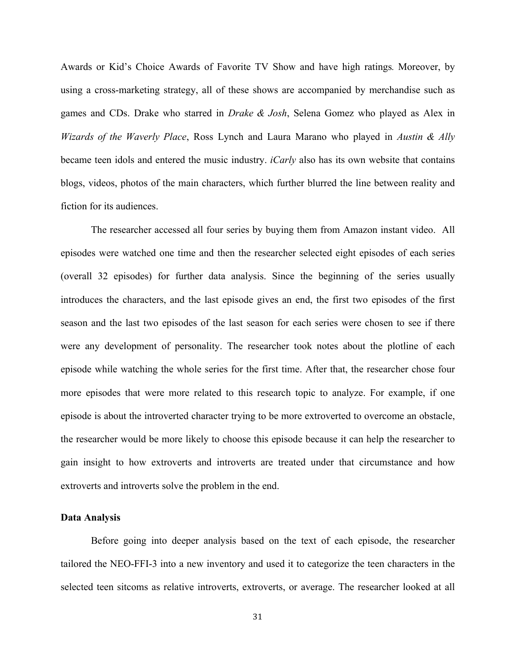Awards or Kid's Choice Awards of Favorite TV Show and have high ratings*.* Moreover, by using a cross-marketing strategy, all of these shows are accompanied by merchandise such as games and CDs. Drake who starred in *Drake & Josh*, Selena Gomez who played as Alex in *Wizards of the Waverly Place*, Ross Lynch and Laura Marano who played in *Austin & Ally* became teen idols and entered the music industry. *iCarly* also has its own website that contains blogs, videos, photos of the main characters, which further blurred the line between reality and fiction for its audiences.

The researcher accessed all four series by buying them from Amazon instant video. All episodes were watched one time and then the researcher selected eight episodes of each series (overall 32 episodes) for further data analysis. Since the beginning of the series usually introduces the characters, and the last episode gives an end, the first two episodes of the first season and the last two episodes of the last season for each series were chosen to see if there were any development of personality. The researcher took notes about the plotline of each episode while watching the whole series for the first time. After that, the researcher chose four more episodes that were more related to this research topic to analyze. For example, if one episode is about the introverted character trying to be more extroverted to overcome an obstacle, the researcher would be more likely to choose this episode because it can help the researcher to gain insight to how extroverts and introverts are treated under that circumstance and how extroverts and introverts solve the problem in the end.

# **Data Analysis**

Before going into deeper analysis based on the text of each episode, the researcher tailored the NEO-FFI-3 into a new inventory and used it to categorize the teen characters in the selected teen sitcoms as relative introverts, extroverts, or average. The researcher looked at all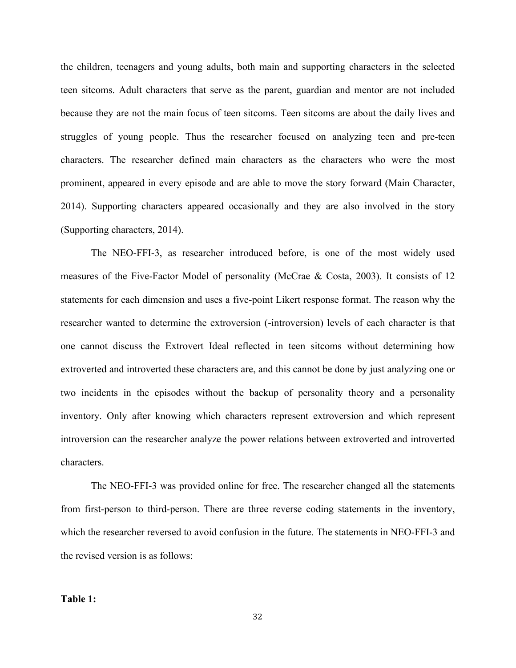the children, teenagers and young adults, both main and supporting characters in the selected teen sitcoms. Adult characters that serve as the parent, guardian and mentor are not included because they are not the main focus of teen sitcoms. Teen sitcoms are about the daily lives and struggles of young people. Thus the researcher focused on analyzing teen and pre-teen characters. The researcher defined main characters as the characters who were the most prominent, appeared in every episode and are able to move the story forward (Main Character, 2014). Supporting characters appeared occasionally and they are also involved in the story (Supporting characters, 2014).

The NEO-FFI-3, as researcher introduced before, is one of the most widely used measures of the Five-Factor Model of personality (McCrae & Costa, 2003). It consists of 12 statements for each dimension and uses a five-point Likert response format. The reason why the researcher wanted to determine the extroversion (-introversion) levels of each character is that one cannot discuss the Extrovert Ideal reflected in teen sitcoms without determining how extroverted and introverted these characters are, and this cannot be done by just analyzing one or two incidents in the episodes without the backup of personality theory and a personality inventory. Only after knowing which characters represent extroversion and which represent introversion can the researcher analyze the power relations between extroverted and introverted characters.

The NEO-FFI-3 was provided online for free. The researcher changed all the statements from first-person to third-person. There are three reverse coding statements in the inventory, which the researcher reversed to avoid confusion in the future. The statements in NEO-FFI-3 and the revised version is as follows:

## **Table 1:**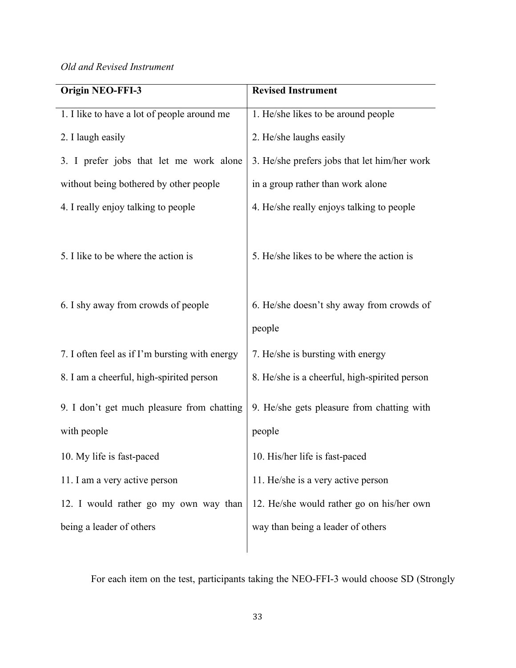*Old and Revised Instrument*

| <b>Origin NEO-FFI-3</b>                                   | <b>Revised Instrument</b>                            |
|-----------------------------------------------------------|------------------------------------------------------|
| 1. I like to have a lot of people around me               | 1. He/she likes to be around people                  |
| 2. I laugh easily                                         | 2. He/she laughs easily                              |
| 3. I prefer jobs that let me work alone                   | 3. He/she prefers jobs that let him/her work         |
| without being bothered by other people                    | in a group rather than work alone                    |
| 4. I really enjoy talking to people                       | 4. He/she really enjoys talking to people            |
| 5. I like to be where the action is                       | 5. He/she likes to be where the action is            |
| 6. I shy away from crowds of people                       | 6. He/she doesn't shy away from crowds of            |
|                                                           | people                                               |
| 7. I often feel as if I'm bursting with energy            | 7. He/she is bursting with energy                    |
| 8. I am a cheerful, high-spirited person                  | 8. He/she is a cheerful, high-spirited person        |
| 9. I don't get much pleasure from chatting<br>with people | 9. He/she gets pleasure from chatting with<br>people |
| 10. My life is fast-paced                                 | 10. His/her life is fast-paced                       |
| 11. I am a very active person                             | 11. He/she is a very active person                   |
| 12. I would rather go my own way than                     | 12. He/she would rather go on his/her own            |
| being a leader of others                                  | way than being a leader of others                    |
|                                                           |                                                      |

For each item on the test, participants taking the NEO-FFI-3 would choose SD (Strongly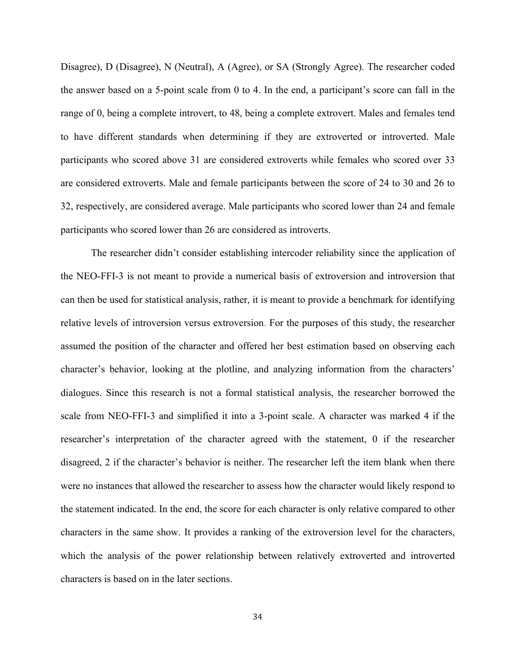Disagree), D (Disagree), N (Neutral), A (Agree), or SA (Strongly Agree). The researcher coded the answer based on a 5-point scale from 0 to 4. In the end, a participant's score can fall in the range of 0, being a complete introvert, to 48, being a complete extrovert. Males and females tend to have different standards when determining if they are extroverted or introverted. Male participants who scored above 31 are considered extroverts while females who scored over 33 are considered extroverts. Male and female participants between the score of 24 to 30 and 26 to 32, respectively, are considered average. Male participants who scored lower than 24 and female participants who scored lower than 26 are considered as introverts.

The researcher didn't consider establishing intercoder reliability since the application of the NEO-FFI-3 is not meant to provide a numerical basis of extroversion and introversion that can then be used for statistical analysis, rather, it is meant to provide a benchmark for identifying relative levels of introversion versus extroversion. For the purposes of this study, the researcher assumed the position of the character and offered her best estimation based on observing each character's behavior, looking at the plotline, and analyzing information from the characters' dialogues. Since this research is not a formal statistical analysis, the researcher borrowed the scale from NEO-FFI-3 and simplified it into a 3-point scale. A character was marked 4 if the researcher's interpretation of the character agreed with the statement, 0 if the researcher disagreed, 2 if the character's behavior is neither. The researcher left the item blank when there were no instances that allowed the researcher to assess how the character would likely respond to the statement indicated. In the end, the score for each character is only relative compared to other characters in the same show. It provides a ranking of the extroversion level for the characters, which the analysis of the power relationship between relatively extroverted and introverted characters is based on in the later sections.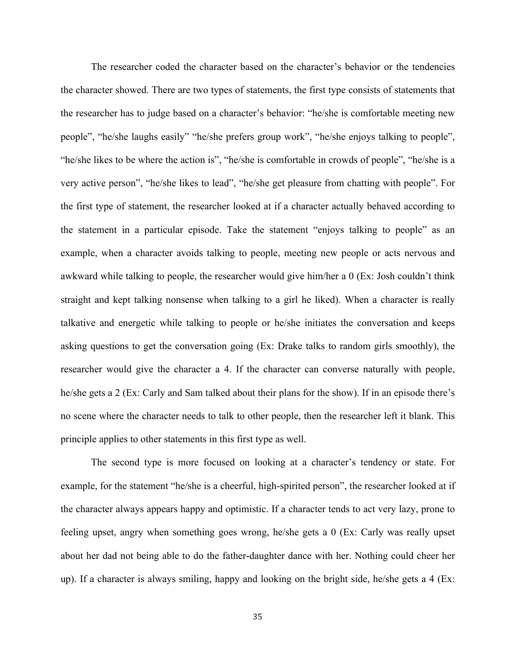The researcher coded the character based on the character's behavior or the tendencies the character showed. There are two types of statements, the first type consists of statements that the researcher has to judge based on a character's behavior: "he/she is comfortable meeting new people", "he/she laughs easily" "he/she prefers group work", "he/she enjoys talking to people", "he/she likes to be where the action is", "he/she is comfortable in crowds of people", "he/she is a very active person", "he/she likes to lead", "he/she get pleasure from chatting with people". For the first type of statement, the researcher looked at if a character actually behaved according to the statement in a particular episode. Take the statement "enjoys talking to people" as an example, when a character avoids talking to people, meeting new people or acts nervous and awkward while talking to people, the researcher would give him/her a 0 (Ex: Josh couldn't think straight and kept talking nonsense when talking to a girl he liked). When a character is really talkative and energetic while talking to people or he/she initiates the conversation and keeps asking questions to get the conversation going (Ex: Drake talks to random girls smoothly), the researcher would give the character a 4. If the character can converse naturally with people, he/she gets a 2 (Ex: Carly and Sam talked about their plans for the show). If in an episode there's no scene where the character needs to talk to other people, then the researcher left it blank. This principle applies to other statements in this first type as well.

The second type is more focused on looking at a character's tendency or state. For example, for the statement "he/she is a cheerful, high-spirited person", the researcher looked at if the character always appears happy and optimistic. If a character tends to act very lazy, prone to feeling upset, angry when something goes wrong, he/she gets a 0 (Ex: Carly was really upset about her dad not being able to do the father-daughter dance with her. Nothing could cheer her up). If a character is always smiling, happy and looking on the bright side, he/she gets a 4 (Ex: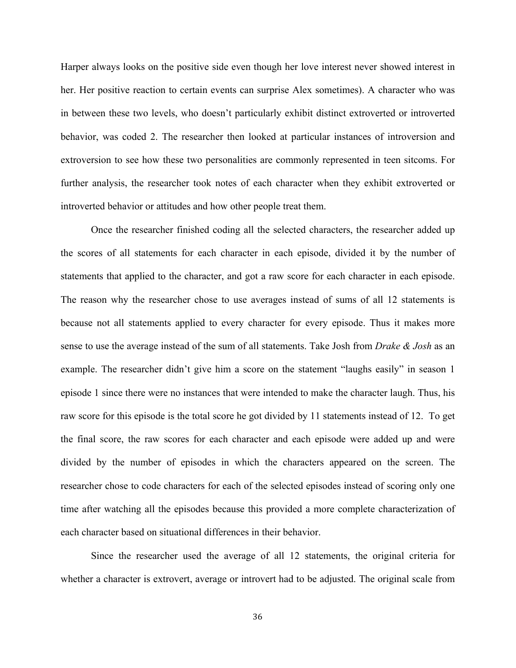Harper always looks on the positive side even though her love interest never showed interest in her. Her positive reaction to certain events can surprise Alex sometimes). A character who was in between these two levels, who doesn't particularly exhibit distinct extroverted or introverted behavior, was coded 2. The researcher then looked at particular instances of introversion and extroversion to see how these two personalities are commonly represented in teen sitcoms. For further analysis, the researcher took notes of each character when they exhibit extroverted or introverted behavior or attitudes and how other people treat them.

Once the researcher finished coding all the selected characters, the researcher added up the scores of all statements for each character in each episode, divided it by the number of statements that applied to the character, and got a raw score for each character in each episode. The reason why the researcher chose to use averages instead of sums of all 12 statements is because not all statements applied to every character for every episode. Thus it makes more sense to use the average instead of the sum of all statements. Take Josh from *Drake & Josh* as an example. The researcher didn't give him a score on the statement "laughs easily" in season 1 episode 1 since there were no instances that were intended to make the character laugh. Thus, his raw score for this episode is the total score he got divided by 11 statements instead of 12. To get the final score, the raw scores for each character and each episode were added up and were divided by the number of episodes in which the characters appeared on the screen. The researcher chose to code characters for each of the selected episodes instead of scoring only one time after watching all the episodes because this provided a more complete characterization of each character based on situational differences in their behavior.

Since the researcher used the average of all 12 statements, the original criteria for whether a character is extrovert, average or introvert had to be adjusted. The original scale from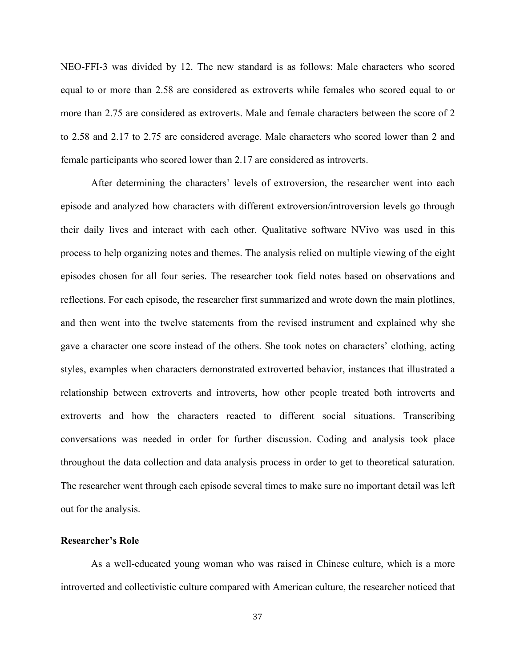NEO-FFI-3 was divided by 12. The new standard is as follows: Male characters who scored equal to or more than 2.58 are considered as extroverts while females who scored equal to or more than 2.75 are considered as extroverts. Male and female characters between the score of 2 to 2.58 and 2.17 to 2.75 are considered average. Male characters who scored lower than 2 and female participants who scored lower than 2.17 are considered as introverts.

After determining the characters' levels of extroversion, the researcher went into each episode and analyzed how characters with different extroversion/introversion levels go through their daily lives and interact with each other. Qualitative software NVivo was used in this process to help organizing notes and themes. The analysis relied on multiple viewing of the eight episodes chosen for all four series. The researcher took field notes based on observations and reflections. For each episode, the researcher first summarized and wrote down the main plotlines, and then went into the twelve statements from the revised instrument and explained why she gave a character one score instead of the others. She took notes on characters' clothing, acting styles, examples when characters demonstrated extroverted behavior, instances that illustrated a relationship between extroverts and introverts, how other people treated both introverts and extroverts and how the characters reacted to different social situations. Transcribing conversations was needed in order for further discussion. Coding and analysis took place throughout the data collection and data analysis process in order to get to theoretical saturation. The researcher went through each episode several times to make sure no important detail was left out for the analysis.

# **Researcher's Role**

As a well-educated young woman who was raised in Chinese culture, which is a more introverted and collectivistic culture compared with American culture, the researcher noticed that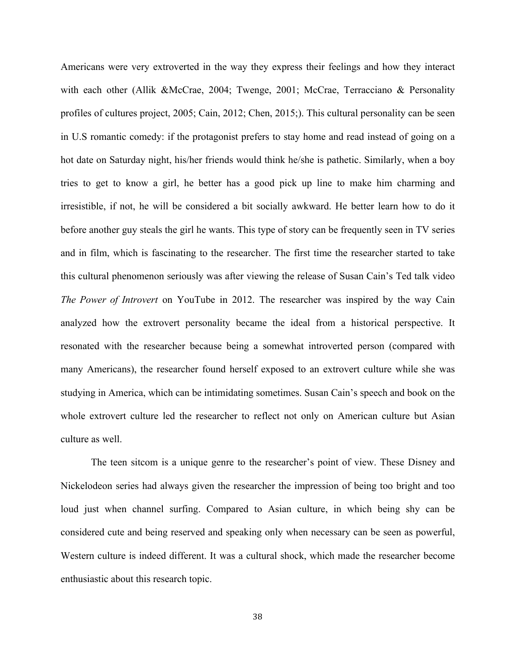Americans were very extroverted in the way they express their feelings and how they interact with each other (Allik &McCrae, 2004; Twenge, 2001; McCrae, Terracciano & Personality profiles of cultures project, 2005; Cain, 2012; Chen, 2015;). This cultural personality can be seen in U.S romantic comedy: if the protagonist prefers to stay home and read instead of going on a hot date on Saturday night, his/her friends would think he/she is pathetic. Similarly, when a boy tries to get to know a girl, he better has a good pick up line to make him charming and irresistible, if not, he will be considered a bit socially awkward. He better learn how to do it before another guy steals the girl he wants. This type of story can be frequently seen in TV series and in film, which is fascinating to the researcher. The first time the researcher started to take this cultural phenomenon seriously was after viewing the release of Susan Cain's Ted talk video *The Power of Introvert* on YouTube in 2012. The researcher was inspired by the way Cain analyzed how the extrovert personality became the ideal from a historical perspective. It resonated with the researcher because being a somewhat introverted person (compared with many Americans), the researcher found herself exposed to an extrovert culture while she was studying in America, which can be intimidating sometimes. Susan Cain's speech and book on the whole extrovert culture led the researcher to reflect not only on American culture but Asian culture as well.

The teen sitcom is a unique genre to the researcher's point of view. These Disney and Nickelodeon series had always given the researcher the impression of being too bright and too loud just when channel surfing. Compared to Asian culture, in which being shy can be considered cute and being reserved and speaking only when necessary can be seen as powerful, Western culture is indeed different. It was a cultural shock, which made the researcher become enthusiastic about this research topic.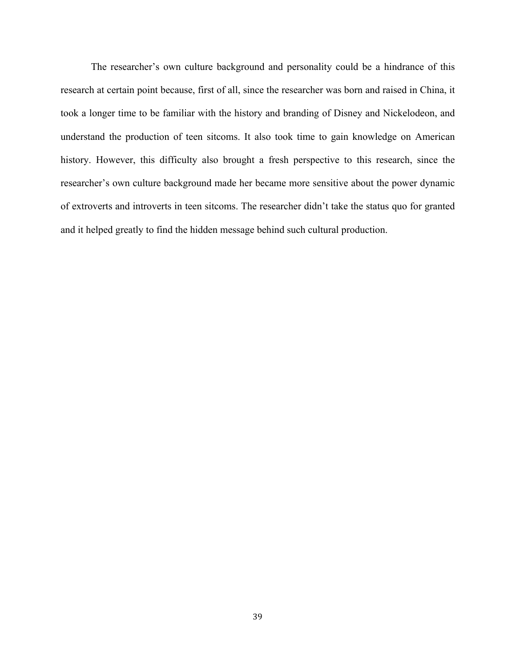The researcher's own culture background and personality could be a hindrance of this research at certain point because, first of all, since the researcher was born and raised in China, it took a longer time to be familiar with the history and branding of Disney and Nickelodeon, and understand the production of teen sitcoms. It also took time to gain knowledge on American history. However, this difficulty also brought a fresh perspective to this research, since the researcher's own culture background made her became more sensitive about the power dynamic of extroverts and introverts in teen sitcoms. The researcher didn't take the status quo for granted and it helped greatly to find the hidden message behind such cultural production.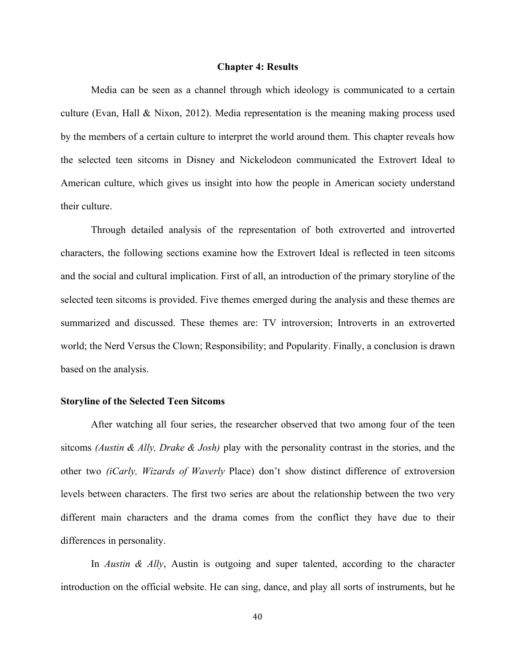#### **Chapter 4: Results**

Media can be seen as a channel through which ideology is communicated to a certain culture (Evan, Hall & Nixon, 2012). Media representation is the meaning making process used by the members of a certain culture to interpret the world around them. This chapter reveals how the selected teen sitcoms in Disney and Nickelodeon communicated the Extrovert Ideal to American culture, which gives us insight into how the people in American society understand their culture.

Through detailed analysis of the representation of both extroverted and introverted characters, the following sections examine how the Extrovert Ideal is reflected in teen sitcoms and the social and cultural implication. First of all, an introduction of the primary storyline of the selected teen sitcoms is provided. Five themes emerged during the analysis and these themes are summarized and discussed. These themes are: TV introversion; Introverts in an extroverted world; the Nerd Versus the Clown; Responsibility; and Popularity. Finally, a conclusion is drawn based on the analysis.

### **Storyline of the Selected Teen Sitcoms**

After watching all four series, the researcher observed that two among four of the teen sitcoms *(Austin & Ally, Drake & Josh)* play with the personality contrast in the stories, and the other two *(iCarly, Wizards of Waverly* Place) don't show distinct difference of extroversion levels between characters. The first two series are about the relationship between the two very different main characters and the drama comes from the conflict they have due to their differences in personality.

In *Austin & Ally*, Austin is outgoing and super talented, according to the character introduction on the official website. He can sing, dance, and play all sorts of instruments, but he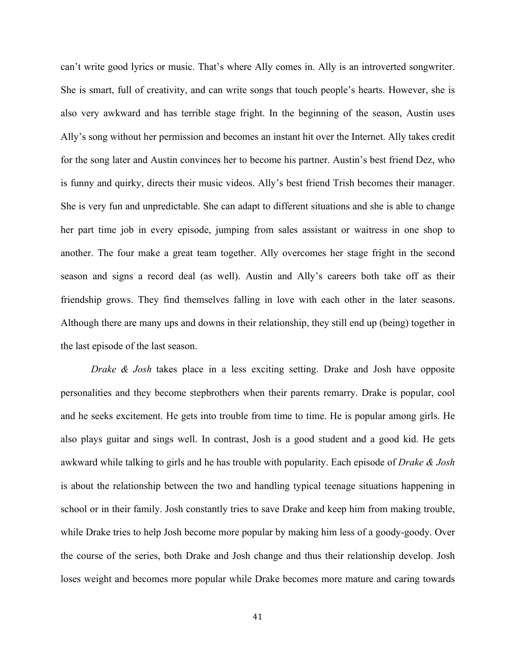can't write good lyrics or music. That's where Ally comes in. Ally is an introverted songwriter. She is smart, full of creativity, and can write songs that touch people's hearts. However, she is also very awkward and has terrible stage fright. In the beginning of the season, Austin uses Ally's song without her permission and becomes an instant hit over the Internet. Ally takes credit for the song later and Austin convinces her to become his partner. Austin's best friend Dez, who is funny and quirky, directs their music videos. Ally's best friend Trish becomes their manager. She is very fun and unpredictable. She can adapt to different situations and she is able to change her part time job in every episode, jumping from sales assistant or waitress in one shop to another. The four make a great team together. Ally overcomes her stage fright in the second season and signs a record deal (as well). Austin and Ally's careers both take off as their friendship grows. They find themselves falling in love with each other in the later seasons. Although there are many ups and downs in their relationship, they still end up (being) together in the last episode of the last season.

*Drake & Josh* takes place in a less exciting setting. Drake and Josh have opposite personalities and they become stepbrothers when their parents remarry. Drake is popular, cool and he seeks excitement. He gets into trouble from time to time. He is popular among girls. He also plays guitar and sings well. In contrast, Josh is a good student and a good kid. He gets awkward while talking to girls and he has trouble with popularity. Each episode of *Drake & Josh* is about the relationship between the two and handling typical teenage situations happening in school or in their family. Josh constantly tries to save Drake and keep him from making trouble, while Drake tries to help Josh become more popular by making him less of a goody-goody. Over the course of the series, both Drake and Josh change and thus their relationship develop. Josh loses weight and becomes more popular while Drake becomes more mature and caring towards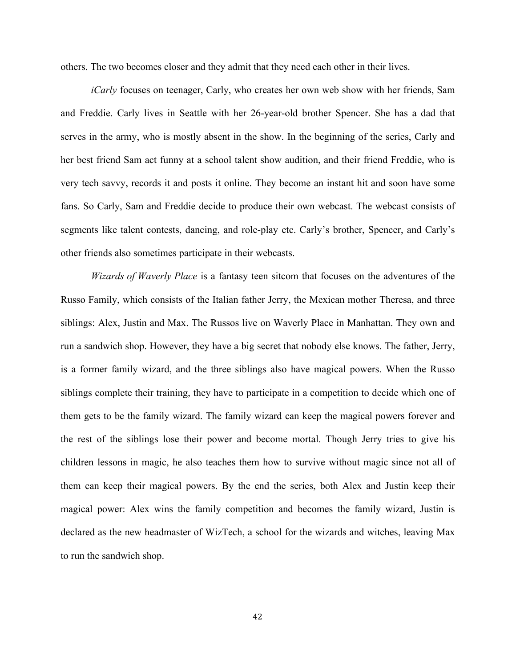others. The two becomes closer and they admit that they need each other in their lives.

*iCarly* focuses on teenager, Carly, who creates her own web show with her friends, Sam and Freddie. Carly lives in Seattle with her 26-year-old brother Spencer. She has a dad that serves in the army, who is mostly absent in the show. In the beginning of the series, Carly and her best friend Sam act funny at a school talent show audition, and their friend Freddie, who is very tech savvy, records it and posts it online. They become an instant hit and soon have some fans. So Carly, Sam and Freddie decide to produce their own webcast. The webcast consists of segments like talent contests, dancing, and role-play etc. Carly's brother, Spencer, and Carly's other friends also sometimes participate in their webcasts.

*Wizards of Waverly Place* is a fantasy teen sitcom that focuses on the adventures of the Russo Family, which consists of the Italian father Jerry, the Mexican mother Theresa, and three siblings: Alex, Justin and Max. The Russos live on Waverly Place in Manhattan. They own and run a sandwich shop. However, they have a big secret that nobody else knows. The father, Jerry, is a former family wizard, and the three siblings also have magical powers. When the Russo siblings complete their training, they have to participate in a competition to decide which one of them gets to be the family wizard. The family wizard can keep the magical powers forever and the rest of the siblings lose their power and become mortal. Though Jerry tries to give his children lessons in magic, he also teaches them how to survive without magic since not all of them can keep their magical powers. By the end the series, both Alex and Justin keep their magical power: Alex wins the family competition and becomes the family wizard, Justin is declared as the new headmaster of WizTech, a school for the wizards and witches, leaving Max to run the sandwich shop.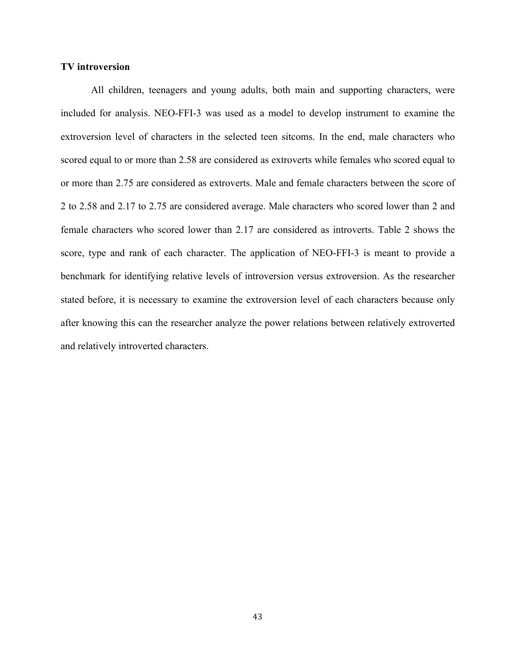### **TV introversion**

All children, teenagers and young adults, both main and supporting characters, were included for analysis. NEO-FFI-3 was used as a model to develop instrument to examine the extroversion level of characters in the selected teen sitcoms. In the end, male characters who scored equal to or more than 2.58 are considered as extroverts while females who scored equal to or more than 2.75 are considered as extroverts. Male and female characters between the score of 2 to 2.58 and 2.17 to 2.75 are considered average. Male characters who scored lower than 2 and female characters who scored lower than 2.17 are considered as introverts. Table 2 shows the score, type and rank of each character. The application of NEO-FFI-3 is meant to provide a benchmark for identifying relative levels of introversion versus extroversion. As the researcher stated before, it is necessary to examine the extroversion level of each characters because only after knowing this can the researcher analyze the power relations between relatively extroverted and relatively introverted characters.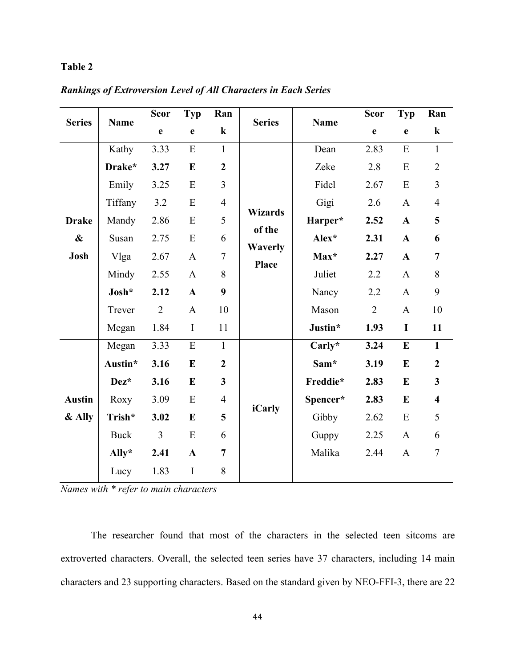# **Table 2**

|  |  | <b>Rankings of Extroversion Level of All Characters in Each Series</b> |
|--|--|------------------------------------------------------------------------|
|  |  |                                                                        |

| <b>Series</b>     | <b>Name</b>    | <b>Scor</b>    | Typ          | Ran              | <b>Series</b>            | <b>Name</b> | Scor           | <b>Typ</b>   | Ran                     |
|-------------------|----------------|----------------|--------------|------------------|--------------------------|-------------|----------------|--------------|-------------------------|
|                   |                | $\mathbf e$    | $\mathbf e$  | $\bf k$          |                          |             | $\mathbf e$    | $\mathbf{e}$ | $\bf k$                 |
|                   | Kathy          | 3.33           | E            | $\mathbf{1}$     |                          | Dean        | 2.83           | ${\bf E}$    | $\mathbf{1}$            |
|                   | Drake*         | 3.27           | E            | $\boldsymbol{2}$ |                          | Zeke        | 2.8            | E            | $\overline{2}$          |
|                   | Emily          | 3.25           | ${\bf E}$    | 3                |                          | Fidel       | 2.67           | ${\bf E}$    | $\overline{3}$          |
|                   | Tiffany        | 3.2            | E            | $\overline{4}$   |                          | Gigi        | 2.6            | $\mathbf{A}$ | $\overline{4}$          |
| <b>Drake</b>      | Mandy          | 2.86           | E            | 5                | <b>Wizards</b><br>of the | Harper*     | 2.52           | $\mathbf{A}$ | 5                       |
| $\boldsymbol{\&}$ | Susan          | 2.75           | ${\bf E}$    | 6                | <b>Waverly</b>           | Alex*       | 2.31           | $\mathbf{A}$ | 6                       |
| Josh              | Vlga           | 2.67           | $\mathbf{A}$ | $\tau$           | <b>Place</b>             | Max*        | 2.27           | $\mathbf{A}$ | $\overline{7}$          |
|                   | Mindy          | 2.55           | $\mathbf{A}$ | 8                |                          | Juliet      | 2.2            | $\mathbf{A}$ | 8                       |
|                   | Josh*          | 2.12           | $\mathbf{A}$ | 9                |                          | Nancy       | 2.2            | $\mathbf{A}$ | 9                       |
|                   | Trever         | $\overline{2}$ | $\mathbf{A}$ | 10               |                          | Mason       | $\overline{2}$ | $\mathbf{A}$ | 10                      |
|                   | Megan          | 1.84           | $\mathbf I$  | 11               |                          | Justin*     | 1.93           | $\mathbf I$  | 11                      |
|                   | Megan          | 3.33           | ${\bf E}$    | $\mathbf{1}$     |                          | Carly*      | 3.24           | ${\bf E}$    | $\mathbf{1}$            |
|                   | Austin*        | 3.16           | $\bf{E}$     | $\overline{2}$   |                          | Sam*        | 3.19           | E            | $\overline{2}$          |
|                   | Dez*           | 3.16           | $\bf{E}$     | $\mathbf{3}$     |                          | Freddie*    | 2.83           | $\bf{E}$     | $\mathbf{3}$            |
| <b>Austin</b>     | Roxy           | 3.09           | E            | $\overline{4}$   |                          | Spencer*    | 2.83           | $\bf{E}$     | $\overline{\mathbf{4}}$ |
| $&$ Ally          | Trish*         | 3.02           | $\bf{E}$     | 5                | <b>iCarly</b>            | Gibby       | 2.62           | ${\bf E}$    | 5                       |
|                   | <b>Buck</b>    | 3              | E            | 6                |                          | Guppy       | 2.25           | $\mathbf{A}$ | 6                       |
|                   | $\text{Ally*}$ | 2.41           | $\mathbf{A}$ | $\overline{7}$   |                          | Malika      | 2.44           | $\mathbf{A}$ | $\boldsymbol{7}$        |
|                   | Lucy           | 1.83           | I            | 8                |                          |             |                |              |                         |

*Names with \* refer to main characters*

The researcher found that most of the characters in the selected teen sitcoms are extroverted characters. Overall, the selected teen series have 37 characters, including 14 main characters and 23 supporting characters. Based on the standard given by NEO-FFI-3, there are 22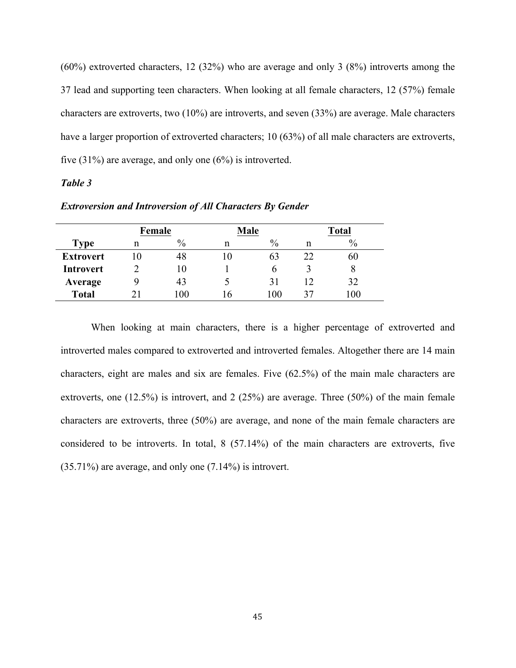(60%) extroverted characters, 12 (32%) who are average and only 3 (8%) introverts among the 37 lead and supporting teen characters. When looking at all female characters, 12 (57%) female characters are extroverts, two (10%) are introverts, and seven (33%) are average. Male characters have a larger proportion of extroverted characters; 10 (63%) of all male characters are extroverts, five (31%) are average, and only one (6%) is introverted.

# *Table 3*

| <b>Extroversion and Introversion of All Characters By Gender</b> |  |  |  |
|------------------------------------------------------------------|--|--|--|
|                                                                  |  |  |  |

|                  | Female |               | <b>Male</b> |               |    | <b>Total</b> |
|------------------|--------|---------------|-------------|---------------|----|--------------|
| <b>Type</b>      | n      | $\frac{0}{0}$ | n           | $\frac{0}{0}$ | n  | $\%$         |
| <b>Extrovert</b> |        | 48            |             | 63            | 22 | 60           |
| <b>Introvert</b> |        | 10            |             |               |    | 8            |
| Average          | q      | 43            |             | 31            | 12 | 32           |
| <b>Total</b>     |        | 00            |             | 100           | 37 | 100          |

When looking at main characters, there is a higher percentage of extroverted and introverted males compared to extroverted and introverted females. Altogether there are 14 main characters, eight are males and six are females. Five (62.5%) of the main male characters are extroverts, one (12.5%) is introvert, and 2 (25%) are average. Three (50%) of the main female characters are extroverts, three (50%) are average, and none of the main female characters are considered to be introverts. In total, 8 (57.14%) of the main characters are extroverts, five (35.71%) are average, and only one (7.14%) is introvert.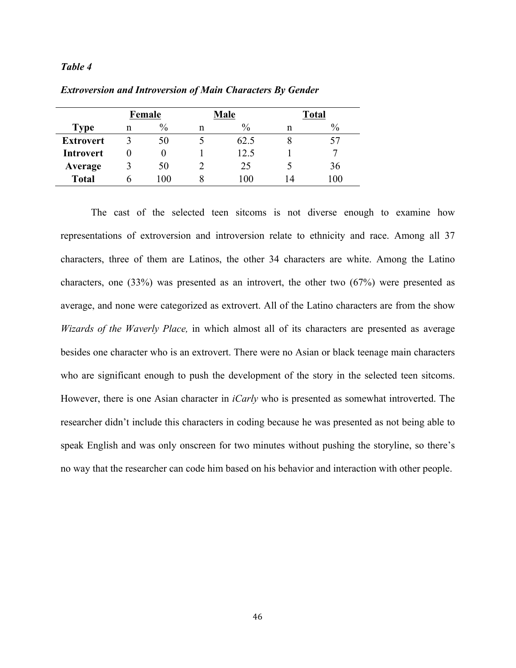### *Table 4*

|                  | Female |      |   | <b>Male</b>   | <b>Total</b> |      |  |
|------------------|--------|------|---|---------------|--------------|------|--|
| <b>Type</b>      | n      | $\%$ | n | $\frac{0}{0}$ | n            | $\%$ |  |
| <b>Extrovert</b> |        | 50   |   | 62.5          |              |      |  |
| Introvert        |        |      |   | 12.5          |              |      |  |
| Average          |        | 50   |   | 25            |              | 36   |  |
| <b>Total</b>     | n      | 100  |   | 100           | 14           | 100  |  |

*Extroversion and Introversion of Main Characters By Gender*

The cast of the selected teen sitcoms is not diverse enough to examine how representations of extroversion and introversion relate to ethnicity and race. Among all 37 characters, three of them are Latinos, the other 34 characters are white. Among the Latino characters, one (33%) was presented as an introvert, the other two (67%) were presented as average, and none were categorized as extrovert. All of the Latino characters are from the show *Wizards of the Waverly Place,* in which almost all of its characters are presented as average besides one character who is an extrovert. There were no Asian or black teenage main characters who are significant enough to push the development of the story in the selected teen sitcoms. However, there is one Asian character in *iCarly* who is presented as somewhat introverted. The researcher didn't include this characters in coding because he was presented as not being able to speak English and was only onscreen for two minutes without pushing the storyline, so there's no way that the researcher can code him based on his behavior and interaction with other people.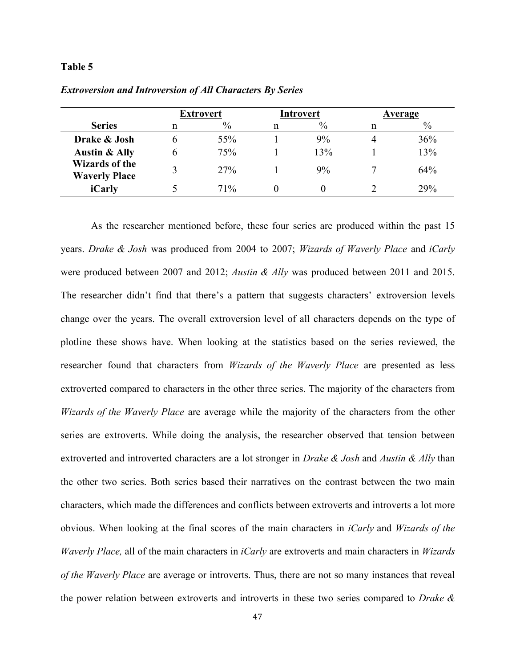### **Table 5**

|                                               |   | <b>Extrovert</b> |  | <b>Introvert</b> |  | Average |
|-----------------------------------------------|---|------------------|--|------------------|--|---------|
| <b>Series</b>                                 | n | $\%$             |  | $\%$             |  | $\%$    |
| Drake & Josh                                  |   | 55%              |  | 9%               |  | 36%     |
| <b>Austin &amp; Ally</b>                      | h | 75%              |  | 13%              |  | 13%     |
| <b>Wizards of the</b><br><b>Waverly Place</b> |   | <b>27%</b>       |  | 9%               |  | 64%     |
| iCarly                                        |   | 71%              |  |                  |  | 29%     |

*Extroversion and Introversion of All Characters By Series*

As the researcher mentioned before, these four series are produced within the past 15 years. *Drake & Josh* was produced from 2004 to 2007; *Wizards of Waverly Place* and *iCarly* were produced between 2007 and 2012; *Austin & Ally* was produced between 2011 and 2015. The researcher didn't find that there's a pattern that suggests characters' extroversion levels change over the years. The overall extroversion level of all characters depends on the type of plotline these shows have. When looking at the statistics based on the series reviewed, the researcher found that characters from *Wizards of the Waverly Place* are presented as less extroverted compared to characters in the other three series. The majority of the characters from *Wizards of the Waverly Place* are average while the majority of the characters from the other series are extroverts. While doing the analysis, the researcher observed that tension between extroverted and introverted characters are a lot stronger in *Drake & Josh* and *Austin & Ally* than the other two series. Both series based their narratives on the contrast between the two main characters, which made the differences and conflicts between extroverts and introverts a lot more obvious. When looking at the final scores of the main characters in *iCarly* and *Wizards of the Waverly Place,* all of the main characters in *iCarly* are extroverts and main characters in *Wizards of the Waverly Place* are average or introverts. Thus, there are not so many instances that reveal the power relation between extroverts and introverts in these two series compared to *Drake &*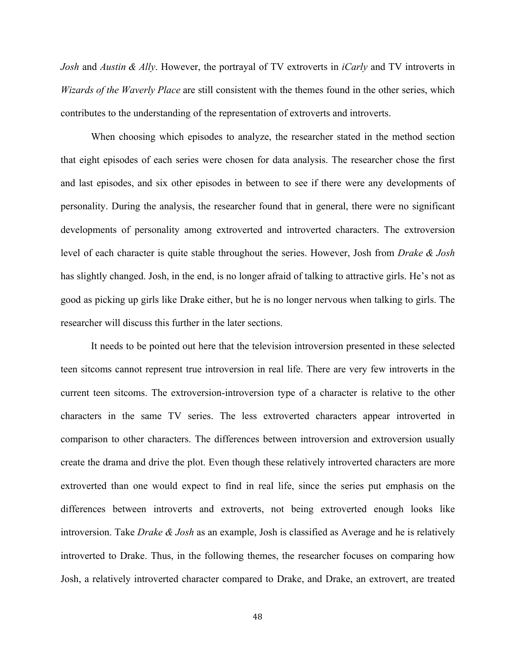*Josh* and *Austin & Ally*. However, the portrayal of TV extroverts in *iCarly* and TV introverts in *Wizards of the Waverly Place* are still consistent with the themes found in the other series, which contributes to the understanding of the representation of extroverts and introverts.

When choosing which episodes to analyze, the researcher stated in the method section that eight episodes of each series were chosen for data analysis. The researcher chose the first and last episodes, and six other episodes in between to see if there were any developments of personality. During the analysis, the researcher found that in general, there were no significant developments of personality among extroverted and introverted characters. The extroversion level of each character is quite stable throughout the series. However, Josh from *Drake & Josh* has slightly changed. Josh, in the end, is no longer afraid of talking to attractive girls. He's not as good as picking up girls like Drake either, but he is no longer nervous when talking to girls. The researcher will discuss this further in the later sections.

It needs to be pointed out here that the television introversion presented in these selected teen sitcoms cannot represent true introversion in real life. There are very few introverts in the current teen sitcoms. The extroversion-introversion type of a character is relative to the other characters in the same TV series. The less extroverted characters appear introverted in comparison to other characters. The differences between introversion and extroversion usually create the drama and drive the plot. Even though these relatively introverted characters are more extroverted than one would expect to find in real life, since the series put emphasis on the differences between introverts and extroverts, not being extroverted enough looks like introversion. Take *Drake & Josh* as an example, Josh is classified as Average and he is relatively introverted to Drake. Thus, in the following themes, the researcher focuses on comparing how Josh, a relatively introverted character compared to Drake, and Drake, an extrovert, are treated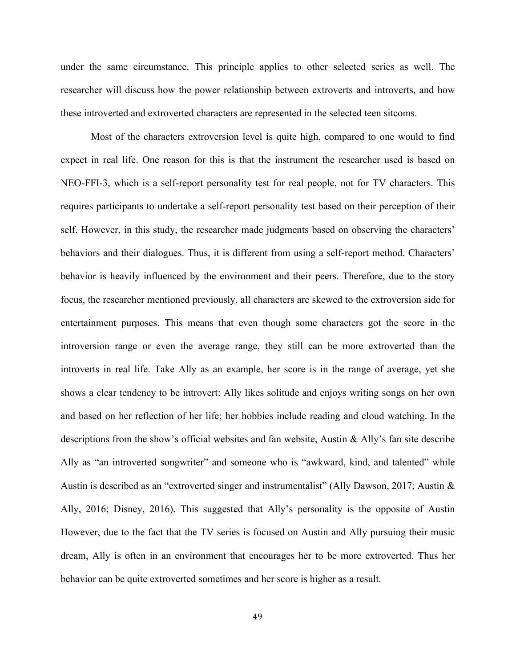under the same circumstance. This principle applies to other selected series as well. The researcher will discuss how the power relationship between extroverts and introverts, and how these introverted and extroverted characters are represented in the selected teen sitcoms.

Most of the characters extroversion level is quite high, compared to one would to find expect in real life. One reason for this is that the instrument the researcher used is based on NEO-FFI-3, which is a self-report personality test for real people, not for TV characters. This requires participants to undertake a self-report personality test based on their perception of their self. However, in this study, the researcher made judgments based on observing the characters' behaviors and their dialogues. Thus, it is different from using a self-report method. Characters' behavior is heavily influenced by the environment and their peers. Therefore, due to the story focus, the researcher mentioned previously, all characters are skewed to the extroversion side for entertainment purposes. This means that even though some characters got the score in the introversion range or even the average range, they still can be more extroverted than the introverts in real life. Take Ally as an example, her score is in the range of average, yet she shows a clear tendency to be introvert: Ally likes solitude and enjoys writing songs on her own and based on her reflection of her life; her hobbies include reading and cloud watching. In the descriptions from the show's official websites and fan website, Austin & Ally's fan site describe Ally as "an introverted songwriter" and someone who is "awkward, kind, and talented" while Austin is described as an "extroverted singer and instrumentalist" (Ally Dawson, 2017; Austin & Ally, 2016; Disney, 2016). This suggested that Ally's personality is the opposite of Austin However, due to the fact that the TV series is focused on Austin and Ally pursuing their music dream, Ally is often in an environment that encourages her to be more extroverted. Thus her behavior can be quite extroverted sometimes and her score is higher as a result.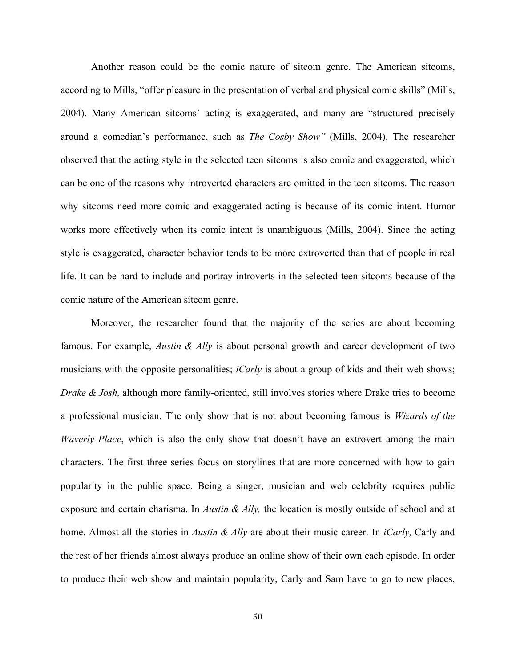Another reason could be the comic nature of sitcom genre. The American sitcoms, according to Mills, "offer pleasure in the presentation of verbal and physical comic skills" (Mills, 2004). Many American sitcoms' acting is exaggerated, and many are "structured precisely around a comedian's performance, such as *The Cosby Show"* (Mills, 2004). The researcher observed that the acting style in the selected teen sitcoms is also comic and exaggerated, which can be one of the reasons why introverted characters are omitted in the teen sitcoms. The reason why sitcoms need more comic and exaggerated acting is because of its comic intent. Humor works more effectively when its comic intent is unambiguous (Mills, 2004). Since the acting style is exaggerated, character behavior tends to be more extroverted than that of people in real life. It can be hard to include and portray introverts in the selected teen sitcoms because of the comic nature of the American sitcom genre.

Moreover, the researcher found that the majority of the series are about becoming famous. For example, *Austin & Ally* is about personal growth and career development of two musicians with the opposite personalities; *iCarly* is about a group of kids and their web shows; *Drake & Josh,* although more family-oriented, still involves stories where Drake tries to become a professional musician. The only show that is not about becoming famous is *Wizards of the Waverly Place*, which is also the only show that doesn't have an extrovert among the main characters. The first three series focus on storylines that are more concerned with how to gain popularity in the public space. Being a singer, musician and web celebrity requires public exposure and certain charisma. In *Austin & Ally,* the location is mostly outside of school and at home. Almost all the stories in *Austin & Ally* are about their music career. In *iCarly,* Carly and the rest of her friends almost always produce an online show of their own each episode. In order to produce their web show and maintain popularity, Carly and Sam have to go to new places,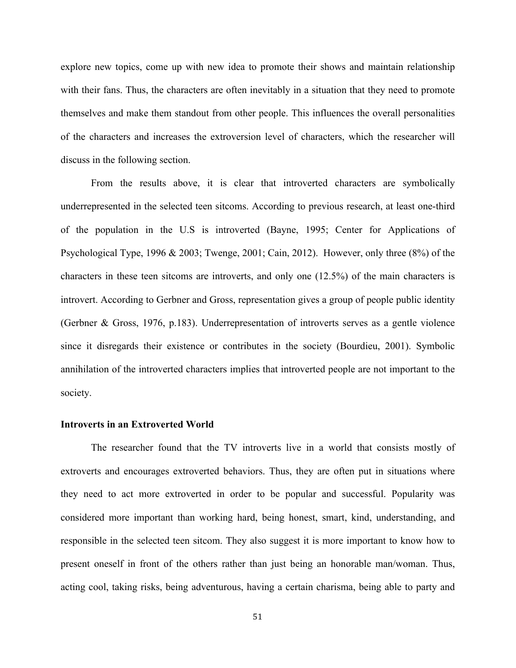explore new topics, come up with new idea to promote their shows and maintain relationship with their fans. Thus, the characters are often inevitably in a situation that they need to promote themselves and make them standout from other people. This influences the overall personalities of the characters and increases the extroversion level of characters, which the researcher will discuss in the following section.

From the results above, it is clear that introverted characters are symbolically underrepresented in the selected teen sitcoms. According to previous research, at least one-third of the population in the U.S is introverted (Bayne, 1995; Center for Applications of Psychological Type, 1996 & 2003; Twenge, 2001; Cain, 2012). However, only three (8%) of the characters in these teen sitcoms are introverts, and only one (12.5%) of the main characters is introvert. According to Gerbner and Gross, representation gives a group of people public identity (Gerbner & Gross, 1976, p.183). Underrepresentation of introverts serves as a gentle violence since it disregards their existence or contributes in the society (Bourdieu, 2001). Symbolic annihilation of the introverted characters implies that introverted people are not important to the society.

### **Introverts in an Extroverted World**

The researcher found that the TV introverts live in a world that consists mostly of extroverts and encourages extroverted behaviors. Thus, they are often put in situations where they need to act more extroverted in order to be popular and successful. Popularity was considered more important than working hard, being honest, smart, kind, understanding, and responsible in the selected teen sitcom. They also suggest it is more important to know how to present oneself in front of the others rather than just being an honorable man/woman. Thus, acting cool, taking risks, being adventurous, having a certain charisma, being able to party and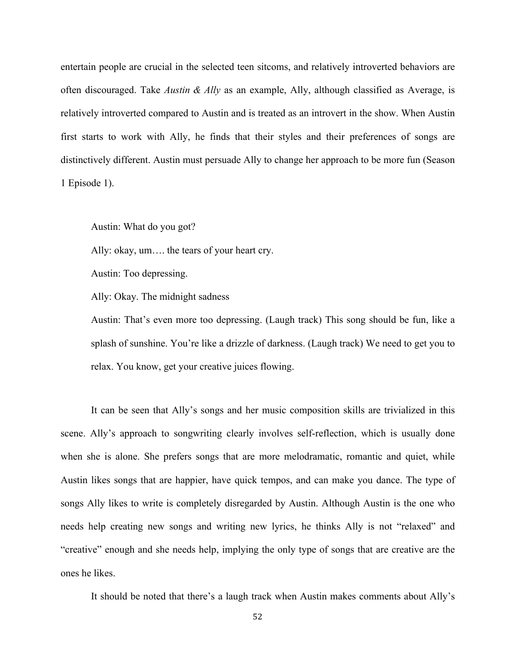entertain people are crucial in the selected teen sitcoms, and relatively introverted behaviors are often discouraged. Take *Austin & Ally* as an example, Ally, although classified as Average, is relatively introverted compared to Austin and is treated as an introvert in the show. When Austin first starts to work with Ally, he finds that their styles and their preferences of songs are distinctively different. Austin must persuade Ally to change her approach to be more fun (Season 1 Episode 1).

Austin: What do you got?

Ally: okay, um…. the tears of your heart cry.

Austin: Too depressing.

Ally: Okay. The midnight sadness

Austin: That's even more too depressing. (Laugh track) This song should be fun, like a splash of sunshine. You're like a drizzle of darkness. (Laugh track) We need to get you to relax. You know, get your creative juices flowing.

It can be seen that Ally's songs and her music composition skills are trivialized in this scene. Ally's approach to songwriting clearly involves self-reflection, which is usually done when she is alone. She prefers songs that are more melodramatic, romantic and quiet, while Austin likes songs that are happier, have quick tempos, and can make you dance. The type of songs Ally likes to write is completely disregarded by Austin. Although Austin is the one who needs help creating new songs and writing new lyrics, he thinks Ally is not "relaxed" and "creative" enough and she needs help, implying the only type of songs that are creative are the ones he likes.

It should be noted that there's a laugh track when Austin makes comments about Ally's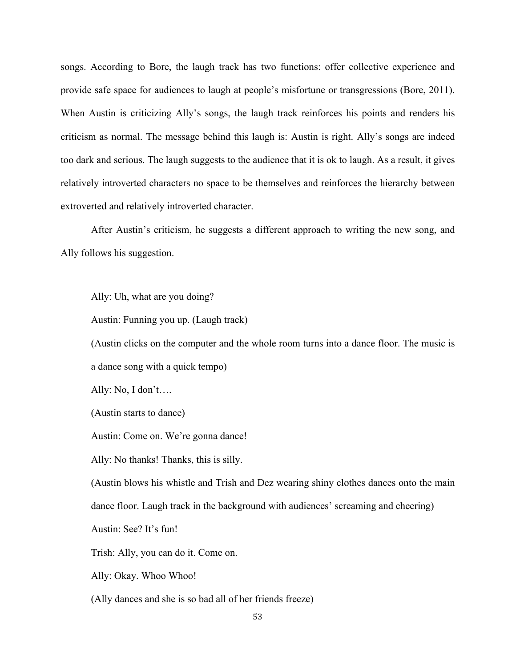songs. According to Bore, the laugh track has two functions: offer collective experience and provide safe space for audiences to laugh at people's misfortune or transgressions (Bore, 2011). When Austin is criticizing Ally's songs, the laugh track reinforces his points and renders his criticism as normal. The message behind this laugh is: Austin is right. Ally's songs are indeed too dark and serious. The laugh suggests to the audience that it is ok to laugh. As a result, it gives relatively introverted characters no space to be themselves and reinforces the hierarchy between extroverted and relatively introverted character.

After Austin's criticism, he suggests a different approach to writing the new song, and Ally follows his suggestion.

Ally: Uh, what are you doing?

Austin: Funning you up. (Laugh track)

(Austin clicks on the computer and the whole room turns into a dance floor. The music is a dance song with a quick tempo)

Ally: No, I don't….

(Austin starts to dance)

Austin: Come on. We're gonna dance!

Ally: No thanks! Thanks, this is silly.

(Austin blows his whistle and Trish and Dez wearing shiny clothes dances onto the main dance floor. Laugh track in the background with audiences' screaming and cheering)

Austin: See? It's fun!

Trish: Ally, you can do it. Come on.

Ally: Okay. Whoo Whoo!

(Ally dances and she is so bad all of her friends freeze)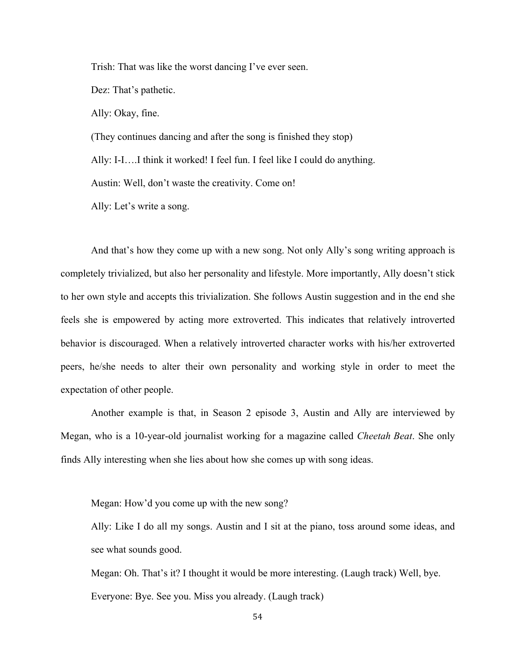Trish: That was like the worst dancing I've ever seen.

Dez: That's pathetic.

Ally: Okay, fine.

(They continues dancing and after the song is finished they stop) Ally: I-I….I think it worked! I feel fun. I feel like I could do anything. Austin: Well, don't waste the creativity. Come on!

Ally: Let's write a song.

And that's how they come up with a new song. Not only Ally's song writing approach is completely trivialized, but also her personality and lifestyle. More importantly, Ally doesn't stick to her own style and accepts this trivialization. She follows Austin suggestion and in the end she feels she is empowered by acting more extroverted. This indicates that relatively introverted behavior is discouraged. When a relatively introverted character works with his/her extroverted peers, he/she needs to alter their own personality and working style in order to meet the expectation of other people.

Another example is that, in Season 2 episode 3, Austin and Ally are interviewed by Megan, who is a 10-year-old journalist working for a magazine called *Cheetah Beat*. She only finds Ally interesting when she lies about how she comes up with song ideas.

Megan: How'd you come up with the new song?

Ally: Like I do all my songs. Austin and I sit at the piano, toss around some ideas, and see what sounds good.

Megan: Oh. That's it? I thought it would be more interesting. (Laugh track) Well, bye. Everyone: Bye. See you. Miss you already. (Laugh track)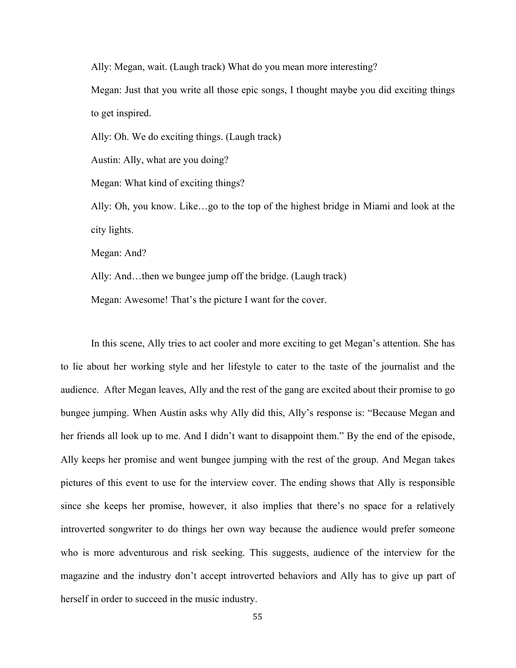Ally: Megan, wait. (Laugh track) What do you mean more interesting?

Megan: Just that you write all those epic songs, I thought maybe you did exciting things to get inspired.

Ally: Oh. We do exciting things. (Laugh track)

Austin: Ally, what are you doing?

Megan: What kind of exciting things?

Ally: Oh, you know. Like…go to the top of the highest bridge in Miami and look at the city lights.

Megan: And?

Ally: And…then we bungee jump off the bridge. (Laugh track)

Megan: Awesome! That's the picture I want for the cover.

In this scene, Ally tries to act cooler and more exciting to get Megan's attention. She has to lie about her working style and her lifestyle to cater to the taste of the journalist and the audience. After Megan leaves, Ally and the rest of the gang are excited about their promise to go bungee jumping. When Austin asks why Ally did this, Ally's response is: "Because Megan and her friends all look up to me. And I didn't want to disappoint them." By the end of the episode, Ally keeps her promise and went bungee jumping with the rest of the group. And Megan takes pictures of this event to use for the interview cover. The ending shows that Ally is responsible since she keeps her promise, however, it also implies that there's no space for a relatively introverted songwriter to do things her own way because the audience would prefer someone who is more adventurous and risk seeking. This suggests, audience of the interview for the magazine and the industry don't accept introverted behaviors and Ally has to give up part of herself in order to succeed in the music industry.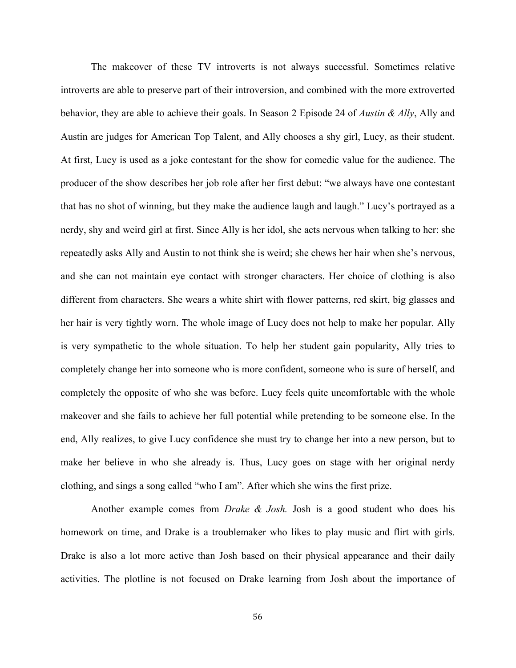The makeover of these TV introverts is not always successful. Sometimes relative introverts are able to preserve part of their introversion, and combined with the more extroverted behavior, they are able to achieve their goals. In Season 2 Episode 24 of *Austin & Ally*, Ally and Austin are judges for American Top Talent, and Ally chooses a shy girl, Lucy, as their student. At first, Lucy is used as a joke contestant for the show for comedic value for the audience. The producer of the show describes her job role after her first debut: "we always have one contestant that has no shot of winning, but they make the audience laugh and laugh." Lucy's portrayed as a nerdy, shy and weird girl at first. Since Ally is her idol, she acts nervous when talking to her: she repeatedly asks Ally and Austin to not think she is weird; she chews her hair when she's nervous, and she can not maintain eye contact with stronger characters. Her choice of clothing is also different from characters. She wears a white shirt with flower patterns, red skirt, big glasses and her hair is very tightly worn. The whole image of Lucy does not help to make her popular. Ally is very sympathetic to the whole situation. To help her student gain popularity, Ally tries to completely change her into someone who is more confident, someone who is sure of herself, and completely the opposite of who she was before. Lucy feels quite uncomfortable with the whole makeover and she fails to achieve her full potential while pretending to be someone else. In the end, Ally realizes, to give Lucy confidence she must try to change her into a new person, but to make her believe in who she already is. Thus, Lucy goes on stage with her original nerdy clothing, and sings a song called "who I am". After which she wins the first prize.

Another example comes from *Drake & Josh.* Josh is a good student who does his homework on time, and Drake is a troublemaker who likes to play music and flirt with girls. Drake is also a lot more active than Josh based on their physical appearance and their daily activities. The plotline is not focused on Drake learning from Josh about the importance of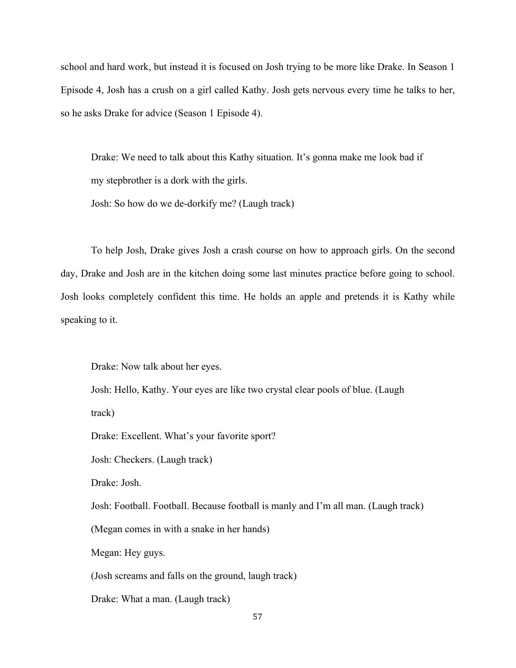school and hard work, but instead it is focused on Josh trying to be more like Drake. In Season 1 Episode 4, Josh has a crush on a girl called Kathy. Josh gets nervous every time he talks to her, so he asks Drake for advice (Season 1 Episode 4).

Drake: We need to talk about this Kathy situation. It's gonna make me look bad if my stepbrother is a dork with the girls.

Josh: So how do we de-dorkify me? (Laugh track)

To help Josh, Drake gives Josh a crash course on how to approach girls. On the second day, Drake and Josh are in the kitchen doing some last minutes practice before going to school. Josh looks completely confident this time. He holds an apple and pretends it is Kathy while speaking to it.

Drake: Now talk about her eyes.

Josh: Hello, Kathy. Your eyes are like two crystal clear pools of blue. (Laugh

track)

Drake: Excellent. What's your favorite sport?

Josh: Checkers. (Laugh track)

Drake: Josh.

Josh: Football. Football. Because football is manly and I'm all man. (Laugh track)

(Megan comes in with a snake in her hands)

Megan: Hey guys.

(Josh screams and falls on the ground, laugh track)

Drake: What a man. (Laugh track)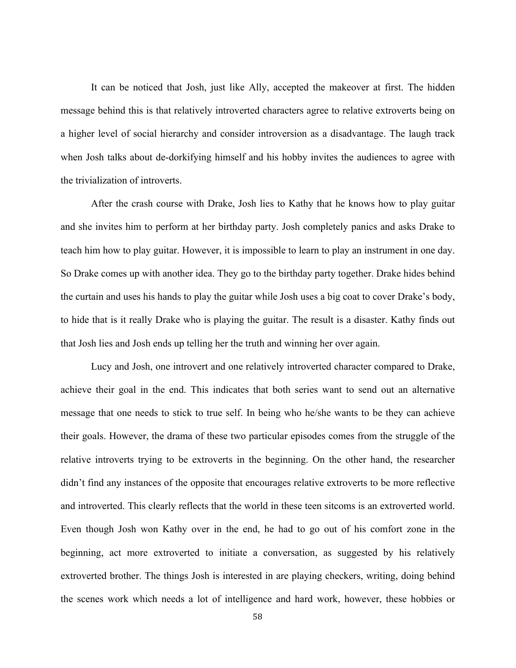It can be noticed that Josh, just like Ally, accepted the makeover at first. The hidden message behind this is that relatively introverted characters agree to relative extroverts being on a higher level of social hierarchy and consider introversion as a disadvantage. The laugh track when Josh talks about de-dorkifying himself and his hobby invites the audiences to agree with the trivialization of introverts.

After the crash course with Drake, Josh lies to Kathy that he knows how to play guitar and she invites him to perform at her birthday party. Josh completely panics and asks Drake to teach him how to play guitar. However, it is impossible to learn to play an instrument in one day. So Drake comes up with another idea. They go to the birthday party together. Drake hides behind the curtain and uses his hands to play the guitar while Josh uses a big coat to cover Drake's body, to hide that is it really Drake who is playing the guitar. The result is a disaster. Kathy finds out that Josh lies and Josh ends up telling her the truth and winning her over again.

Lucy and Josh, one introvert and one relatively introverted character compared to Drake, achieve their goal in the end. This indicates that both series want to send out an alternative message that one needs to stick to true self. In being who he/she wants to be they can achieve their goals. However, the drama of these two particular episodes comes from the struggle of the relative introverts trying to be extroverts in the beginning. On the other hand, the researcher didn't find any instances of the opposite that encourages relative extroverts to be more reflective and introverted. This clearly reflects that the world in these teen sitcoms is an extroverted world. Even though Josh won Kathy over in the end, he had to go out of his comfort zone in the beginning, act more extroverted to initiate a conversation, as suggested by his relatively extroverted brother. The things Josh is interested in are playing checkers, writing, doing behind the scenes work which needs a lot of intelligence and hard work, however, these hobbies or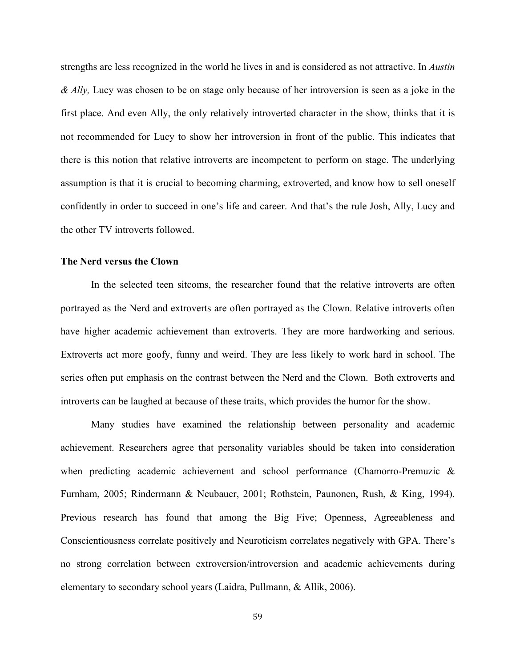strengths are less recognized in the world he lives in and is considered as not attractive. In *Austin & Ally,* Lucy was chosen to be on stage only because of her introversion is seen as a joke in the first place. And even Ally, the only relatively introverted character in the show, thinks that it is not recommended for Lucy to show her introversion in front of the public. This indicates that there is this notion that relative introverts are incompetent to perform on stage. The underlying assumption is that it is crucial to becoming charming, extroverted, and know how to sell oneself confidently in order to succeed in one's life and career. And that's the rule Josh, Ally, Lucy and the other TV introverts followed.

### **The Nerd versus the Clown**

In the selected teen sitcoms, the researcher found that the relative introverts are often portrayed as the Nerd and extroverts are often portrayed as the Clown. Relative introverts often have higher academic achievement than extroverts. They are more hardworking and serious. Extroverts act more goofy, funny and weird. They are less likely to work hard in school. The series often put emphasis on the contrast between the Nerd and the Clown. Both extroverts and introverts can be laughed at because of these traits, which provides the humor for the show.

Many studies have examined the relationship between personality and academic achievement. Researchers agree that personality variables should be taken into consideration when predicting academic achievement and school performance (Chamorro-Premuzic & Furnham, 2005; Rindermann & Neubauer, 2001; Rothstein, Paunonen, Rush, & King, 1994). Previous research has found that among the Big Five; Openness, Agreeableness and Conscientiousness correlate positively and Neuroticism correlates negatively with GPA. There's no strong correlation between extroversion/introversion and academic achievements during elementary to secondary school years (Laidra, Pullmann, & Allik, 2006).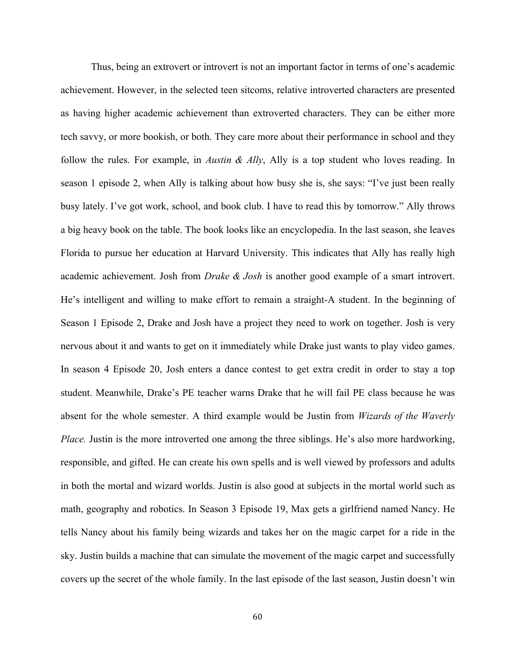Thus, being an extrovert or introvert is not an important factor in terms of one's academic achievement. However, in the selected teen sitcoms, relative introverted characters are presented as having higher academic achievement than extroverted characters. They can be either more tech savvy, or more bookish, or both. They care more about their performance in school and they follow the rules. For example, in *Austin & Ally*, Ally is a top student who loves reading. In season 1 episode 2, when Ally is talking about how busy she is, she says: "I've just been really busy lately. I've got work, school, and book club. I have to read this by tomorrow." Ally throws a big heavy book on the table. The book looks like an encyclopedia. In the last season, she leaves Florida to pursue her education at Harvard University. This indicates that Ally has really high academic achievement. Josh from *Drake & Josh* is another good example of a smart introvert. He's intelligent and willing to make effort to remain a straight-A student. In the beginning of Season 1 Episode 2, Drake and Josh have a project they need to work on together. Josh is very nervous about it and wants to get on it immediately while Drake just wants to play video games. In season 4 Episode 20, Josh enters a dance contest to get extra credit in order to stay a top student. Meanwhile, Drake's PE teacher warns Drake that he will fail PE class because he was absent for the whole semester. A third example would be Justin from *Wizards of the Waverly Place.* Justin is the more introverted one among the three siblings. He's also more hardworking, responsible, and gifted. He can create his own spells and is well viewed by professors and adults in both the mortal and wizard worlds. Justin is also good at subjects in the mortal world such as math, geography and robotics. In Season 3 Episode 19, Max gets a girlfriend named Nancy. He tells Nancy about his family being wizards and takes her on the magic carpet for a ride in the sky. Justin builds a machine that can simulate the movement of the magic carpet and successfully covers up the secret of the whole family. In the last episode of the last season, Justin doesn't win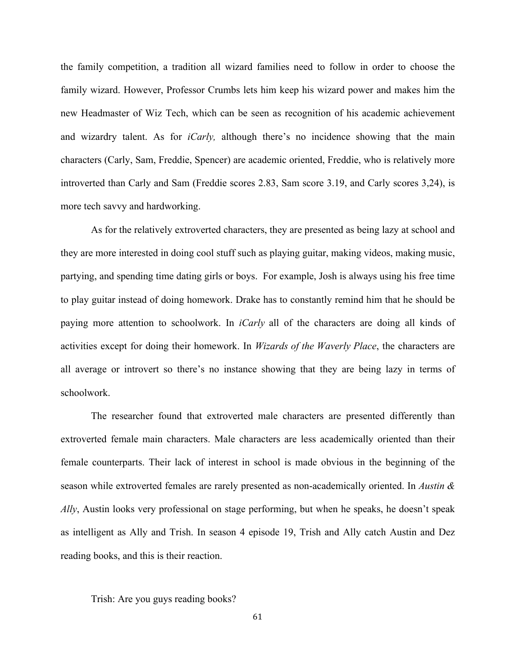the family competition, a tradition all wizard families need to follow in order to choose the family wizard. However, Professor Crumbs lets him keep his wizard power and makes him the new Headmaster of Wiz Tech, which can be seen as recognition of his academic achievement and wizardry talent. As for *iCarly,* although there's no incidence showing that the main characters (Carly, Sam, Freddie, Spencer) are academic oriented, Freddie, who is relatively more introverted than Carly and Sam (Freddie scores 2.83, Sam score 3.19, and Carly scores 3,24), is more tech savvy and hardworking.

As for the relatively extroverted characters, they are presented as being lazy at school and they are more interested in doing cool stuff such as playing guitar, making videos, making music, partying, and spending time dating girls or boys. For example, Josh is always using his free time to play guitar instead of doing homework. Drake has to constantly remind him that he should be paying more attention to schoolwork. In *iCarly* all of the characters are doing all kinds of activities except for doing their homework. In *Wizards of the Waverly Place*, the characters are all average or introvert so there's no instance showing that they are being lazy in terms of schoolwork.

The researcher found that extroverted male characters are presented differently than extroverted female main characters. Male characters are less academically oriented than their female counterparts. Their lack of interest in school is made obvious in the beginning of the season while extroverted females are rarely presented as non-academically oriented. In *Austin & Ally*, Austin looks very professional on stage performing, but when he speaks, he doesn't speak as intelligent as Ally and Trish. In season 4 episode 19, Trish and Ally catch Austin and Dez reading books, and this is their reaction.

Trish: Are you guys reading books?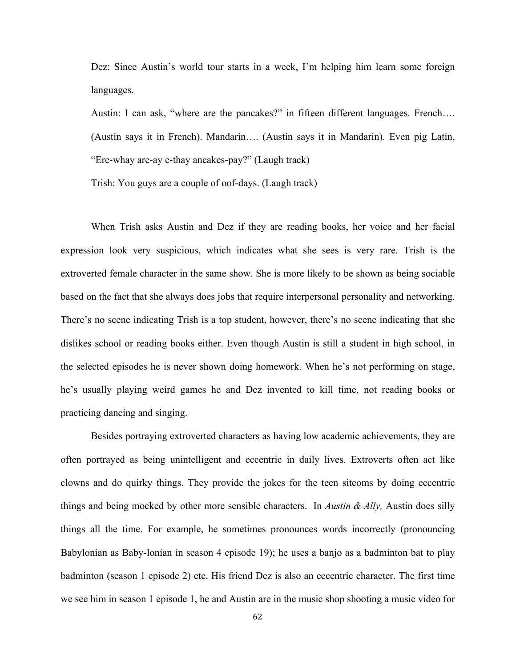Dez: Since Austin's world tour starts in a week, I'm helping him learn some foreign languages.

Austin: I can ask, "where are the pancakes?" in fifteen different languages. French…. (Austin says it in French). Mandarin…. (Austin says it in Mandarin). Even pig Latin, "Ere-whay are-ay e-thay ancakes-pay?" (Laugh track)

Trish: You guys are a couple of oof-days. (Laugh track)

When Trish asks Austin and Dez if they are reading books, her voice and her facial expression look very suspicious, which indicates what she sees is very rare. Trish is the extroverted female character in the same show. She is more likely to be shown as being sociable based on the fact that she always does jobs that require interpersonal personality and networking. There's no scene indicating Trish is a top student, however, there's no scene indicating that she dislikes school or reading books either. Even though Austin is still a student in high school, in the selected episodes he is never shown doing homework. When he's not performing on stage, he's usually playing weird games he and Dez invented to kill time, not reading books or practicing dancing and singing.

Besides portraying extroverted characters as having low academic achievements, they are often portrayed as being unintelligent and eccentric in daily lives. Extroverts often act like clowns and do quirky things. They provide the jokes for the teen sitcoms by doing eccentric things and being mocked by other more sensible characters. In *Austin & Ally,* Austin does silly things all the time. For example, he sometimes pronounces words incorrectly (pronouncing Babylonian as Baby-lonian in season 4 episode 19); he uses a banjo as a badminton bat to play badminton (season 1 episode 2) etc. His friend Dez is also an eccentric character. The first time we see him in season 1 episode 1, he and Austin are in the music shop shooting a music video for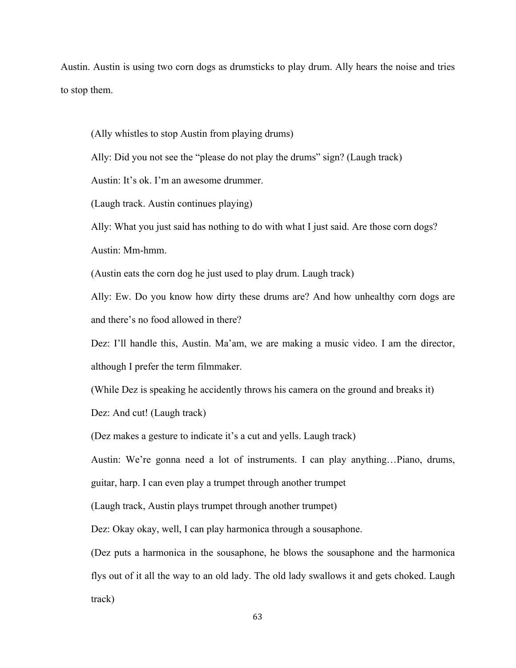Austin. Austin is using two corn dogs as drumsticks to play drum. Ally hears the noise and tries to stop them.

(Ally whistles to stop Austin from playing drums)

Ally: Did you not see the "please do not play the drums" sign? (Laugh track)

Austin: It's ok. I'm an awesome drummer.

(Laugh track. Austin continues playing)

Ally: What you just said has nothing to do with what I just said. Are those corn dogs?

Austin: Mm-hmm.

(Austin eats the corn dog he just used to play drum. Laugh track)

Ally: Ew. Do you know how dirty these drums are? And how unhealthy corn dogs are and there's no food allowed in there?

Dez: I'll handle this, Austin. Ma'am, we are making a music video. I am the director, although I prefer the term filmmaker.

(While Dez is speaking he accidently throws his camera on the ground and breaks it)

Dez: And cut! (Laugh track)

(Dez makes a gesture to indicate it's a cut and yells. Laugh track)

Austin: We're gonna need a lot of instruments. I can play anything…Piano, drums,

guitar, harp. I can even play a trumpet through another trumpet

(Laugh track, Austin plays trumpet through another trumpet)

Dez: Okay okay, well, I can play harmonica through a sousaphone.

(Dez puts a harmonica in the sousaphone, he blows the sousaphone and the harmonica flys out of it all the way to an old lady. The old lady swallows it and gets choked. Laugh track)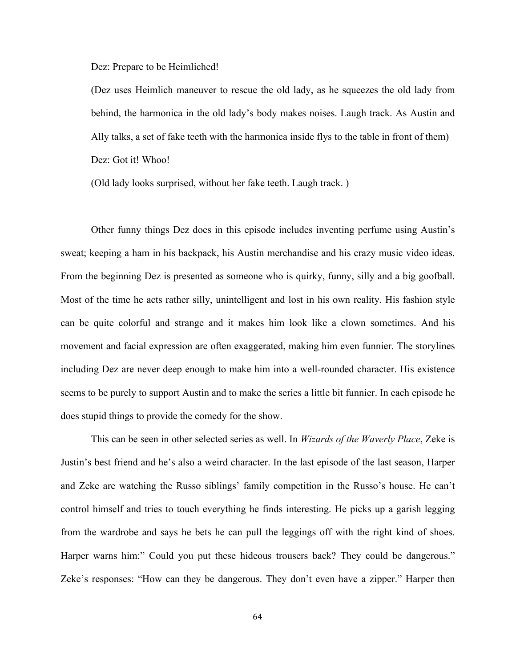Dez: Prepare to be Heimliched!

(Dez uses Heimlich maneuver to rescue the old lady, as he squeezes the old lady from behind, the harmonica in the old lady's body makes noises. Laugh track. As Austin and Ally talks, a set of fake teeth with the harmonica inside flys to the table in front of them) Dez: Got it! Whoo!

(Old lady looks surprised, without her fake teeth. Laugh track. )

Other funny things Dez does in this episode includes inventing perfume using Austin's sweat; keeping a ham in his backpack, his Austin merchandise and his crazy music video ideas. From the beginning Dez is presented as someone who is quirky, funny, silly and a big goofball. Most of the time he acts rather silly, unintelligent and lost in his own reality. His fashion style can be quite colorful and strange and it makes him look like a clown sometimes. And his movement and facial expression are often exaggerated, making him even funnier. The storylines including Dez are never deep enough to make him into a well-rounded character. His existence seems to be purely to support Austin and to make the series a little bit funnier. In each episode he does stupid things to provide the comedy for the show.

This can be seen in other selected series as well. In *Wizards of the Waverly Place*, Zeke is Justin's best friend and he's also a weird character. In the last episode of the last season, Harper and Zeke are watching the Russo siblings' family competition in the Russo's house. He can't control himself and tries to touch everything he finds interesting. He picks up a garish legging from the wardrobe and says he bets he can pull the leggings off with the right kind of shoes. Harper warns him:" Could you put these hideous trousers back? They could be dangerous." Zeke's responses: "How can they be dangerous. They don't even have a zipper." Harper then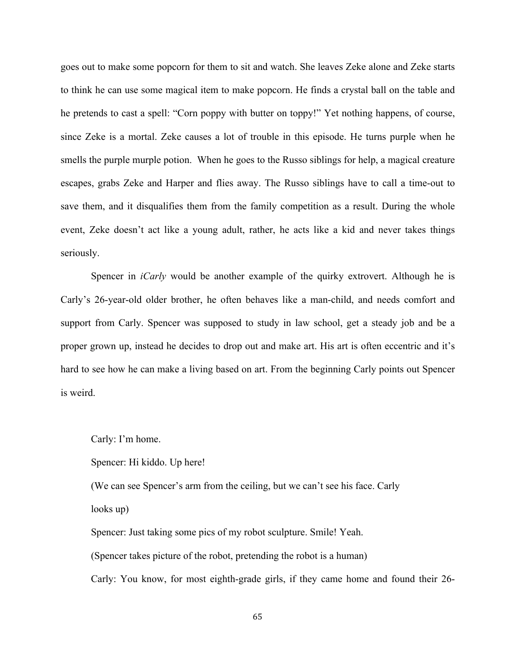goes out to make some popcorn for them to sit and watch. She leaves Zeke alone and Zeke starts to think he can use some magical item to make popcorn. He finds a crystal ball on the table and he pretends to cast a spell: "Corn poppy with butter on toppy!" Yet nothing happens, of course, since Zeke is a mortal. Zeke causes a lot of trouble in this episode. He turns purple when he smells the purple murple potion. When he goes to the Russo siblings for help, a magical creature escapes, grabs Zeke and Harper and flies away. The Russo siblings have to call a time-out to save them, and it disqualifies them from the family competition as a result. During the whole event, Zeke doesn't act like a young adult, rather, he acts like a kid and never takes things seriously.

Spencer in *iCarly* would be another example of the quirky extrovert. Although he is Carly's 26-year-old older brother, he often behaves like a man-child, and needs comfort and support from Carly. Spencer was supposed to study in law school, get a steady job and be a proper grown up, instead he decides to drop out and make art. His art is often eccentric and it's hard to see how he can make a living based on art. From the beginning Carly points out Spencer is weird.

Carly: I'm home.

Spencer: Hi kiddo. Up here!

(We can see Spencer's arm from the ceiling, but we can't see his face. Carly

looks up)

Spencer: Just taking some pics of my robot sculpture. Smile! Yeah.

(Spencer takes picture of the robot, pretending the robot is a human)

Carly: You know, for most eighth-grade girls, if they came home and found their 26-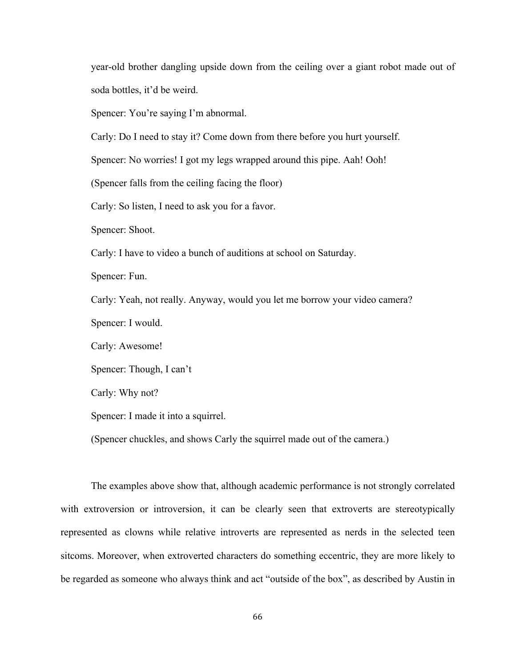year-old brother dangling upside down from the ceiling over a giant robot made out of soda bottles, it'd be weird.

Spencer: You're saying I'm abnormal.

Carly: Do I need to stay it? Come down from there before you hurt yourself.

Spencer: No worries! I got my legs wrapped around this pipe. Aah! Ooh!

(Spencer falls from the ceiling facing the floor)

Carly: So listen, I need to ask you for a favor.

Spencer: Shoot.

Carly: I have to video a bunch of auditions at school on Saturday.

Spencer: Fun.

Carly: Yeah, not really. Anyway, would you let me borrow your video camera?

Spencer: I would.

Carly: Awesome!

Spencer: Though, I can't

Carly: Why not?

Spencer: I made it into a squirrel.

(Spencer chuckles, and shows Carly the squirrel made out of the camera.)

The examples above show that, although academic performance is not strongly correlated with extroversion or introversion, it can be clearly seen that extroverts are stereotypically represented as clowns while relative introverts are represented as nerds in the selected teen sitcoms. Moreover, when extroverted characters do something eccentric, they are more likely to be regarded as someone who always think and act "outside of the box", as described by Austin in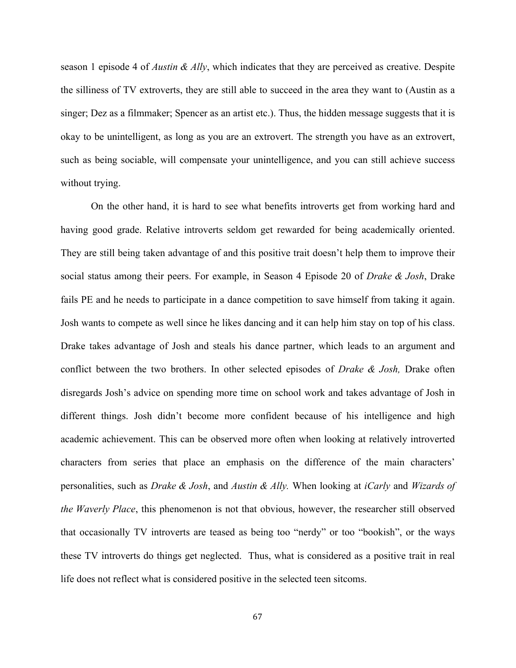season 1 episode 4 of *Austin & Ally*, which indicates that they are perceived as creative. Despite the silliness of TV extroverts, they are still able to succeed in the area they want to (Austin as a singer; Dez as a filmmaker; Spencer as an artist etc.). Thus, the hidden message suggests that it is okay to be unintelligent, as long as you are an extrovert. The strength you have as an extrovert, such as being sociable, will compensate your unintelligence, and you can still achieve success without trying.

On the other hand, it is hard to see what benefits introverts get from working hard and having good grade. Relative introverts seldom get rewarded for being academically oriented. They are still being taken advantage of and this positive trait doesn't help them to improve their social status among their peers. For example, in Season 4 Episode 20 of *Drake & Josh*, Drake fails PE and he needs to participate in a dance competition to save himself from taking it again. Josh wants to compete as well since he likes dancing and it can help him stay on top of his class. Drake takes advantage of Josh and steals his dance partner, which leads to an argument and conflict between the two brothers. In other selected episodes of *Drake & Josh,* Drake often disregards Josh's advice on spending more time on school work and takes advantage of Josh in different things. Josh didn't become more confident because of his intelligence and high academic achievement. This can be observed more often when looking at relatively introverted characters from series that place an emphasis on the difference of the main characters' personalities, such as *Drake & Josh*, and *Austin & Ally.* When looking at *iCarly* and *Wizards of the Waverly Place*, this phenomenon is not that obvious, however, the researcher still observed that occasionally TV introverts are teased as being too "nerdy" or too "bookish", or the ways these TV introverts do things get neglected. Thus, what is considered as a positive trait in real life does not reflect what is considered positive in the selected teen sitcoms.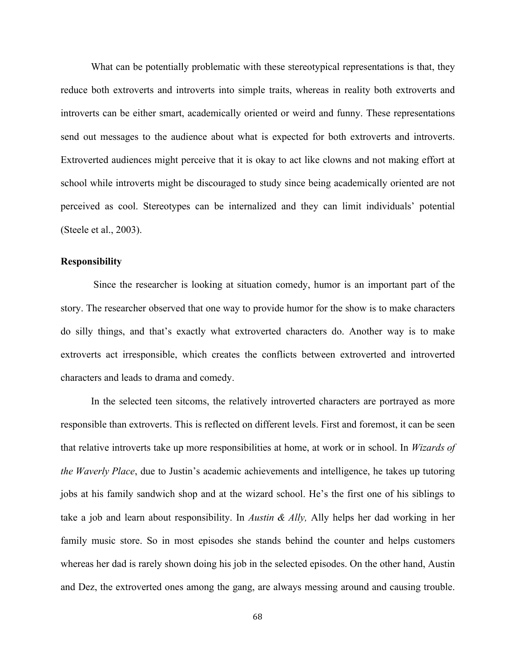What can be potentially problematic with these stereotypical representations is that, they reduce both extroverts and introverts into simple traits, whereas in reality both extroverts and introverts can be either smart, academically oriented or weird and funny. These representations send out messages to the audience about what is expected for both extroverts and introverts. Extroverted audiences might perceive that it is okay to act like clowns and not making effort at school while introverts might be discouraged to study since being academically oriented are not perceived as cool. Stereotypes can be internalized and they can limit individuals' potential (Steele et al., 2003).

## **Responsibility**

Since the researcher is looking at situation comedy, humor is an important part of the story. The researcher observed that one way to provide humor for the show is to make characters do silly things, and that's exactly what extroverted characters do. Another way is to make extroverts act irresponsible, which creates the conflicts between extroverted and introverted characters and leads to drama and comedy.

In the selected teen sitcoms, the relatively introverted characters are portrayed as more responsible than extroverts. This is reflected on different levels. First and foremost, it can be seen that relative introverts take up more responsibilities at home, at work or in school. In *Wizards of the Waverly Place*, due to Justin's academic achievements and intelligence, he takes up tutoring jobs at his family sandwich shop and at the wizard school. He's the first one of his siblings to take a job and learn about responsibility. In *Austin & Ally,* Ally helps her dad working in her family music store. So in most episodes she stands behind the counter and helps customers whereas her dad is rarely shown doing his job in the selected episodes. On the other hand, Austin and Dez, the extroverted ones among the gang, are always messing around and causing trouble.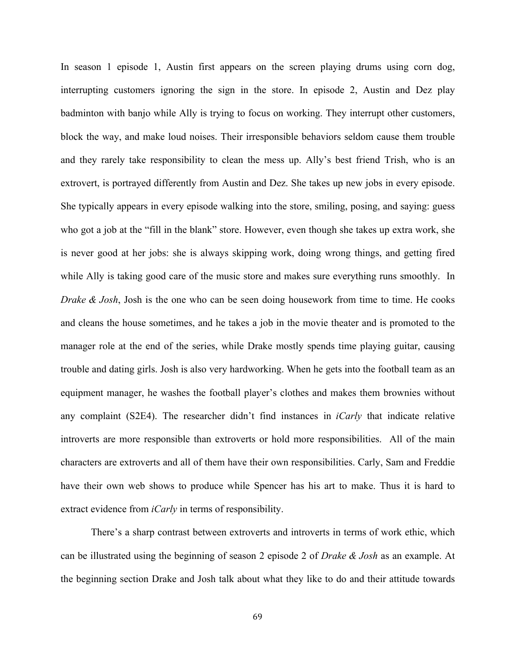In season 1 episode 1, Austin first appears on the screen playing drums using corn dog, interrupting customers ignoring the sign in the store. In episode 2, Austin and Dez play badminton with banjo while Ally is trying to focus on working. They interrupt other customers, block the way, and make loud noises. Their irresponsible behaviors seldom cause them trouble and they rarely take responsibility to clean the mess up. Ally's best friend Trish, who is an extrovert, is portrayed differently from Austin and Dez. She takes up new jobs in every episode. She typically appears in every episode walking into the store, smiling, posing, and saying: guess who got a job at the "fill in the blank" store. However, even though she takes up extra work, she is never good at her jobs: she is always skipping work, doing wrong things, and getting fired while Ally is taking good care of the music store and makes sure everything runs smoothly. In *Drake & Josh*, Josh is the one who can be seen doing housework from time to time. He cooks and cleans the house sometimes, and he takes a job in the movie theater and is promoted to the manager role at the end of the series, while Drake mostly spends time playing guitar, causing trouble and dating girls. Josh is also very hardworking. When he gets into the football team as an equipment manager, he washes the football player's clothes and makes them brownies without any complaint (S2E4). The researcher didn't find instances in *iCarly* that indicate relative introverts are more responsible than extroverts or hold more responsibilities. All of the main characters are extroverts and all of them have their own responsibilities. Carly, Sam and Freddie have their own web shows to produce while Spencer has his art to make. Thus it is hard to extract evidence from *iCarly* in terms of responsibility.

There's a sharp contrast between extroverts and introverts in terms of work ethic, which can be illustrated using the beginning of season 2 episode 2 of *Drake & Josh* as an example. At the beginning section Drake and Josh talk about what they like to do and their attitude towards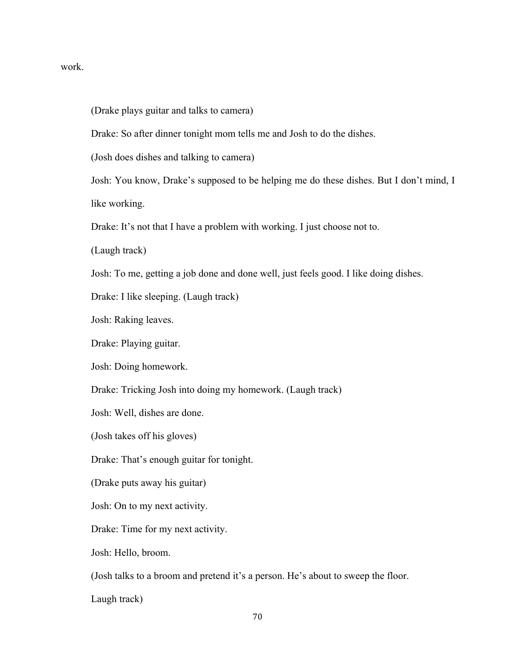## work.

(Drake plays guitar and talks to camera)

Drake: So after dinner tonight mom tells me and Josh to do the dishes.

(Josh does dishes and talking to camera)

Josh: You know, Drake's supposed to be helping me do these dishes. But I don't mind, I like working.

Drake: It's not that I have a problem with working. I just choose not to.

(Laugh track)

Josh: To me, getting a job done and done well, just feels good. I like doing dishes.

Drake: I like sleeping. (Laugh track)

Josh: Raking leaves.

Drake: Playing guitar.

Josh: Doing homework.

Drake: Tricking Josh into doing my homework. (Laugh track)

Josh: Well, dishes are done.

(Josh takes off his gloves)

Drake: That's enough guitar for tonight.

(Drake puts away his guitar)

Josh: On to my next activity.

Drake: Time for my next activity.

Josh: Hello, broom.

(Josh talks to a broom and pretend it's a person. He's about to sweep the floor.

Laugh track)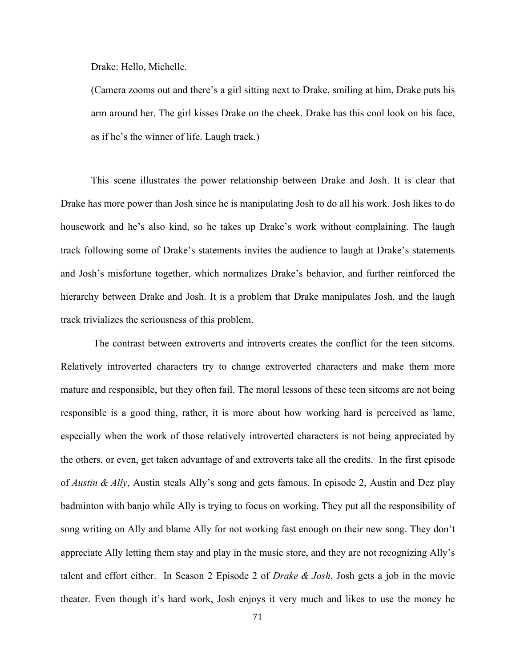Drake: Hello, Michelle.

(Camera zooms out and there's a girl sitting next to Drake, smiling at him, Drake puts his arm around her. The girl kisses Drake on the cheek. Drake has this cool look on his face, as if he's the winner of life. Laugh track.)

This scene illustrates the power relationship between Drake and Josh. It is clear that Drake has more power than Josh since he is manipulating Josh to do all his work. Josh likes to do housework and he's also kind, so he takes up Drake's work without complaining. The laugh track following some of Drake's statements invites the audience to laugh at Drake's statements and Josh's misfortune together, which normalizes Drake's behavior, and further reinforced the hierarchy between Drake and Josh. It is a problem that Drake manipulates Josh, and the laugh track trivializes the seriousness of this problem.

The contrast between extroverts and introverts creates the conflict for the teen sitcoms. Relatively introverted characters try to change extroverted characters and make them more mature and responsible, but they often fail. The moral lessons of these teen sitcoms are not being responsible is a good thing, rather, it is more about how working hard is perceived as lame, especially when the work of those relatively introverted characters is not being appreciated by the others, or even, get taken advantage of and extroverts take all the credits. In the first episode of *Austin & Ally*, Austin steals Ally's song and gets famous. In episode 2, Austin and Dez play badminton with banjo while Ally is trying to focus on working. They put all the responsibility of song writing on Ally and blame Ally for not working fast enough on their new song. They don't appreciate Ally letting them stay and play in the music store, and they are not recognizing Ally's talent and effort either. In Season 2 Episode 2 of *Drake & Josh*, Josh gets a job in the movie theater. Even though it's hard work, Josh enjoys it very much and likes to use the money he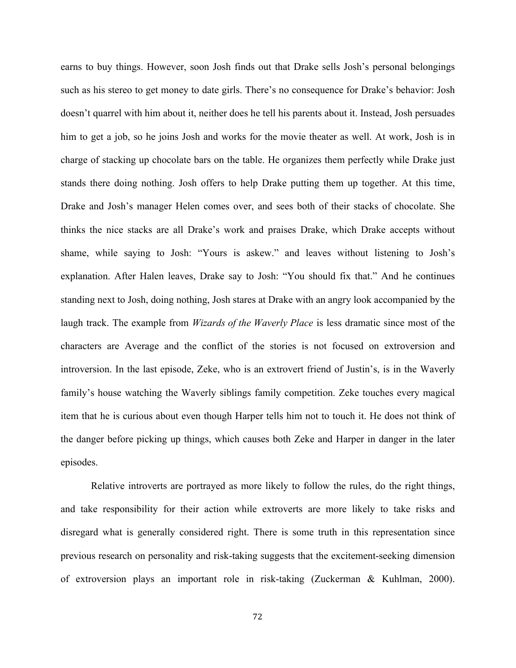earns to buy things. However, soon Josh finds out that Drake sells Josh's personal belongings such as his stereo to get money to date girls. There's no consequence for Drake's behavior: Josh doesn't quarrel with him about it, neither does he tell his parents about it. Instead, Josh persuades him to get a job, so he joins Josh and works for the movie theater as well. At work, Josh is in charge of stacking up chocolate bars on the table. He organizes them perfectly while Drake just stands there doing nothing. Josh offers to help Drake putting them up together. At this time, Drake and Josh's manager Helen comes over, and sees both of their stacks of chocolate. She thinks the nice stacks are all Drake's work and praises Drake, which Drake accepts without shame, while saying to Josh: "Yours is askew." and leaves without listening to Josh's explanation. After Halen leaves, Drake say to Josh: "You should fix that." And he continues standing next to Josh, doing nothing, Josh stares at Drake with an angry look accompanied by the laugh track. The example from *Wizards of the Waverly Place* is less dramatic since most of the characters are Average and the conflict of the stories is not focused on extroversion and introversion. In the last episode, Zeke, who is an extrovert friend of Justin's, is in the Waverly family's house watching the Waverly siblings family competition. Zeke touches every magical item that he is curious about even though Harper tells him not to touch it. He does not think of the danger before picking up things, which causes both Zeke and Harper in danger in the later episodes.

Relative introverts are portrayed as more likely to follow the rules, do the right things, and take responsibility for their action while extroverts are more likely to take risks and disregard what is generally considered right. There is some truth in this representation since previous research on personality and risk-taking suggests that the excitement-seeking dimension of extroversion plays an important role in risk-taking (Zuckerman & Kuhlman, 2000).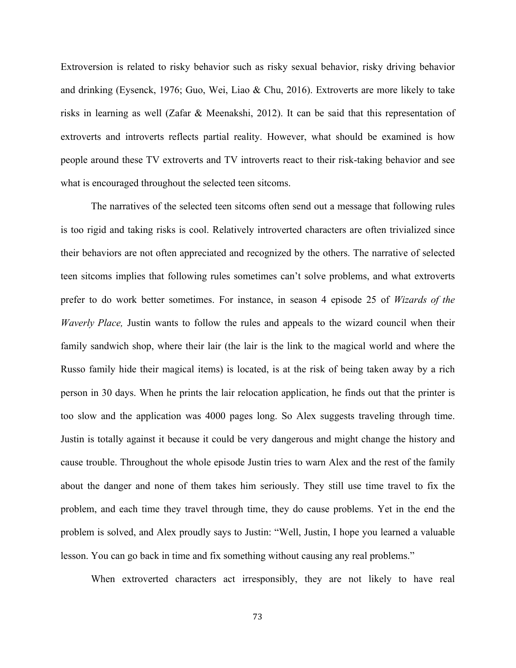Extroversion is related to risky behavior such as risky sexual behavior, risky driving behavior and drinking (Eysenck, 1976; Guo, Wei, Liao & Chu, 2016). Extroverts are more likely to take risks in learning as well (Zafar & Meenakshi, 2012). It can be said that this representation of extroverts and introverts reflects partial reality. However, what should be examined is how people around these TV extroverts and TV introverts react to their risk-taking behavior and see what is encouraged throughout the selected teen sitcoms.

The narratives of the selected teen sitcoms often send out a message that following rules is too rigid and taking risks is cool. Relatively introverted characters are often trivialized since their behaviors are not often appreciated and recognized by the others. The narrative of selected teen sitcoms implies that following rules sometimes can't solve problems, and what extroverts prefer to do work better sometimes. For instance, in season 4 episode 25 of *Wizards of the Waverly Place,* Justin wants to follow the rules and appeals to the wizard council when their family sandwich shop, where their lair (the lair is the link to the magical world and where the Russo family hide their magical items) is located, is at the risk of being taken away by a rich person in 30 days. When he prints the lair relocation application, he finds out that the printer is too slow and the application was 4000 pages long. So Alex suggests traveling through time. Justin is totally against it because it could be very dangerous and might change the history and cause trouble. Throughout the whole episode Justin tries to warn Alex and the rest of the family about the danger and none of them takes him seriously. They still use time travel to fix the problem, and each time they travel through time, they do cause problems. Yet in the end the problem is solved, and Alex proudly says to Justin: "Well, Justin, I hope you learned a valuable lesson. You can go back in time and fix something without causing any real problems."

When extroverted characters act irresponsibly, they are not likely to have real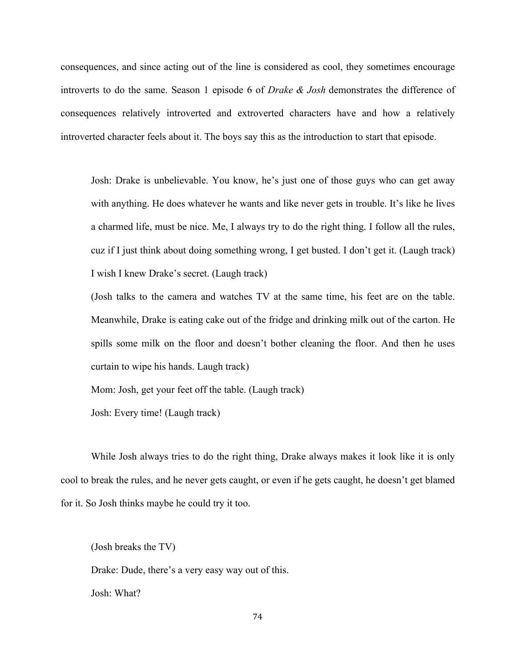consequences, and since acting out of the line is considered as cool, they sometimes encourage introverts to do the same. Season 1 episode 6 of *Drake & Josh* demonstrates the difference of consequences relatively introverted and extroverted characters have and how a relatively introverted character feels about it. The boys say this as the introduction to start that episode.

Josh: Drake is unbelievable. You know, he's just one of those guys who can get away with anything. He does whatever he wants and like never gets in trouble. It's like he lives a charmed life, must be nice. Me, I always try to do the right thing. I follow all the rules, cuz if I just think about doing something wrong, I get busted. I don't get it. (Laugh track) I wish I knew Drake's secret. (Laugh track)

(Josh talks to the camera and watches TV at the same time, his feet are on the table. Meanwhile, Drake is eating cake out of the fridge and drinking milk out of the carton. He spills some milk on the floor and doesn't bother cleaning the floor. And then he uses curtain to wipe his hands. Laugh track)

Mom: Josh, get your feet off the table. (Laugh track)

Josh: Every time! (Laugh track)

While Josh always tries to do the right thing, Drake always makes it look like it is only cool to break the rules, and he never gets caught, or even if he gets caught, he doesn't get blamed for it. So Josh thinks maybe he could try it too.

(Josh breaks the TV)

Drake: Dude, there's a very easy way out of this.

Josh: What?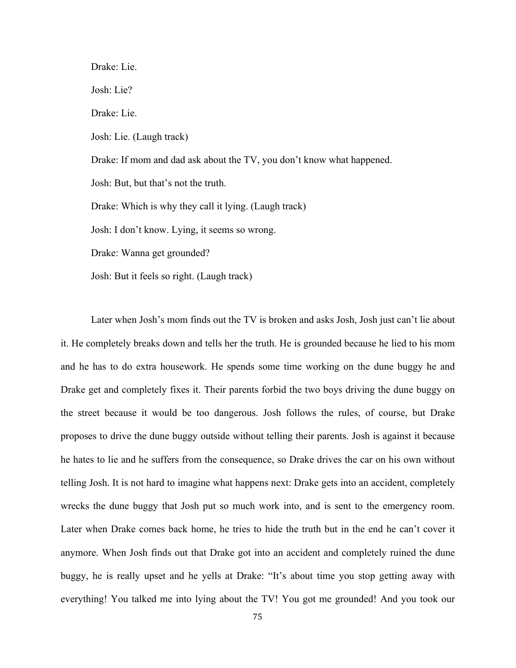Drake: Lie. Josh: Lie? Drake: Lie. Josh: Lie. (Laugh track) Drake: If mom and dad ask about the TV, you don't know what happened. Josh: But, but that's not the truth. Drake: Which is why they call it lying. (Laugh track) Josh: I don't know. Lying, it seems so wrong. Drake: Wanna get grounded? Josh: But it feels so right. (Laugh track)

Later when Josh's mom finds out the TV is broken and asks Josh, Josh just can't lie about it. He completely breaks down and tells her the truth. He is grounded because he lied to his mom and he has to do extra housework. He spends some time working on the dune buggy he and Drake get and completely fixes it. Their parents forbid the two boys driving the dune buggy on the street because it would be too dangerous. Josh follows the rules, of course, but Drake proposes to drive the dune buggy outside without telling their parents. Josh is against it because he hates to lie and he suffers from the consequence, so Drake drives the car on his own without telling Josh. It is not hard to imagine what happens next: Drake gets into an accident, completely wrecks the dune buggy that Josh put so much work into, and is sent to the emergency room. Later when Drake comes back home, he tries to hide the truth but in the end he can't cover it anymore. When Josh finds out that Drake got into an accident and completely ruined the dune buggy, he is really upset and he yells at Drake: "It's about time you stop getting away with everything! You talked me into lying about the TV! You got me grounded! And you took our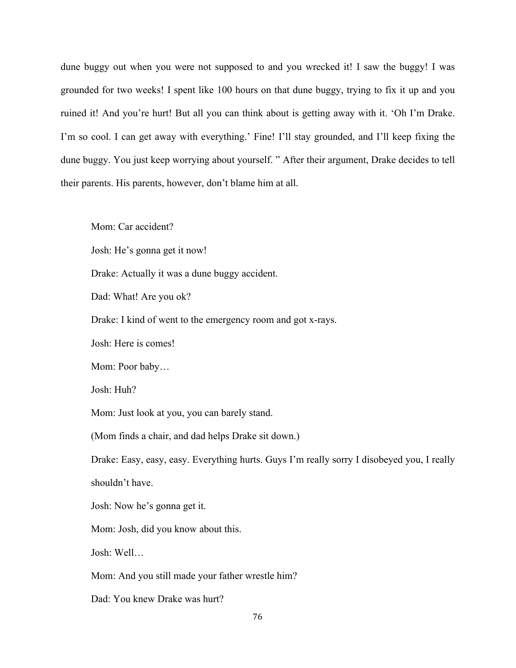dune buggy out when you were not supposed to and you wrecked it! I saw the buggy! I was grounded for two weeks! I spent like 100 hours on that dune buggy, trying to fix it up and you ruined it! And you're hurt! But all you can think about is getting away with it. 'Oh I'm Drake. I'm so cool. I can get away with everything.' Fine! I'll stay grounded, and I'll keep fixing the dune buggy. You just keep worrying about yourself. " After their argument, Drake decides to tell their parents. His parents, however, don't blame him at all.

Mom: Car accident?

Josh: He's gonna get it now!

Drake: Actually it was a dune buggy accident.

Dad: What! Are you ok?

Drake: I kind of went to the emergency room and got x-rays.

Josh: Here is comes!

Mom: Poor baby…

Josh: Huh?

Mom: Just look at you, you can barely stand.

(Mom finds a chair, and dad helps Drake sit down.)

Drake: Easy, easy, easy. Everything hurts. Guys I'm really sorry I disobeyed you, I really shouldn't have.

Josh: Now he's gonna get it.

Mom: Josh, did you know about this.

Josh: Well…

Mom: And you still made your father wrestle him?

Dad: You knew Drake was hurt?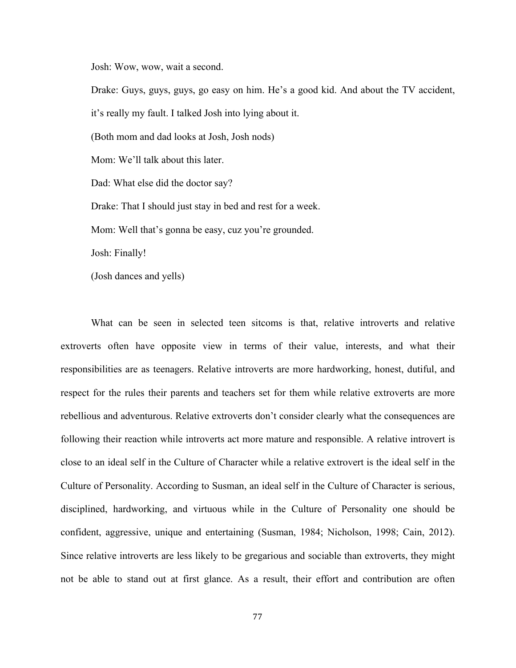Josh: Wow, wow, wait a second.

Drake: Guys, guys, guys, go easy on him. He's a good kid. And about the TV accident, it's really my fault. I talked Josh into lying about it. (Both mom and dad looks at Josh, Josh nods) Mom: We'll talk about this later. Dad: What else did the doctor say? Drake: That I should just stay in bed and rest for a week. Mom: Well that's gonna be easy, cuz you're grounded. Josh: Finally! (Josh dances and yells)

What can be seen in selected teen sitcoms is that, relative introverts and relative extroverts often have opposite view in terms of their value, interests, and what their responsibilities are as teenagers. Relative introverts are more hardworking, honest, dutiful, and respect for the rules their parents and teachers set for them while relative extroverts are more rebellious and adventurous. Relative extroverts don't consider clearly what the consequences are following their reaction while introverts act more mature and responsible. A relative introvert is close to an ideal self in the Culture of Character while a relative extrovert is the ideal self in the Culture of Personality. According to Susman, an ideal self in the Culture of Character is serious, disciplined, hardworking, and virtuous while in the Culture of Personality one should be confident, aggressive, unique and entertaining (Susman, 1984; Nicholson, 1998; Cain, 2012). Since relative introverts are less likely to be gregarious and sociable than extroverts, they might not be able to stand out at first glance. As a result, their effort and contribution are often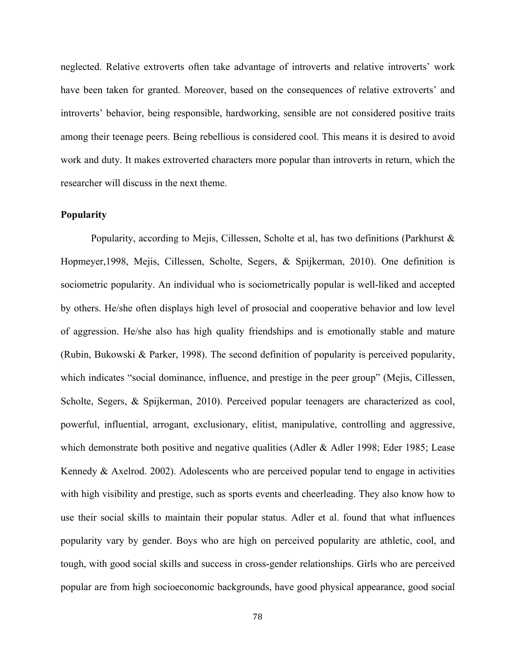neglected. Relative extroverts often take advantage of introverts and relative introverts' work have been taken for granted. Moreover, based on the consequences of relative extroverts' and introverts' behavior, being responsible, hardworking, sensible are not considered positive traits among their teenage peers. Being rebellious is considered cool. This means it is desired to avoid work and duty. It makes extroverted characters more popular than introverts in return, which the researcher will discuss in the next theme.

## **Popularity**

Popularity, according to Mejis, Cillessen, Scholte et al, has two definitions (Parkhurst & Hopmeyer,1998, Mejis, Cillessen, Scholte, Segers, & Spijkerman, 2010). One definition is sociometric popularity. An individual who is sociometrically popular is well-liked and accepted by others. He/she often displays high level of prosocial and cooperative behavior and low level of aggression. He/she also has high quality friendships and is emotionally stable and mature (Rubin, Bukowski & Parker, 1998). The second definition of popularity is perceived popularity, which indicates "social dominance, influence, and prestige in the peer group" (Mejis, Cillessen, Scholte, Segers, & Spijkerman, 2010). Perceived popular teenagers are characterized as cool, powerful, influential, arrogant, exclusionary, elitist, manipulative, controlling and aggressive, which demonstrate both positive and negative qualities (Adler & Adler 1998; Eder 1985; Lease Kennedy & Axelrod. 2002). Adolescents who are perceived popular tend to engage in activities with high visibility and prestige, such as sports events and cheerleading. They also know how to use their social skills to maintain their popular status. Adler et al. found that what influences popularity vary by gender. Boys who are high on perceived popularity are athletic, cool, and tough, with good social skills and success in cross-gender relationships. Girls who are perceived popular are from high socioeconomic backgrounds, have good physical appearance, good social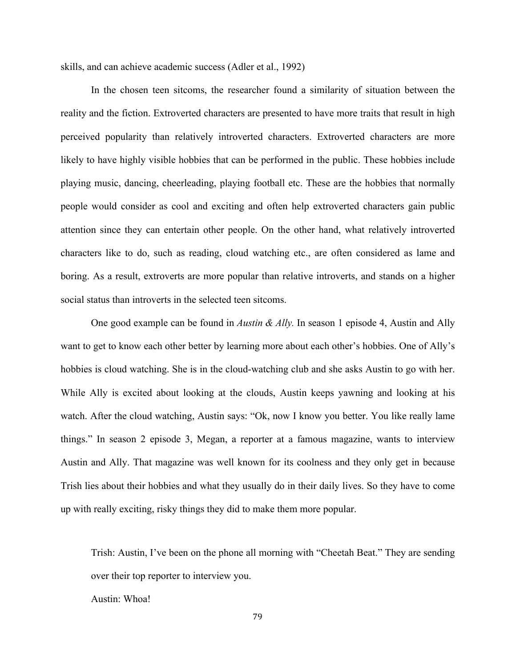skills, and can achieve academic success (Adler et al., 1992)

In the chosen teen sitcoms, the researcher found a similarity of situation between the reality and the fiction. Extroverted characters are presented to have more traits that result in high perceived popularity than relatively introverted characters. Extroverted characters are more likely to have highly visible hobbies that can be performed in the public. These hobbies include playing music, dancing, cheerleading, playing football etc. These are the hobbies that normally people would consider as cool and exciting and often help extroverted characters gain public attention since they can entertain other people. On the other hand, what relatively introverted characters like to do, such as reading, cloud watching etc., are often considered as lame and boring. As a result, extroverts are more popular than relative introverts, and stands on a higher social status than introverts in the selected teen sitcoms.

One good example can be found in *Austin & Ally.* In season 1 episode 4, Austin and Ally want to get to know each other better by learning more about each other's hobbies. One of Ally's hobbies is cloud watching. She is in the cloud-watching club and she asks Austin to go with her. While Ally is excited about looking at the clouds, Austin keeps yawning and looking at his watch. After the cloud watching, Austin says: "Ok, now I know you better. You like really lame things." In season 2 episode 3, Megan, a reporter at a famous magazine, wants to interview Austin and Ally. That magazine was well known for its coolness and they only get in because Trish lies about their hobbies and what they usually do in their daily lives. So they have to come up with really exciting, risky things they did to make them more popular.

Trish: Austin, I've been on the phone all morning with "Cheetah Beat." They are sending over their top reporter to interview you.

Austin: Whoa!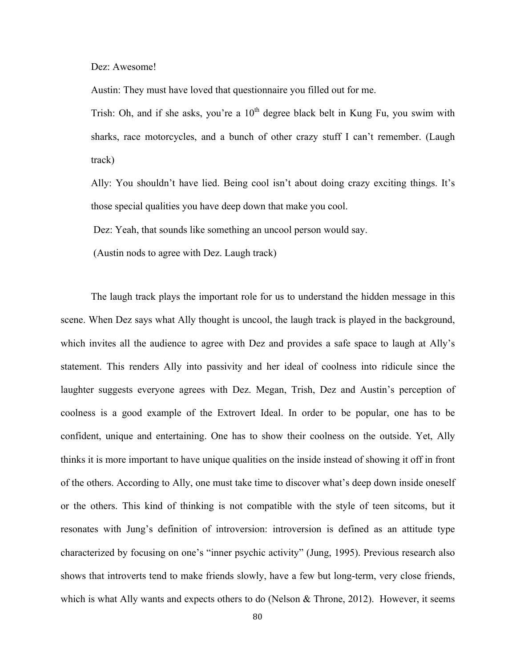Dez: Awesome!

Austin: They must have loved that questionnaire you filled out for me.

Trish: Oh, and if she asks, you're a  $10<sup>th</sup>$  degree black belt in Kung Fu, you swim with sharks, race motorcycles, and a bunch of other crazy stuff I can't remember. (Laugh track)

Ally: You shouldn't have lied. Being cool isn't about doing crazy exciting things. It's those special qualities you have deep down that make you cool.

Dez: Yeah, that sounds like something an uncool person would say.

(Austin nods to agree with Dez. Laugh track)

The laugh track plays the important role for us to understand the hidden message in this scene. When Dez says what Ally thought is uncool, the laugh track is played in the background, which invites all the audience to agree with Dez and provides a safe space to laugh at Ally's statement. This renders Ally into passivity and her ideal of coolness into ridicule since the laughter suggests everyone agrees with Dez. Megan, Trish, Dez and Austin's perception of coolness is a good example of the Extrovert Ideal. In order to be popular, one has to be confident, unique and entertaining. One has to show their coolness on the outside. Yet, Ally thinks it is more important to have unique qualities on the inside instead of showing it off in front of the others. According to Ally, one must take time to discover what's deep down inside oneself or the others. This kind of thinking is not compatible with the style of teen sitcoms, but it resonates with Jung's definition of introversion: introversion is defined as an attitude type characterized by focusing on one's "inner psychic activity" (Jung, 1995). Previous research also shows that introverts tend to make friends slowly, have a few but long-term, very close friends, which is what Ally wants and expects others to do (Nelson  $&$  Throne, 2012). However, it seems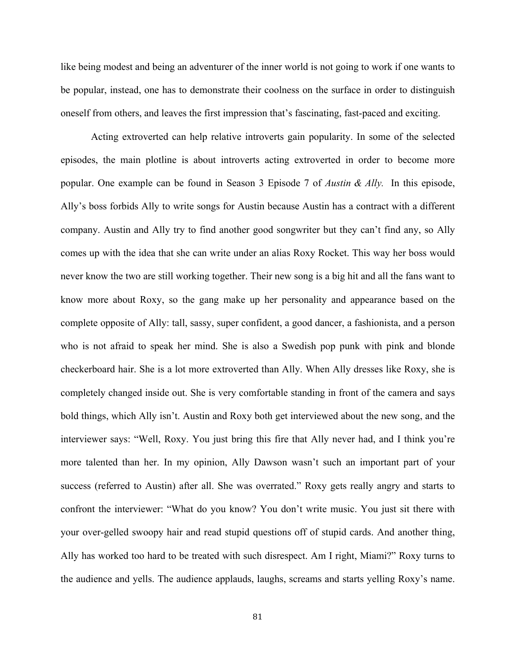like being modest and being an adventurer of the inner world is not going to work if one wants to be popular, instead, one has to demonstrate their coolness on the surface in order to distinguish oneself from others, and leaves the first impression that's fascinating, fast-paced and exciting.

Acting extroverted can help relative introverts gain popularity. In some of the selected episodes, the main plotline is about introverts acting extroverted in order to become more popular. One example can be found in Season 3 Episode 7 of *Austin & Ally.* In this episode, Ally's boss forbids Ally to write songs for Austin because Austin has a contract with a different company. Austin and Ally try to find another good songwriter but they can't find any, so Ally comes up with the idea that she can write under an alias Roxy Rocket. This way her boss would never know the two are still working together. Their new song is a big hit and all the fans want to know more about Roxy, so the gang make up her personality and appearance based on the complete opposite of Ally: tall, sassy, super confident, a good dancer, a fashionista, and a person who is not afraid to speak her mind. She is also a Swedish pop punk with pink and blonde checkerboard hair. She is a lot more extroverted than Ally. When Ally dresses like Roxy, she is completely changed inside out. She is very comfortable standing in front of the camera and says bold things, which Ally isn't. Austin and Roxy both get interviewed about the new song, and the interviewer says: "Well, Roxy. You just bring this fire that Ally never had, and I think you're more talented than her. In my opinion, Ally Dawson wasn't such an important part of your success (referred to Austin) after all. She was overrated." Roxy gets really angry and starts to confront the interviewer: "What do you know? You don't write music. You just sit there with your over-gelled swoopy hair and read stupid questions off of stupid cards. And another thing, Ally has worked too hard to be treated with such disrespect. Am I right, Miami?" Roxy turns to the audience and yells. The audience applauds, laughs, screams and starts yelling Roxy's name.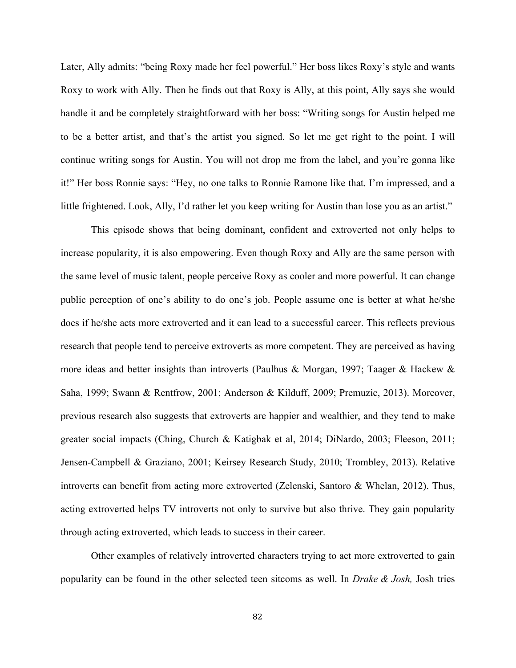Later, Ally admits: "being Roxy made her feel powerful." Her boss likes Roxy's style and wants Roxy to work with Ally. Then he finds out that Roxy is Ally, at this point, Ally says she would handle it and be completely straightforward with her boss: "Writing songs for Austin helped me to be a better artist, and that's the artist you signed. So let me get right to the point. I will continue writing songs for Austin. You will not drop me from the label, and you're gonna like it!" Her boss Ronnie says: "Hey, no one talks to Ronnie Ramone like that. I'm impressed, and a little frightened. Look, Ally, I'd rather let you keep writing for Austin than lose you as an artist."

This episode shows that being dominant, confident and extroverted not only helps to increase popularity, it is also empowering. Even though Roxy and Ally are the same person with the same level of music talent, people perceive Roxy as cooler and more powerful. It can change public perception of one's ability to do one's job. People assume one is better at what he/she does if he/she acts more extroverted and it can lead to a successful career. This reflects previous research that people tend to perceive extroverts as more competent. They are perceived as having more ideas and better insights than introverts (Paulhus & Morgan, 1997; Taager & Hackew & Saha, 1999; Swann & Rentfrow, 2001; Anderson & Kilduff, 2009; Premuzic, 2013). Moreover, previous research also suggests that extroverts are happier and wealthier, and they tend to make greater social impacts (Ching, Church & Katigbak et al, 2014; DiNardo, 2003; Fleeson, 2011; Jensen-Campbell & Graziano, 2001; Keirsey Research Study, 2010; Trombley, 2013). Relative introverts can benefit from acting more extroverted (Zelenski, Santoro & Whelan, 2012). Thus, acting extroverted helps TV introverts not only to survive but also thrive. They gain popularity through acting extroverted, which leads to success in their career.

Other examples of relatively introverted characters trying to act more extroverted to gain popularity can be found in the other selected teen sitcoms as well. In *Drake & Josh,* Josh tries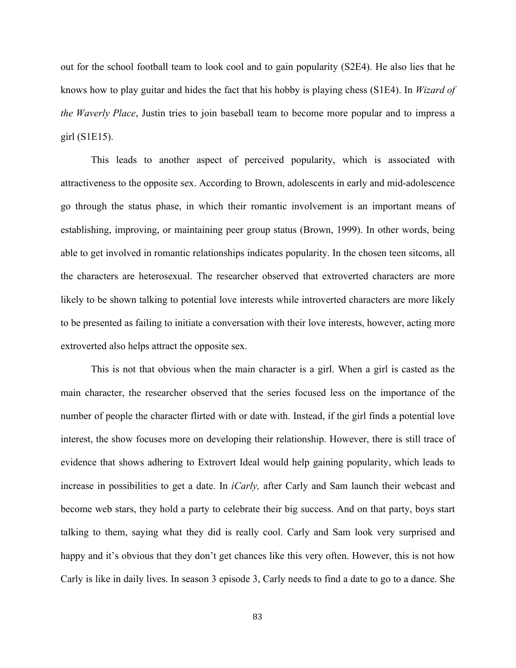out for the school football team to look cool and to gain popularity (S2E4). He also lies that he knows how to play guitar and hides the fact that his hobby is playing chess (S1E4). In *Wizard of the Waverly Place*, Justin tries to join baseball team to become more popular and to impress a girl (S1E15).

This leads to another aspect of perceived popularity, which is associated with attractiveness to the opposite sex. According to Brown, adolescents in early and mid-adolescence go through the status phase, in which their romantic involvement is an important means of establishing, improving, or maintaining peer group status (Brown, 1999). In other words, being able to get involved in romantic relationships indicates popularity. In the chosen teen sitcoms, all the characters are heterosexual. The researcher observed that extroverted characters are more likely to be shown talking to potential love interests while introverted characters are more likely to be presented as failing to initiate a conversation with their love interests, however, acting more extroverted also helps attract the opposite sex.

This is not that obvious when the main character is a girl. When a girl is casted as the main character, the researcher observed that the series focused less on the importance of the number of people the character flirted with or date with. Instead, if the girl finds a potential love interest, the show focuses more on developing their relationship. However, there is still trace of evidence that shows adhering to Extrovert Ideal would help gaining popularity, which leads to increase in possibilities to get a date. In *iCarly,* after Carly and Sam launch their webcast and become web stars, they hold a party to celebrate their big success. And on that party, boys start talking to them, saying what they did is really cool. Carly and Sam look very surprised and happy and it's obvious that they don't get chances like this very often. However, this is not how Carly is like in daily lives. In season 3 episode 3, Carly needs to find a date to go to a dance. She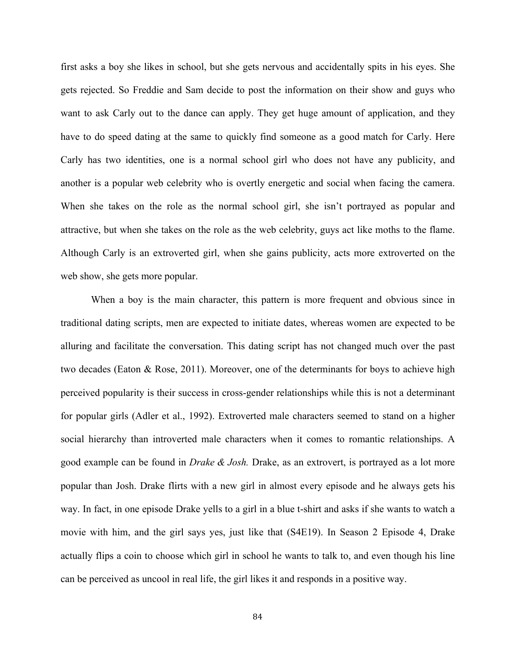first asks a boy she likes in school, but she gets nervous and accidentally spits in his eyes. She gets rejected. So Freddie and Sam decide to post the information on their show and guys who want to ask Carly out to the dance can apply. They get huge amount of application, and they have to do speed dating at the same to quickly find someone as a good match for Carly. Here Carly has two identities, one is a normal school girl who does not have any publicity, and another is a popular web celebrity who is overtly energetic and social when facing the camera. When she takes on the role as the normal school girl, she isn't portrayed as popular and attractive, but when she takes on the role as the web celebrity, guys act like moths to the flame. Although Carly is an extroverted girl, when she gains publicity, acts more extroverted on the web show, she gets more popular.

When a boy is the main character, this pattern is more frequent and obvious since in traditional dating scripts, men are expected to initiate dates, whereas women are expected to be alluring and facilitate the conversation. This dating script has not changed much over the past two decades (Eaton & Rose, 2011). Moreover, one of the determinants for boys to achieve high perceived popularity is their success in cross-gender relationships while this is not a determinant for popular girls (Adler et al., 1992). Extroverted male characters seemed to stand on a higher social hierarchy than introverted male characters when it comes to romantic relationships. A good example can be found in *Drake & Josh.* Drake, as an extrovert, is portrayed as a lot more popular than Josh. Drake flirts with a new girl in almost every episode and he always gets his way. In fact, in one episode Drake yells to a girl in a blue t-shirt and asks if she wants to watch a movie with him, and the girl says yes, just like that (S4E19). In Season 2 Episode 4, Drake actually flips a coin to choose which girl in school he wants to talk to, and even though his line can be perceived as uncool in real life, the girl likes it and responds in a positive way.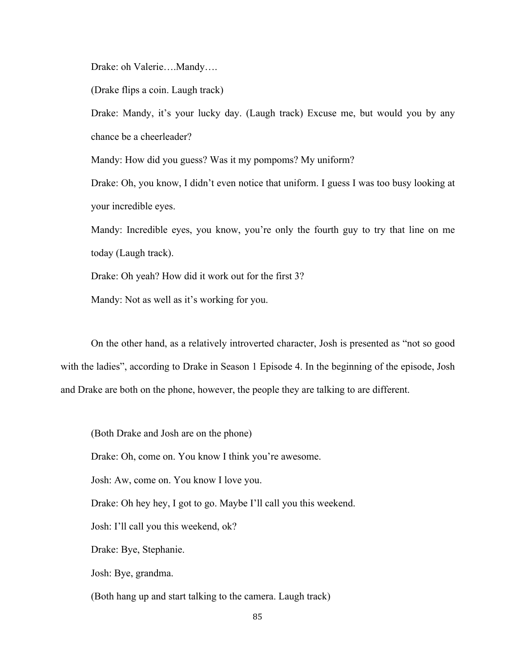Drake: oh Valerie….Mandy….

(Drake flips a coin. Laugh track)

Drake: Mandy, it's your lucky day. (Laugh track) Excuse me, but would you by any chance be a cheerleader?

Mandy: How did you guess? Was it my pompoms? My uniform?

Drake: Oh, you know, I didn't even notice that uniform. I guess I was too busy looking at your incredible eyes.

Mandy: Incredible eyes, you know, you're only the fourth guy to try that line on me today (Laugh track).

Drake: Oh yeah? How did it work out for the first 3?

Mandy: Not as well as it's working for you.

On the other hand, as a relatively introverted character, Josh is presented as "not so good with the ladies", according to Drake in Season 1 Episode 4. In the beginning of the episode, Josh and Drake are both on the phone, however, the people they are talking to are different.

(Both Drake and Josh are on the phone)

Drake: Oh, come on. You know I think you're awesome.

Josh: Aw, come on. You know I love you.

Drake: Oh hey hey, I got to go. Maybe I'll call you this weekend.

Josh: I'll call you this weekend, ok?

Drake: Bye, Stephanie.

Josh: Bye, grandma.

(Both hang up and start talking to the camera. Laugh track)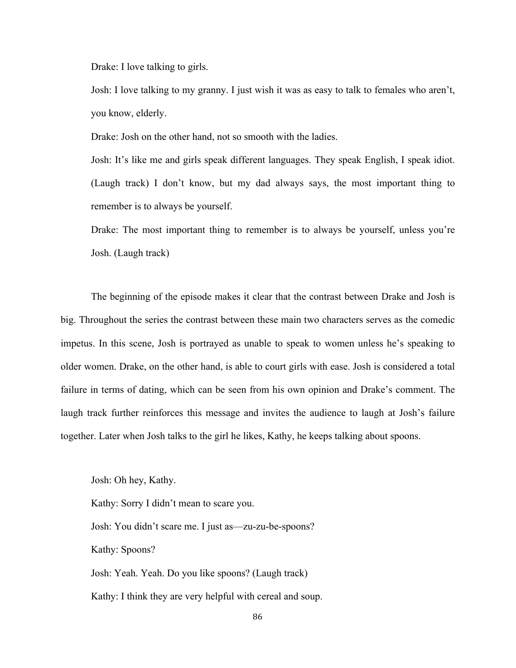Drake: I love talking to girls.

Josh: I love talking to my granny. I just wish it was as easy to talk to females who aren't, you know, elderly.

Drake: Josh on the other hand, not so smooth with the ladies.

Josh: It's like me and girls speak different languages. They speak English, I speak idiot. (Laugh track) I don't know, but my dad always says, the most important thing to remember is to always be yourself.

Drake: The most important thing to remember is to always be yourself, unless you're Josh. (Laugh track)

The beginning of the episode makes it clear that the contrast between Drake and Josh is big. Throughout the series the contrast between these main two characters serves as the comedic impetus. In this scene, Josh is portrayed as unable to speak to women unless he's speaking to older women. Drake, on the other hand, is able to court girls with ease. Josh is considered a total failure in terms of dating, which can be seen from his own opinion and Drake's comment. The laugh track further reinforces this message and invites the audience to laugh at Josh's failure together. Later when Josh talks to the girl he likes, Kathy, he keeps talking about spoons.

Josh: Oh hey, Kathy.

Kathy: Sorry I didn't mean to scare you. Josh: You didn't scare me. I just as—zu-zu-be-spoons? Kathy: Spoons? Josh: Yeah. Yeah. Do you like spoons? (Laugh track)

Kathy: I think they are very helpful with cereal and soup.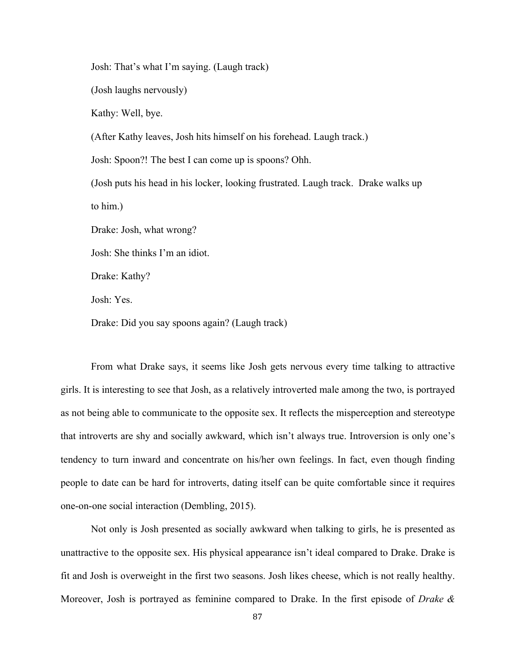Josh: That's what I'm saying. (Laugh track)

(Josh laughs nervously)

Kathy: Well, bye.

(After Kathy leaves, Josh hits himself on his forehead. Laugh track.)

Josh: Spoon?! The best I can come up is spoons? Ohh.

(Josh puts his head in his locker, looking frustrated. Laugh track. Drake walks up to him.)

Drake: Josh, what wrong?

Josh: She thinks I'm an idiot.

Drake: Kathy?

Josh: Yes.

Drake: Did you say spoons again? (Laugh track)

From what Drake says, it seems like Josh gets nervous every time talking to attractive girls. It is interesting to see that Josh, as a relatively introverted male among the two, is portrayed as not being able to communicate to the opposite sex. It reflects the misperception and stereotype that introverts are shy and socially awkward, which isn't always true. Introversion is only one's tendency to turn inward and concentrate on his/her own feelings. In fact, even though finding people to date can be hard for introverts, dating itself can be quite comfortable since it requires one-on-one social interaction (Dembling, 2015).

Not only is Josh presented as socially awkward when talking to girls, he is presented as unattractive to the opposite sex. His physical appearance isn't ideal compared to Drake. Drake is fit and Josh is overweight in the first two seasons. Josh likes cheese, which is not really healthy. Moreover, Josh is portrayed as feminine compared to Drake. In the first episode of *Drake &*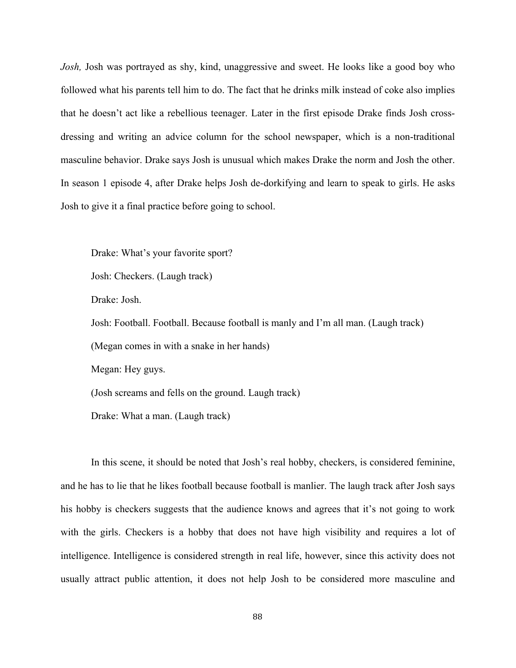*Josh,* Josh was portrayed as shy, kind, unaggressive and sweet. He looks like a good boy who followed what his parents tell him to do. The fact that he drinks milk instead of coke also implies that he doesn't act like a rebellious teenager. Later in the first episode Drake finds Josh crossdressing and writing an advice column for the school newspaper, which is a non-traditional masculine behavior. Drake says Josh is unusual which makes Drake the norm and Josh the other. In season 1 episode 4, after Drake helps Josh de-dorkifying and learn to speak to girls. He asks Josh to give it a final practice before going to school.

Drake: What's your favorite sport?

Josh: Checkers. (Laugh track)

Drake: Josh.

Josh: Football. Football. Because football is manly and I'm all man. (Laugh track)

(Megan comes in with a snake in her hands)

Megan: Hey guys.

(Josh screams and fells on the ground. Laugh track)

Drake: What a man. (Laugh track)

In this scene, it should be noted that Josh's real hobby, checkers, is considered feminine, and he has to lie that he likes football because football is manlier. The laugh track after Josh says his hobby is checkers suggests that the audience knows and agrees that it's not going to work with the girls. Checkers is a hobby that does not have high visibility and requires a lot of intelligence. Intelligence is considered strength in real life, however, since this activity does not usually attract public attention, it does not help Josh to be considered more masculine and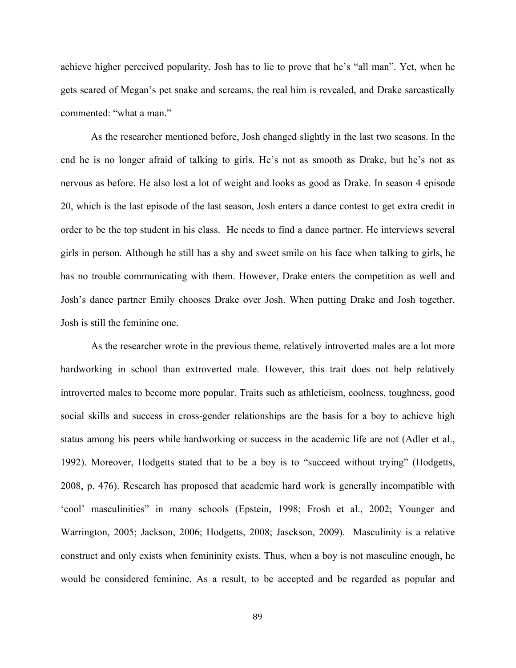achieve higher perceived popularity. Josh has to lie to prove that he's "all man". Yet, when he gets scared of Megan's pet snake and screams, the real him is revealed, and Drake sarcastically commented: "what a man."

As the researcher mentioned before, Josh changed slightly in the last two seasons. In the end he is no longer afraid of talking to girls. He's not as smooth as Drake, but he's not as nervous as before. He also lost a lot of weight and looks as good as Drake. In season 4 episode 20, which is the last episode of the last season, Josh enters a dance contest to get extra credit in order to be the top student in his class. He needs to find a dance partner. He interviews several girls in person. Although he still has a shy and sweet smile on his face when talking to girls, he has no trouble communicating with them. However, Drake enters the competition as well and Josh's dance partner Emily chooses Drake over Josh. When putting Drake and Josh together, Josh is still the feminine one.

As the researcher wrote in the previous theme, relatively introverted males are a lot more hardworking in school than extroverted male. However, this trait does not help relatively introverted males to become more popular. Traits such as athleticism, coolness, toughness, good social skills and success in cross-gender relationships are the basis for a boy to achieve high status among his peers while hardworking or success in the academic life are not (Adler et al., 1992). Moreover, Hodgetts stated that to be a boy is to "succeed without trying" (Hodgetts, 2008, p. 476). Research has proposed that academic hard work is generally incompatible with 'cool' masculinities" in many schools (Epstein, 1998; Frosh et al., 2002; Younger and Warrington, 2005; Jackson, 2006; Hodgetts, 2008; Jasckson, 2009). Masculinity is a relative construct and only exists when femininity exists. Thus, when a boy is not masculine enough, he would be considered feminine. As a result, to be accepted and be regarded as popular and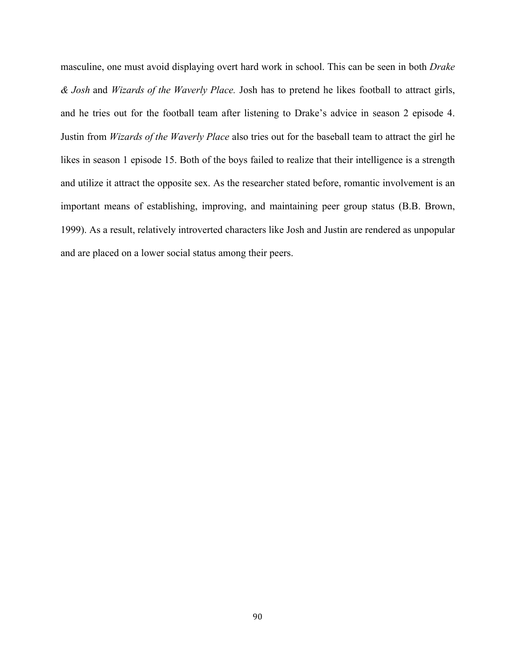masculine, one must avoid displaying overt hard work in school. This can be seen in both *Drake & Josh* and *Wizards of the Waverly Place.* Josh has to pretend he likes football to attract girls, and he tries out for the football team after listening to Drake's advice in season 2 episode 4. Justin from *Wizards of the Waverly Place* also tries out for the baseball team to attract the girl he likes in season 1 episode 15. Both of the boys failed to realize that their intelligence is a strength and utilize it attract the opposite sex. As the researcher stated before, romantic involvement is an important means of establishing, improving, and maintaining peer group status (B.B. Brown, 1999). As a result, relatively introverted characters like Josh and Justin are rendered as unpopular and are placed on a lower social status among their peers.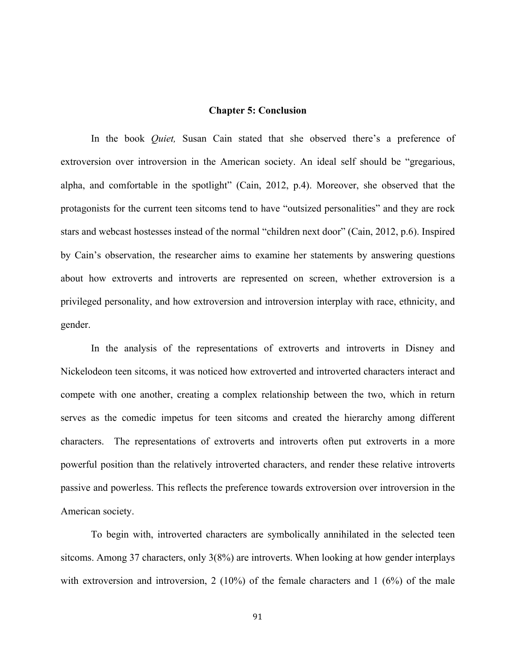## **Chapter 5: Conclusion**

In the book *Quiet,* Susan Cain stated that she observed there's a preference of extroversion over introversion in the American society. An ideal self should be "gregarious, alpha, and comfortable in the spotlight" (Cain, 2012, p.4). Moreover, she observed that the protagonists for the current teen sitcoms tend to have "outsized personalities" and they are rock stars and webcast hostesses instead of the normal "children next door" (Cain, 2012, p.6). Inspired by Cain's observation, the researcher aims to examine her statements by answering questions about how extroverts and introverts are represented on screen, whether extroversion is a privileged personality, and how extroversion and introversion interplay with race, ethnicity, and gender.

In the analysis of the representations of extroverts and introverts in Disney and Nickelodeon teen sitcoms, it was noticed how extroverted and introverted characters interact and compete with one another, creating a complex relationship between the two, which in return serves as the comedic impetus for teen sitcoms and created the hierarchy among different characters. The representations of extroverts and introverts often put extroverts in a more powerful position than the relatively introverted characters, and render these relative introverts passive and powerless. This reflects the preference towards extroversion over introversion in the American society.

To begin with, introverted characters are symbolically annihilated in the selected teen sitcoms. Among 37 characters, only 3(8%) are introverts. When looking at how gender interplays with extroversion and introversion, 2 (10%) of the female characters and 1 (6%) of the male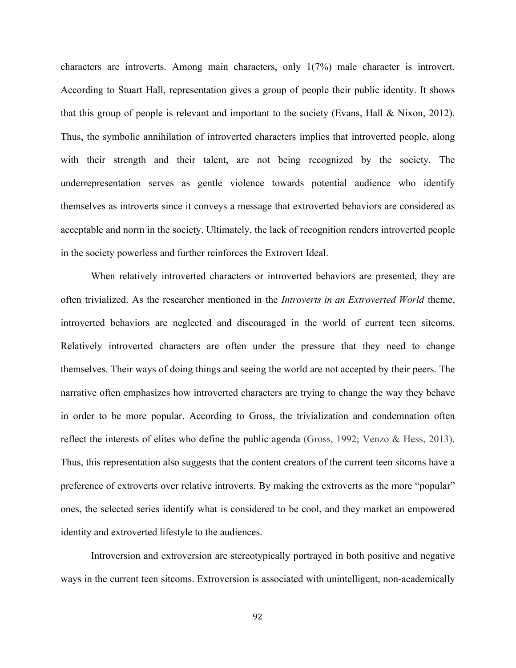characters are introverts. Among main characters, only 1(7%) male character is introvert. According to Stuart Hall, representation gives a group of people their public identity. It shows that this group of people is relevant and important to the society (Evans, Hall & Nixon, 2012). Thus, the symbolic annihilation of introverted characters implies that introverted people, along with their strength and their talent, are not being recognized by the society. The underrepresentation serves as gentle violence towards potential audience who identify themselves as introverts since it conveys a message that extroverted behaviors are considered as acceptable and norm in the society. Ultimately, the lack of recognition renders introverted people in the society powerless and further reinforces the Extrovert Ideal.

When relatively introverted characters or introverted behaviors are presented, they are often trivialized. As the researcher mentioned in the *Introverts in an Extroverted World* theme, introverted behaviors are neglected and discouraged in the world of current teen sitcoms. Relatively introverted characters are often under the pressure that they need to change themselves. Their ways of doing things and seeing the world are not accepted by their peers. The narrative often emphasizes how introverted characters are trying to change the way they behave in order to be more popular. According to Gross, the trivialization and condemnation often reflect the interests of elites who define the public agenda (Gross, 1992; Venzo & Hess, 2013). Thus, this representation also suggests that the content creators of the current teen sitcoms have a preference of extroverts over relative introverts. By making the extroverts as the more "popular" ones, the selected series identify what is considered to be cool, and they market an empowered identity and extroverted lifestyle to the audiences.

Introversion and extroversion are stereotypically portrayed in both positive and negative ways in the current teen sitcoms. Extroversion is associated with unintelligent, non-academically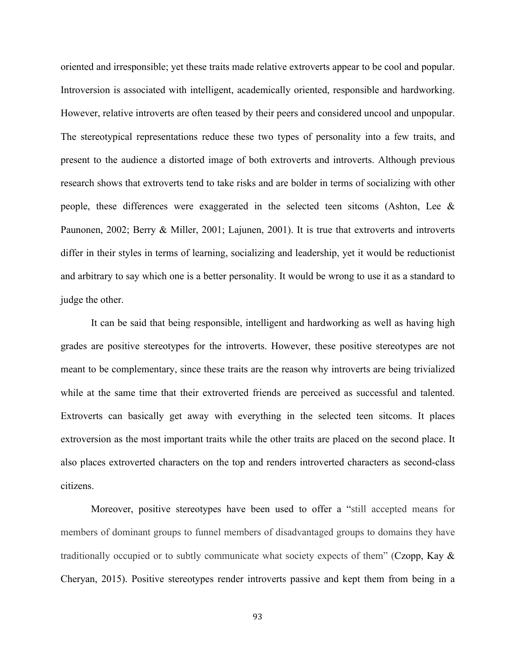oriented and irresponsible; yet these traits made relative extroverts appear to be cool and popular. Introversion is associated with intelligent, academically oriented, responsible and hardworking. However, relative introverts are often teased by their peers and considered uncool and unpopular. The stereotypical representations reduce these two types of personality into a few traits, and present to the audience a distorted image of both extroverts and introverts. Although previous research shows that extroverts tend to take risks and are bolder in terms of socializing with other people, these differences were exaggerated in the selected teen sitcoms (Ashton, Lee  $\&$ Paunonen, 2002; Berry & Miller, 2001; Lajunen, 2001). It is true that extroverts and introverts differ in their styles in terms of learning, socializing and leadership, yet it would be reductionist and arbitrary to say which one is a better personality. It would be wrong to use it as a standard to judge the other.

It can be said that being responsible, intelligent and hardworking as well as having high grades are positive stereotypes for the introverts. However, these positive stereotypes are not meant to be complementary, since these traits are the reason why introverts are being trivialized while at the same time that their extroverted friends are perceived as successful and talented. Extroverts can basically get away with everything in the selected teen sitcoms. It places extroversion as the most important traits while the other traits are placed on the second place. It also places extroverted characters on the top and renders introverted characters as second-class citizens.

Moreover, positive stereotypes have been used to offer a "still accepted means for members of dominant groups to funnel members of disadvantaged groups to domains they have traditionally occupied or to subtly communicate what society expects of them" (Czopp, Kay & Cheryan, 2015). Positive stereotypes render introverts passive and kept them from being in a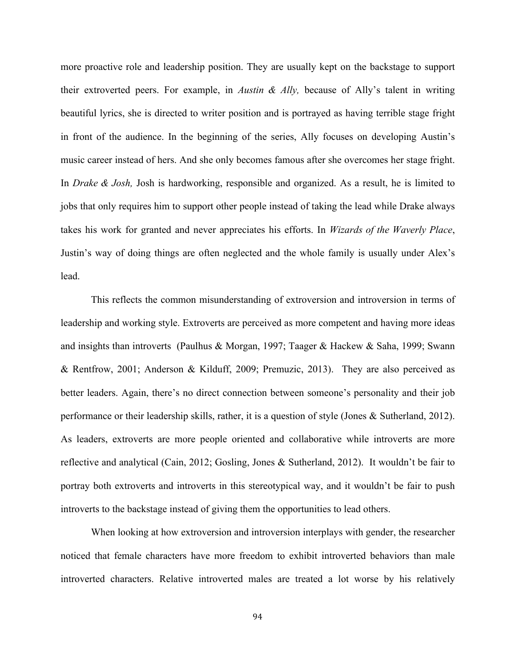more proactive role and leadership position. They are usually kept on the backstage to support their extroverted peers. For example, in *Austin & Ally,* because of Ally's talent in writing beautiful lyrics, she is directed to writer position and is portrayed as having terrible stage fright in front of the audience. In the beginning of the series, Ally focuses on developing Austin's music career instead of hers. And she only becomes famous after she overcomes her stage fright. In *Drake & Josh,* Josh is hardworking, responsible and organized. As a result, he is limited to jobs that only requires him to support other people instead of taking the lead while Drake always takes his work for granted and never appreciates his efforts. In *Wizards of the Waverly Place*, Justin's way of doing things are often neglected and the whole family is usually under Alex's lead.

This reflects the common misunderstanding of extroversion and introversion in terms of leadership and working style. Extroverts are perceived as more competent and having more ideas and insights than introverts (Paulhus & Morgan, 1997; Taager & Hackew & Saha, 1999; Swann & Rentfrow, 2001; Anderson & Kilduff, 2009; Premuzic, 2013). They are also perceived as better leaders. Again, there's no direct connection between someone's personality and their job performance or their leadership skills, rather, it is a question of style (Jones & Sutherland, 2012). As leaders, extroverts are more people oriented and collaborative while introverts are more reflective and analytical (Cain, 2012; Gosling, Jones & Sutherland, 2012). It wouldn't be fair to portray both extroverts and introverts in this stereotypical way, and it wouldn't be fair to push introverts to the backstage instead of giving them the opportunities to lead others.

When looking at how extroversion and introversion interplays with gender, the researcher noticed that female characters have more freedom to exhibit introverted behaviors than male introverted characters. Relative introverted males are treated a lot worse by his relatively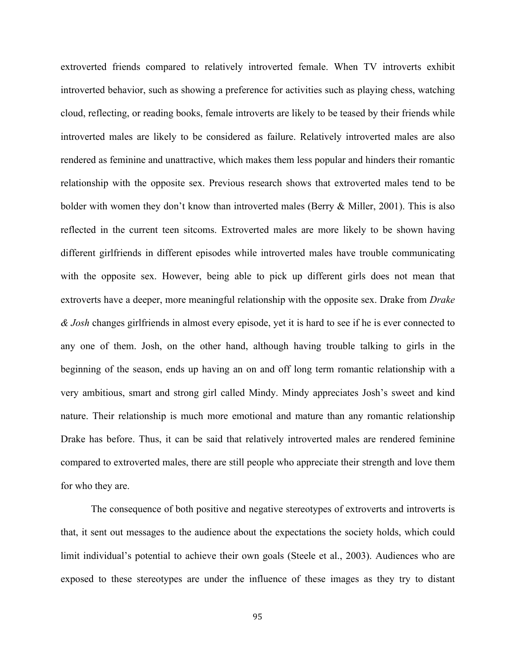extroverted friends compared to relatively introverted female. When TV introverts exhibit introverted behavior, such as showing a preference for activities such as playing chess, watching cloud, reflecting, or reading books, female introverts are likely to be teased by their friends while introverted males are likely to be considered as failure. Relatively introverted males are also rendered as feminine and unattractive, which makes them less popular and hinders their romantic relationship with the opposite sex. Previous research shows that extroverted males tend to be bolder with women they don't know than introverted males (Berry & Miller, 2001). This is also reflected in the current teen sitcoms. Extroverted males are more likely to be shown having different girlfriends in different episodes while introverted males have trouble communicating with the opposite sex. However, being able to pick up different girls does not mean that extroverts have a deeper, more meaningful relationship with the opposite sex. Drake from *Drake & Josh* changes girlfriends in almost every episode, yet it is hard to see if he is ever connected to any one of them. Josh, on the other hand, although having trouble talking to girls in the beginning of the season, ends up having an on and off long term romantic relationship with a very ambitious, smart and strong girl called Mindy. Mindy appreciates Josh's sweet and kind nature. Their relationship is much more emotional and mature than any romantic relationship Drake has before. Thus, it can be said that relatively introverted males are rendered feminine compared to extroverted males, there are still people who appreciate their strength and love them for who they are.

The consequence of both positive and negative stereotypes of extroverts and introverts is that, it sent out messages to the audience about the expectations the society holds, which could limit individual's potential to achieve their own goals (Steele et al., 2003). Audiences who are exposed to these stereotypes are under the influence of these images as they try to distant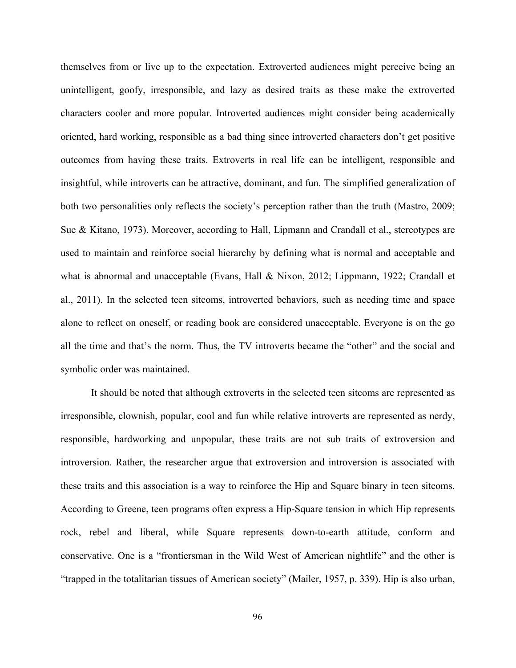themselves from or live up to the expectation. Extroverted audiences might perceive being an unintelligent, goofy, irresponsible, and lazy as desired traits as these make the extroverted characters cooler and more popular. Introverted audiences might consider being academically oriented, hard working, responsible as a bad thing since introverted characters don't get positive outcomes from having these traits. Extroverts in real life can be intelligent, responsible and insightful, while introverts can be attractive, dominant, and fun. The simplified generalization of both two personalities only reflects the society's perception rather than the truth (Mastro, 2009; Sue & Kitano, 1973). Moreover, according to Hall, Lipmann and Crandall et al., stereotypes are used to maintain and reinforce social hierarchy by defining what is normal and acceptable and what is abnormal and unacceptable (Evans, Hall & Nixon, 2012; Lippmann, 1922; Crandall et al., 2011). In the selected teen sitcoms, introverted behaviors, such as needing time and space alone to reflect on oneself, or reading book are considered unacceptable. Everyone is on the go all the time and that's the norm. Thus, the TV introverts became the "other" and the social and symbolic order was maintained.

It should be noted that although extroverts in the selected teen sitcoms are represented as irresponsible, clownish, popular, cool and fun while relative introverts are represented as nerdy, responsible, hardworking and unpopular, these traits are not sub traits of extroversion and introversion. Rather, the researcher argue that extroversion and introversion is associated with these traits and this association is a way to reinforce the Hip and Square binary in teen sitcoms. According to Greene, teen programs often express a Hip-Square tension in which Hip represents rock, rebel and liberal, while Square represents down-to-earth attitude, conform and conservative. One is a "frontiersman in the Wild West of American nightlife" and the other is "trapped in the totalitarian tissues of American society" (Mailer, 1957, p. 339). Hip is also urban,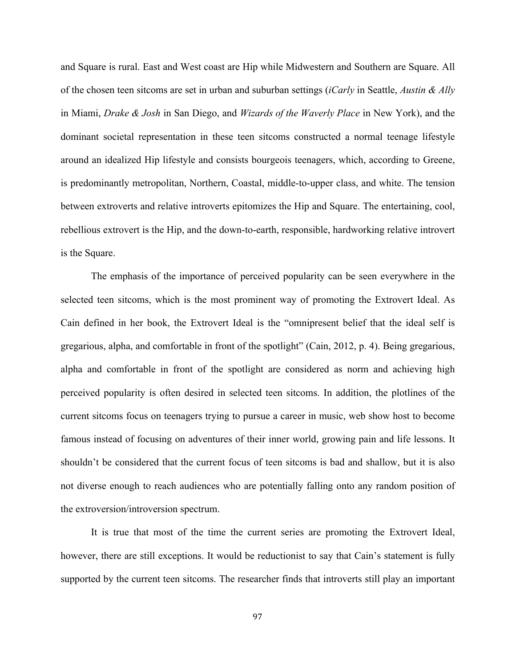and Square is rural. East and West coast are Hip while Midwestern and Southern are Square. All of the chosen teen sitcoms are set in urban and suburban settings (*iCarly* in Seattle, *Austin & Ally* in Miami, *Drake & Josh* in San Diego, and *Wizards of the Waverly Place* in New York), and the dominant societal representation in these teen sitcoms constructed a normal teenage lifestyle around an idealized Hip lifestyle and consists bourgeois teenagers, which, according to Greene, is predominantly metropolitan, Northern, Coastal, middle-to-upper class, and white. The tension between extroverts and relative introverts epitomizes the Hip and Square. The entertaining, cool, rebellious extrovert is the Hip, and the down-to-earth, responsible, hardworking relative introvert is the Square.

The emphasis of the importance of perceived popularity can be seen everywhere in the selected teen sitcoms, which is the most prominent way of promoting the Extrovert Ideal. As Cain defined in her book, the Extrovert Ideal is the "omnipresent belief that the ideal self is gregarious, alpha, and comfortable in front of the spotlight" (Cain, 2012, p. 4). Being gregarious, alpha and comfortable in front of the spotlight are considered as norm and achieving high perceived popularity is often desired in selected teen sitcoms. In addition, the plotlines of the current sitcoms focus on teenagers trying to pursue a career in music, web show host to become famous instead of focusing on adventures of their inner world, growing pain and life lessons. It shouldn't be considered that the current focus of teen sitcoms is bad and shallow, but it is also not diverse enough to reach audiences who are potentially falling onto any random position of the extroversion/introversion spectrum.

It is true that most of the time the current series are promoting the Extrovert Ideal, however, there are still exceptions. It would be reductionist to say that Cain's statement is fully supported by the current teen sitcoms. The researcher finds that introverts still play an important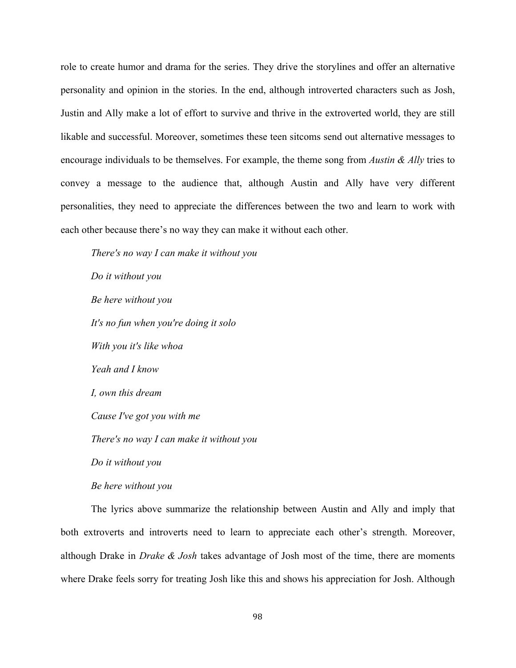role to create humor and drama for the series. They drive the storylines and offer an alternative personality and opinion in the stories. In the end, although introverted characters such as Josh, Justin and Ally make a lot of effort to survive and thrive in the extroverted world, they are still likable and successful. Moreover, sometimes these teen sitcoms send out alternative messages to encourage individuals to be themselves. For example, the theme song from *Austin & Ally* tries to convey a message to the audience that, although Austin and Ally have very different personalities, they need to appreciate the differences between the two and learn to work with each other because there's no way they can make it without each other.

*There's no way I can make it without you Do it without you Be here without you It's no fun when you're doing it solo With you it's like whoa Yeah and I know I, own this dream Cause I've got you with me There's no way I can make it without you Do it without you Be here without you*

The lyrics above summarize the relationship between Austin and Ally and imply that both extroverts and introverts need to learn to appreciate each other's strength. Moreover, although Drake in *Drake & Josh* takes advantage of Josh most of the time, there are moments where Drake feels sorry for treating Josh like this and shows his appreciation for Josh. Although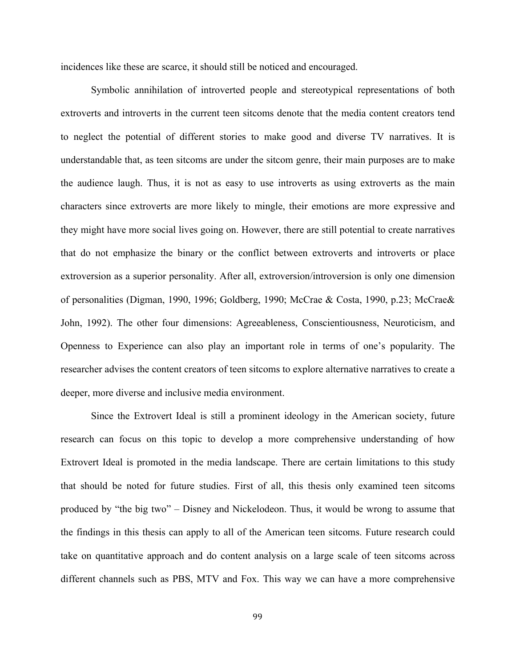incidences like these are scarce, it should still be noticed and encouraged.

Symbolic annihilation of introverted people and stereotypical representations of both extroverts and introverts in the current teen sitcoms denote that the media content creators tend to neglect the potential of different stories to make good and diverse TV narratives. It is understandable that, as teen sitcoms are under the sitcom genre, their main purposes are to make the audience laugh. Thus, it is not as easy to use introverts as using extroverts as the main characters since extroverts are more likely to mingle, their emotions are more expressive and they might have more social lives going on. However, there are still potential to create narratives that do not emphasize the binary or the conflict between extroverts and introverts or place extroversion as a superior personality. After all, extroversion/introversion is only one dimension of personalities (Digman, 1990, 1996; Goldberg, 1990; McCrae & Costa, 1990, p.23; McCrae& John, 1992). The other four dimensions: Agreeableness, Conscientiousness, Neuroticism, and Openness to Experience can also play an important role in terms of one's popularity. The researcher advises the content creators of teen sitcoms to explore alternative narratives to create a deeper, more diverse and inclusive media environment.

Since the Extrovert Ideal is still a prominent ideology in the American society, future research can focus on this topic to develop a more comprehensive understanding of how Extrovert Ideal is promoted in the media landscape. There are certain limitations to this study that should be noted for future studies. First of all, this thesis only examined teen sitcoms produced by "the big two" – Disney and Nickelodeon. Thus, it would be wrong to assume that the findings in this thesis can apply to all of the American teen sitcoms. Future research could take on quantitative approach and do content analysis on a large scale of teen sitcoms across different channels such as PBS, MTV and Fox. This way we can have a more comprehensive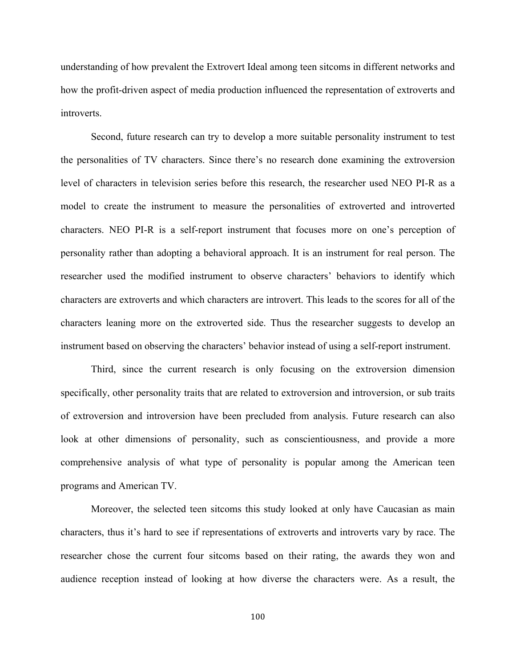understanding of how prevalent the Extrovert Ideal among teen sitcoms in different networks and how the profit-driven aspect of media production influenced the representation of extroverts and introverts.

Second, future research can try to develop a more suitable personality instrument to test the personalities of TV characters. Since there's no research done examining the extroversion level of characters in television series before this research, the researcher used NEO PI-R as a model to create the instrument to measure the personalities of extroverted and introverted characters. NEO PI-R is a self-report instrument that focuses more on one's perception of personality rather than adopting a behavioral approach. It is an instrument for real person. The researcher used the modified instrument to observe characters' behaviors to identify which characters are extroverts and which characters are introvert. This leads to the scores for all of the characters leaning more on the extroverted side. Thus the researcher suggests to develop an instrument based on observing the characters' behavior instead of using a self-report instrument.

Third, since the current research is only focusing on the extroversion dimension specifically, other personality traits that are related to extroversion and introversion, or sub traits of extroversion and introversion have been precluded from analysis. Future research can also look at other dimensions of personality, such as conscientiousness, and provide a more comprehensive analysis of what type of personality is popular among the American teen programs and American TV.

Moreover, the selected teen sitcoms this study looked at only have Caucasian as main characters, thus it's hard to see if representations of extroverts and introverts vary by race. The researcher chose the current four sitcoms based on their rating, the awards they won and audience reception instead of looking at how diverse the characters were. As a result, the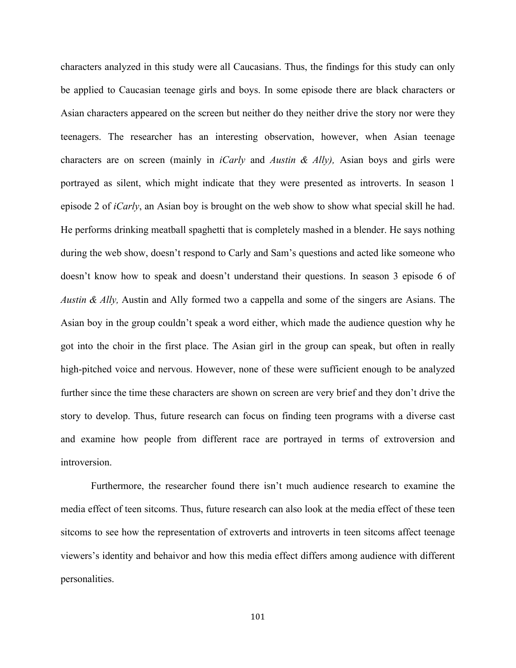characters analyzed in this study were all Caucasians. Thus, the findings for this study can only be applied to Caucasian teenage girls and boys. In some episode there are black characters or Asian characters appeared on the screen but neither do they neither drive the story nor were they teenagers. The researcher has an interesting observation, however, when Asian teenage characters are on screen (mainly in *iCarly* and *Austin & Ally),* Asian boys and girls were portrayed as silent, which might indicate that they were presented as introverts. In season 1 episode 2 of *iCarly*, an Asian boy is brought on the web show to show what special skill he had. He performs drinking meatball spaghetti that is completely mashed in a blender. He says nothing during the web show, doesn't respond to Carly and Sam's questions and acted like someone who doesn't know how to speak and doesn't understand their questions. In season 3 episode 6 of *Austin & Ally,* Austin and Ally formed two a cappella and some of the singers are Asians. The Asian boy in the group couldn't speak a word either, which made the audience question why he got into the choir in the first place. The Asian girl in the group can speak, but often in really high-pitched voice and nervous. However, none of these were sufficient enough to be analyzed further since the time these characters are shown on screen are very brief and they don't drive the story to develop. Thus, future research can focus on finding teen programs with a diverse cast and examine how people from different race are portrayed in terms of extroversion and introversion.

Furthermore, the researcher found there isn't much audience research to examine the media effect of teen sitcoms. Thus, future research can also look at the media effect of these teen sitcoms to see how the representation of extroverts and introverts in teen sitcoms affect teenage viewers's identity and behaivor and how this media effect differs among audience with different personalities.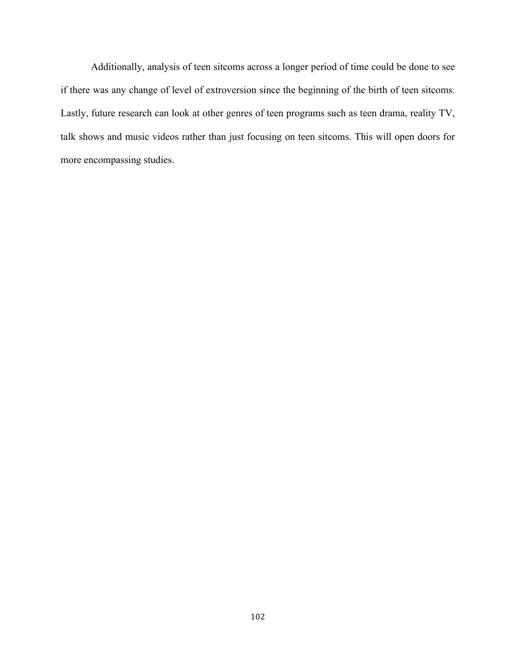Additionally, analysis of teen sitcoms across a longer period of time could be done to see if there was any change of level of extroversion since the beginning of the birth of teen sitcoms. Lastly, future research can look at other genres of teen programs such as teen drama, reality TV, talk shows and music videos rather than just focusing on teen sitcoms. This will open doors for more encompassing studies.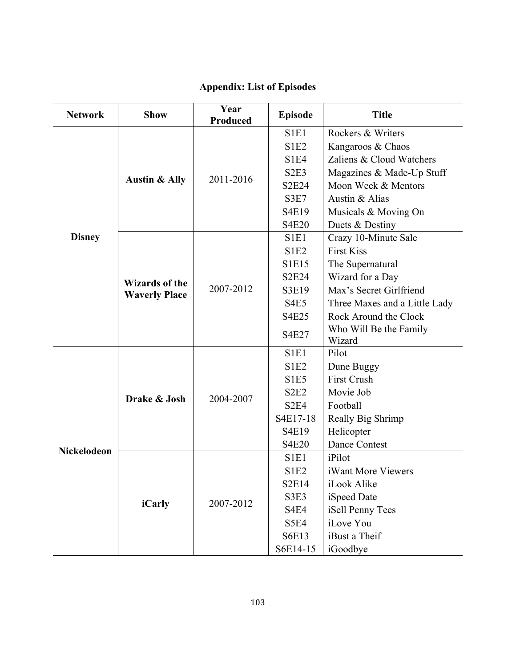#### **Network Show Year Produced Episode Title Disney Austin & Ally** 2011-2016 S1E1 Rockers & Writers S1E2 | Kangaroos & Chaos S1E4 | Zaliens & Cloud Watchers S2E3 | Magazines & Made-Up Stuff S2E24 | Moon Week & Mentors S3E7  $\vert$  Austin & Alias S4E19 | Musicals & Moving On S4E20 Duets & Destiny **Wizards of the**  Wizarus of the<br>Waverly Place 2007-2012 S1E1 | Crazy 10-Minute Sale  $S1E2$  First Kiss S1E15 | The Supernatural S2E24 | Wizard for a Day S3E19 | Max's Secret Girlfriend S4E5 Three Maxes and a Little Lady S4E25 Rock Around the Clock  $S4E27$  Who Will Be the Family Wizard **Nickelodeon Drake & Josh | 2004-2007** S<sub>1E1</sub> Pilot S<sub>1E2</sub> | Dune Buggy S1E5 | First Crush S2E2 Movie Job S2E4 Football  $S4E17-18$  Really Big Shrimp S<sub>4E19</sub> Helicopter S4E20 Dance Contest *iCarly* 2007-2012 S1E1 | iPilot S<sub>1E2</sub> | iWant More Viewers S2E14 iLook Alike S3E3 | iSpeed Date S4E4 iSell Penny Tees S5E4 iLove You S6E13 | iBust a Their

#### **Appendix: List of Episodes**

S6E14-15 | iGoodbye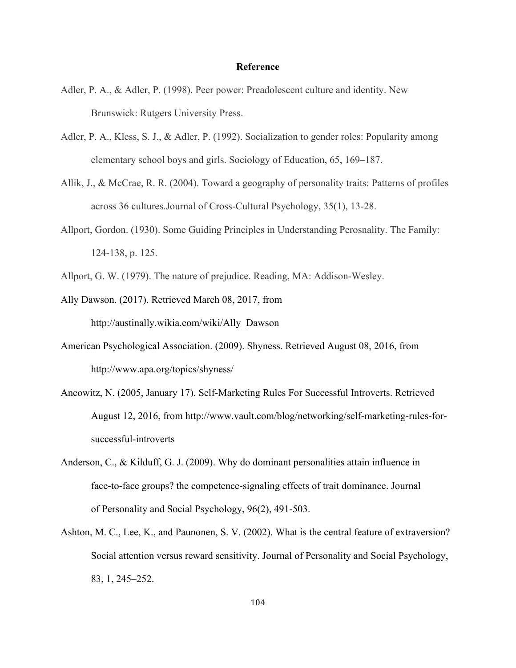#### **Reference**

- Adler, P. A., & Adler, P. (1998). Peer power: Preadolescent culture and identity. New Brunswick: Rutgers University Press.
- Adler, P. A., Kless, S. J., & Adler, P. (1992). Socialization to gender roles: Popularity among elementary school boys and girls. Sociology of Education, 65, 169–187.
- Allik, J., & McCrae, R. R. (2004). Toward a geography of personality traits: Patterns of profiles across 36 cultures.Journal of Cross-Cultural Psychology, 35(1), 13-28.
- Allport, Gordon. (1930). Some Guiding Principles in Understanding Perosnality. The Family: 124-138, p. 125.
- Allport, G. W. (1979). The nature of prejudice. Reading, MA: Addison-Wesley.
- Ally Dawson. (2017). Retrieved March 08, 2017, from http://austinally.wikia.com/wiki/Ally\_Dawson
- American Psychological Association. (2009). Shyness. Retrieved August 08, 2016, from http://www.apa.org/topics/shyness/
- Ancowitz, N. (2005, January 17). Self-Marketing Rules For Successful Introverts. Retrieved August 12, 2016, from http://www.vault.com/blog/networking/self-marketing-rules-forsuccessful-introverts
- Anderson, C., & Kilduff, G. J. (2009). Why do dominant personalities attain influence in face-to-face groups? the competence-signaling effects of trait dominance. Journal of Personality and Social Psychology, 96(2), 491-503.
- Ashton, M. C., Lee, K., and Paunonen, S. V. (2002). What is the central feature of extraversion? Social attention versus reward sensitivity. Journal of Personality and Social Psychology, 83, 1, 245–252.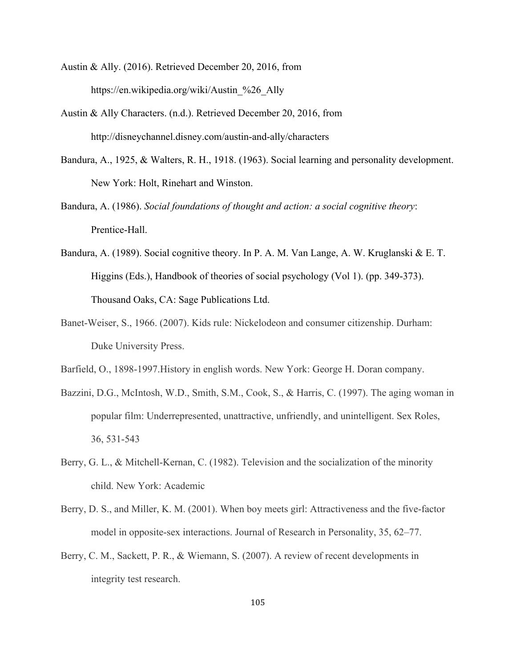- Austin & Ally. (2016). Retrieved December 20, 2016, from https://en.wikipedia.org/wiki/Austin\_%26\_Ally
- Austin & Ally Characters. (n.d.). Retrieved December 20, 2016, from http://disneychannel.disney.com/austin-and-ally/characters
- Bandura, A., 1925, & Walters, R. H., 1918. (1963). Social learning and personality development. New York: Holt, Rinehart and Winston.
- Bandura, A. (1986). *Social foundations of thought and action: a social cognitive theory*: Prentice-Hall.
- Bandura, A. (1989). Social cognitive theory. In P. A. M. Van Lange, A. W. Kruglanski & E. T. Higgins (Eds.), Handbook of theories of social psychology (Vol 1). (pp. 349-373). Thousand Oaks, CA: Sage Publications Ltd.
- Banet-Weiser, S., 1966. (2007). Kids rule: Nickelodeon and consumer citizenship. Durham: Duke University Press.
- Barfield, O., 1898-1997.History in english words. New York: George H. Doran company.
- Bazzini, D.G., McIntosh, W.D., Smith, S.M., Cook, S., & Harris, C. (1997). The aging woman in popular film: Underrepresented, unattractive, unfriendly, and unintelligent. Sex Roles, 36, 531-543
- Berry, G. L., & Mitchell-Kernan, C. (1982). Television and the socialization of the minority child. New York: Academic
- Berry, D. S., and Miller, K. M. (2001). When boy meets girl: Attractiveness and the five-factor model in opposite-sex interactions. Journal of Research in Personality, 35, 62–77.
- Berry, C. M., Sackett, P. R., & Wiemann, S. (2007). A review of recent developments in integrity test research.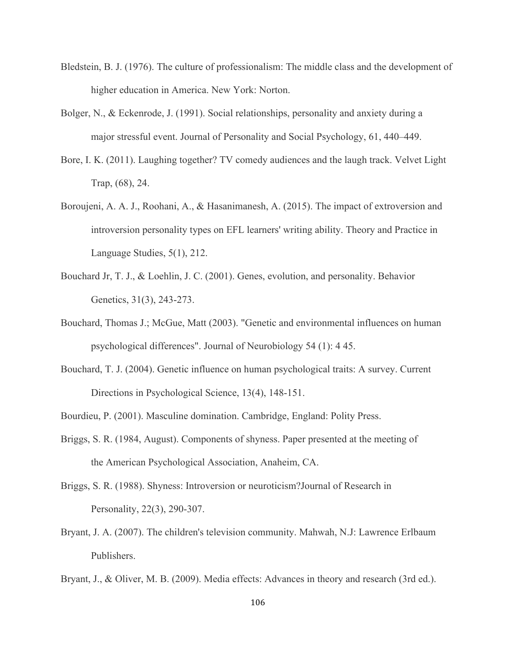- Bledstein, B. J. (1976). The culture of professionalism: The middle class and the development of higher education in America. New York: Norton.
- Bolger, N., & Eckenrode, J. (1991). Social relationships, personality and anxiety during a major stressful event. Journal of Personality and Social Psychology, 61, 440–449.
- Bore, I. K. (2011). Laughing together? TV comedy audiences and the laugh track. Velvet Light Trap, (68), 24.
- Boroujeni, A. A. J., Roohani, A., & Hasanimanesh, A. (2015). The impact of extroversion and introversion personality types on EFL learners' writing ability. Theory and Practice in Language Studies, 5(1), 212.
- Bouchard Jr, T. J., & Loehlin, J. C. (2001). Genes, evolution, and personality. Behavior Genetics, 31(3), 243-273.
- Bouchard, Thomas J.; McGue, Matt (2003). "Genetic and environmental influences on human psychological differences". Journal of Neurobiology 54 (1): 4 45.
- Bouchard, T. J. (2004). Genetic influence on human psychological traits: A survey. Current Directions in Psychological Science, 13(4), 148-151.
- Bourdieu, P. (2001). Masculine domination. Cambridge, England: Polity Press.
- Briggs, S. R. (1984, August). Components of shyness. Paper presented at the meeting of the American Psychological Association, Anaheim, CA.
- Briggs, S. R. (1988). Shyness: Introversion or neuroticism?Journal of Research in Personality, 22(3), 290-307.
- Bryant, J. A. (2007). The children's television community. Mahwah, N.J: Lawrence Erlbaum Publishers.
- Bryant, J., & Oliver, M. B. (2009). Media effects: Advances in theory and research (3rd ed.).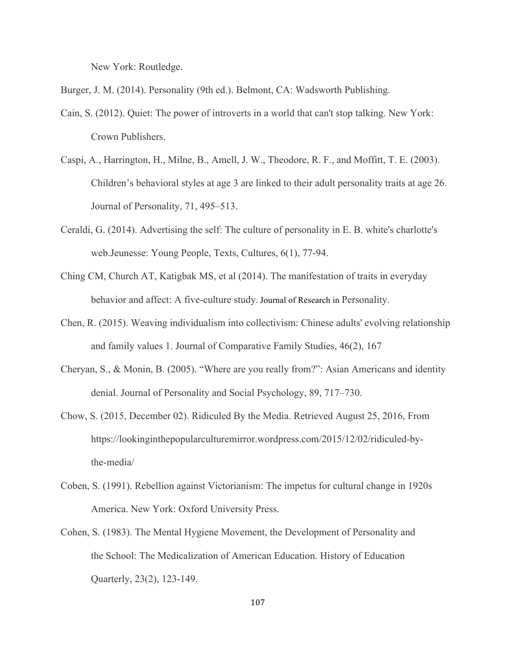New York: Routledge.

Burger, J. M. (2014). Personality (9th ed.). Belmont, CA: Wadsworth Publishing.

- Cain, S. (2012). Quiet: The power of introverts in a world that can't stop talking. New York: Crown Publishers.
- Caspi, A., Harrington, H., Milne, B., Amell, J. W., Theodore, R. F., and Moffitt, T. E. (2003). Children's behavioral styles at age 3 are linked to their adult personality traits at age 26. Journal of Personality, 71, 495–513.
- Ceraldi, G. (2014). Advertising the self: The culture of personality in E. B. white's charlotte's web.Jeunesse: Young People, Texts, Cultures, 6(1), 77-94.
- Ching CM, Church AT, Katigbak MS, et al (2014). The manifestation of traits in everyday behavior and affect: A five-culture study. Journal of Research in Personality.
- Chen, R. (2015). Weaving individualism into collectivism: Chinese adults' evolving relationship and family values 1. Journal of Comparative Family Studies, 46(2), 167
- Cheryan, S., & Monin, B. (2005). "Where are you really from?": Asian Americans and identity denial. Journal of Personality and Social Psychology, 89, 717–730.
- Chow, S. (2015, December 02). Ridiculed By the Media. Retrieved August 25, 2016, From https://lookinginthepopularculturemirror.wordpress.com/2015/12/02/ridiculed-bythe-media/
- Coben, S. (1991). Rebellion against Victorianism: The impetus for cultural change in 1920s America. New York: Oxford University Press.
- Cohen, S. (1983). The Mental Hygiene Movement, the Development of Personality and the School: The Medicalization of American Education. History of Education Quarterly, 23(2), 123-149.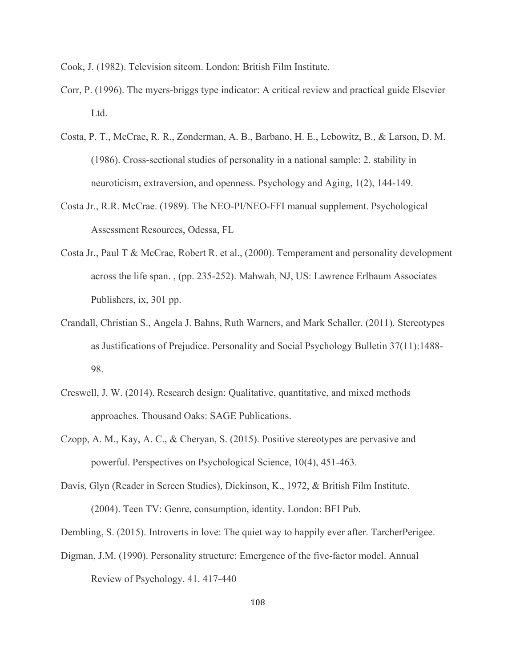Cook, J. (1982). Television sitcom. London: British Film Institute.

- Corr, P. (1996). The myers-briggs type indicator: A critical review and practical guide Elsevier Ltd.
- Costa, P. T., McCrae, R. R., Zonderman, A. B., Barbano, H. E., Lebowitz, B., & Larson, D. M. (1986). Cross-sectional studies of personality in a national sample: 2. stability in neuroticism, extraversion, and openness. Psychology and Aging, 1(2), 144-149.
- Costa Jr., R.R. McCrae. (1989). The NEO-PI/NEO-FFI manual supplement. Psychological Assessment Resources, Odessa, FL
- Costa Jr., Paul T & McCrae, Robert R. et al., (2000). Temperament and personality development across the life span. , (pp. 235-252). Mahwah, NJ, US: Lawrence Erlbaum Associates Publishers, ix, 301 pp.
- Crandall, Christian S., Angela J. Bahns, Ruth Warners, and Mark Schaller. (2011). Stereotypes as Justifications of Prejudice. Personality and Social Psychology Bulletin 37(11):1488- 98.
- Creswell, J. W. (2014). Research design: Qualitative, quantitative, and mixed methods approaches. Thousand Oaks: SAGE Publications.
- Czopp, A. M., Kay, A. C., & Cheryan, S. (2015). Positive stereotypes are pervasive and powerful. Perspectives on Psychological Science, 10(4), 451-463.
- Davis, Glyn (Reader in Screen Studies), Dickinson, K., 1972, & British Film Institute. (2004). Teen TV: Genre, consumption, identity. London: BFI Pub.
- Dembling, S. (2015). Introverts in love: The quiet way to happily ever after. TarcherPerigee.
- Digman, J.M. (1990). Personality structure: Emergence of the five-factor model. Annual Review of Psychology. 41. 417-440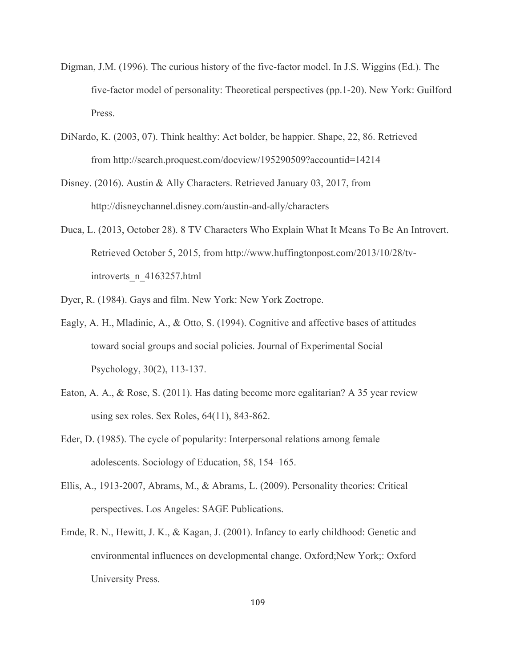- Digman, J.M. (1996). The curious history of the five-factor model. In J.S. Wiggins (Ed.). The five-factor model of personality: Theoretical perspectives (pp.1-20). New York: Guilford Press.
- DiNardo, K. (2003, 07). Think healthy: Act bolder, be happier. Shape, 22, 86. Retrieved from http://search.proquest.com/docview/195290509?accountid=14214
- Disney. (2016). Austin & Ally Characters. Retrieved January 03, 2017, from http://disneychannel.disney.com/austin-and-ally/characters
- Duca, L. (2013, October 28). 8 TV Characters Who Explain What It Means To Be An Introvert. Retrieved October 5, 2015, from http://www.huffingtonpost.com/2013/10/28/tvintroverts\_n\_4163257.html
- Dyer, R. (1984). Gays and film. New York: New York Zoetrope.
- Eagly, A. H., Mladinic, A., & Otto, S. (1994). Cognitive and affective bases of attitudes toward social groups and social policies. Journal of Experimental Social Psychology, 30(2), 113-137.
- Eaton, A. A., & Rose, S. (2011). Has dating become more egalitarian? A 35 year review using sex roles. Sex Roles, 64(11), 843-862.
- Eder, D. (1985). The cycle of popularity: Interpersonal relations among female adolescents. Sociology of Education, 58, 154–165.
- Ellis, A., 1913-2007, Abrams, M., & Abrams, L. (2009). Personality theories: Critical perspectives. Los Angeles: SAGE Publications.
- Emde, R. N., Hewitt, J. K., & Kagan, J. (2001). Infancy to early childhood: Genetic and environmental influences on developmental change. Oxford;New York;: Oxford University Press.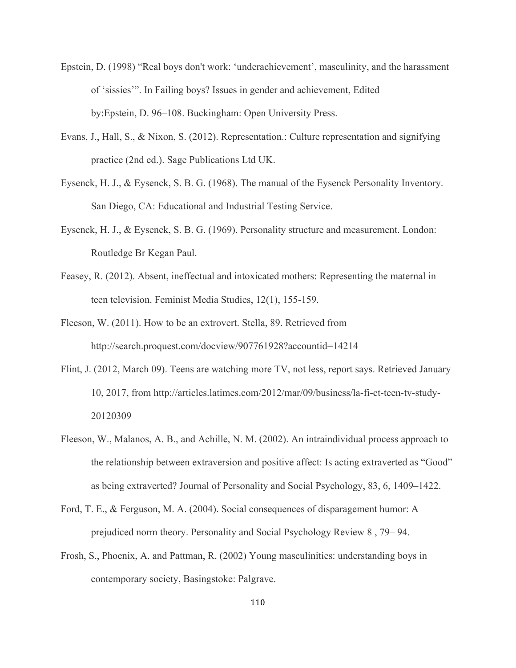- Epstein, D. (1998) "Real boys don't work: 'underachievement', masculinity, and the harassment of 'sissies'". In Failing boys? Issues in gender and achievement, Edited by:Epstein, D. 96–108. Buckingham: Open University Press.
- Evans, J., Hall, S., & Nixon, S. (2012). Representation.: Culture representation and signifying practice (2nd ed.). Sage Publications Ltd UK.
- Eysenck, H. J., & Eysenck, S. B. G. (1968). The manual of the Eysenck Personality Inventory. San Diego, CA: Educational and Industrial Testing Service.
- Eysenck, H. J., & Eysenck, S. B. G. (1969). Personality structure and measurement. London: Routledge Br Kegan Paul.
- Feasey, R. (2012). Absent, ineffectual and intoxicated mothers: Representing the maternal in teen television. Feminist Media Studies, 12(1), 155-159.
- Fleeson, W. (2011). How to be an extrovert. Stella, 89. Retrieved from http://search.proquest.com/docview/907761928?accountid=14214
- Flint, J. (2012, March 09). Teens are watching more TV, not less, report says. Retrieved January 10, 2017, from http://articles.latimes.com/2012/mar/09/business/la-fi-ct-teen-tv-study-20120309
- Fleeson, W., Malanos, A. B., and Achille, N. M. (2002). An intraindividual process approach to the relationship between extraversion and positive affect: Is acting extraverted as "Good" as being extraverted? Journal of Personality and Social Psychology, 83, 6, 1409–1422.
- Ford, T. E., & Ferguson, M. A. (2004). Social consequences of disparagement humor: A prejudiced norm theory. Personality and Social Psychology Review 8 , 79– 94.
- Frosh, S., Phoenix, A. and Pattman, R. (2002) Young masculinities: understanding boys in contemporary society, Basingstoke: Palgrave.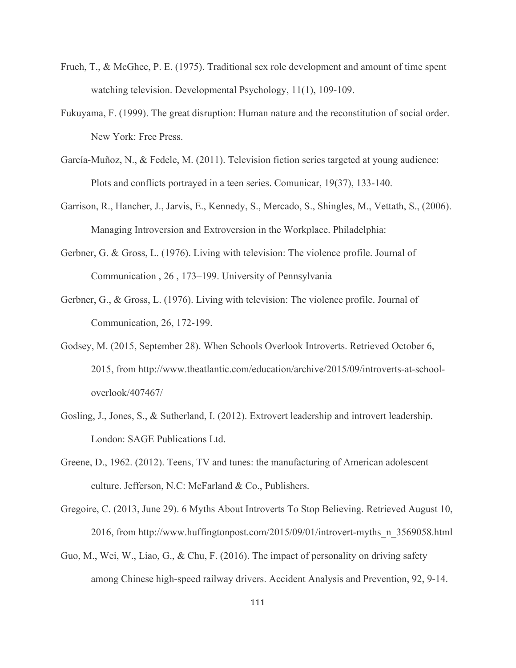- Frueh, T., & McGhee, P. E. (1975). Traditional sex role development and amount of time spent watching television. Developmental Psychology, 11(1), 109-109.
- Fukuyama, F. (1999). The great disruption: Human nature and the reconstitution of social order. New York: Free Press.
- García-Muñoz, N., & Fedele, M. (2011). Television fiction series targeted at young audience: Plots and conflicts portrayed in a teen series. Comunicar, 19(37), 133-140.
- Garrison, R., Hancher, J., Jarvis, E., Kennedy, S., Mercado, S., Shingles, M., Vettath, S., (2006). Managing Introversion and Extroversion in the Workplace. Philadelphia:
- Gerbner, G. & Gross, L. (1976). Living with television: The violence profile. Journal of Communication , 26 , 173–199. University of Pennsylvania
- Gerbner, G., & Gross, L. (1976). Living with television: The violence profile. Journal of Communication, 26, 172-199.
- Godsey, M. (2015, September 28). When Schools Overlook Introverts. Retrieved October 6, 2015, from http://www.theatlantic.com/education/archive/2015/09/introverts-at-schooloverlook/407467/
- Gosling, J., Jones, S., & Sutherland, I. (2012). Extrovert leadership and introvert leadership. London: SAGE Publications Ltd.
- Greene, D., 1962. (2012). Teens, TV and tunes: the manufacturing of American adolescent culture. Jefferson, N.C: McFarland & Co., Publishers.
- Gregoire, C. (2013, June 29). 6 Myths About Introverts To Stop Believing. Retrieved August 10, 2016, from http://www.huffingtonpost.com/2015/09/01/introvert-myths\_n\_3569058.html
- Guo, M., Wei, W., Liao, G., & Chu, F. (2016). The impact of personality on driving safety among Chinese high-speed railway drivers. Accident Analysis and Prevention, 92, 9-14.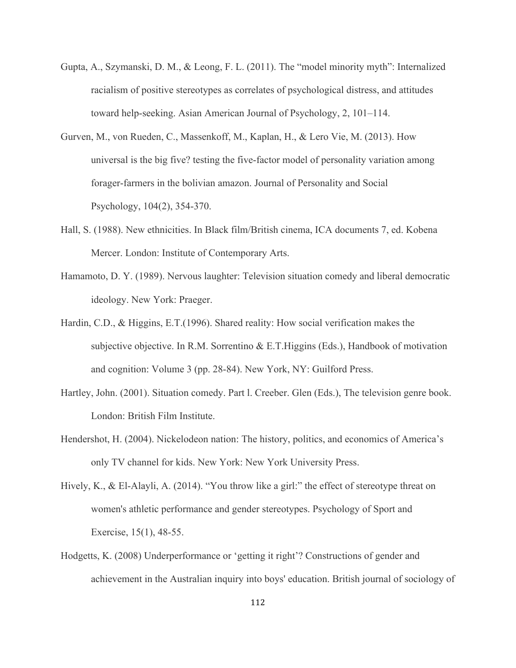- Gupta, A., Szymanski, D. M., & Leong, F. L. (2011). The "model minority myth": Internalized racialism of positive stereotypes as correlates of psychological distress, and attitudes toward help-seeking. Asian American Journal of Psychology, 2, 101–114.
- Gurven, M., von Rueden, C., Massenkoff, M., Kaplan, H., & Lero Vie, M. (2013). How universal is the big five? testing the five-factor model of personality variation among forager-farmers in the bolivian amazon. Journal of Personality and Social Psychology, 104(2), 354-370.
- Hall, S. (1988). New ethnicities. In Black film/British cinema, ICA documents 7, ed. Kobena Mercer. London: Institute of Contemporary Arts.
- Hamamoto, D. Y. (1989). Nervous laughter: Television situation comedy and liberal democratic ideology. New York: Praeger.
- Hardin, C.D., & Higgins, E.T.(1996). Shared reality: How social verification makes the subjective objective. In R.M. Sorrentino & E.T.Higgins (Eds.), Handbook of motivation and cognition: Volume 3 (pp. 28-84). New York, NY: Guilford Press.
- Hartley, John. (2001). Situation comedy. Part l. Creeber. Glen (Eds.), The television genre book. London: British Film Institute.
- Hendershot, H. (2004). Nickelodeon nation: The history, politics, and economics of America's only TV channel for kids. New York: New York University Press.
- Hively, K., & El-Alayli, A. (2014). "You throw like a girl:" the effect of stereotype threat on women's athletic performance and gender stereotypes. Psychology of Sport and Exercise, 15(1), 48-55.
- Hodgetts, K. (2008) Underperformance or 'getting it right'? Constructions of gender and achievement in the Australian inquiry into boys' education. British journal of sociology of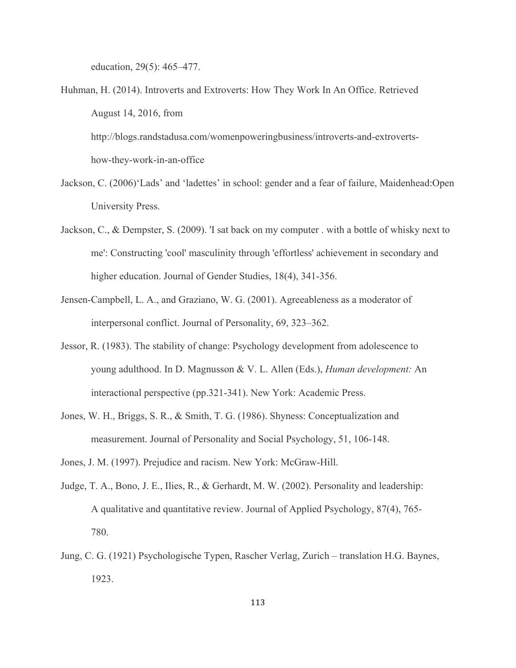education, 29(5): 465–477.

Huhman, H. (2014). Introverts and Extroverts: How They Work In An Office. Retrieved August 14, 2016, from

http://blogs.randstadusa.com/womenpoweringbusiness/introverts-and-extrovertshow-they-work-in-an-office

- Jackson, C. (2006)'Lads' and 'ladettes' in school: gender and a fear of failure, Maidenhead:Open University Press.
- Jackson, C., & Dempster, S. (2009). 'I sat back on my computer . with a bottle of whisky next to me': Constructing 'cool' masculinity through 'effortless' achievement in secondary and higher education. Journal of Gender Studies, 18(4), 341-356.
- Jensen-Campbell, L. A., and Graziano, W. G. (2001). Agreeableness as a moderator of interpersonal conflict. Journal of Personality, 69, 323–362.
- Jessor, R. (1983). The stability of change: Psychology development from adolescence to young adulthood. In D. Magnusson & V. L. Allen (Eds.), *Human development:* An interactional perspective (pp.321-341). New York: Academic Press.
- Jones, W. H., Briggs, S. R., & Smith, T. G. (1986). Shyness: Conceptualization and measurement. Journal of Personality and Social Psychology, 51, 106-148.
- Jones, J. M. (1997). Prejudice and racism. New York: McGraw-Hill.
- Judge, T. A., Bono, J. E., Ilies, R., & Gerhardt, M. W. (2002). Personality and leadership: A qualitative and quantitative review. Journal of Applied Psychology, 87(4), 765- 780.
- Jung, C. G. (1921) Psychologische Typen, Rascher Verlag, Zurich translation H.G. Baynes, 1923.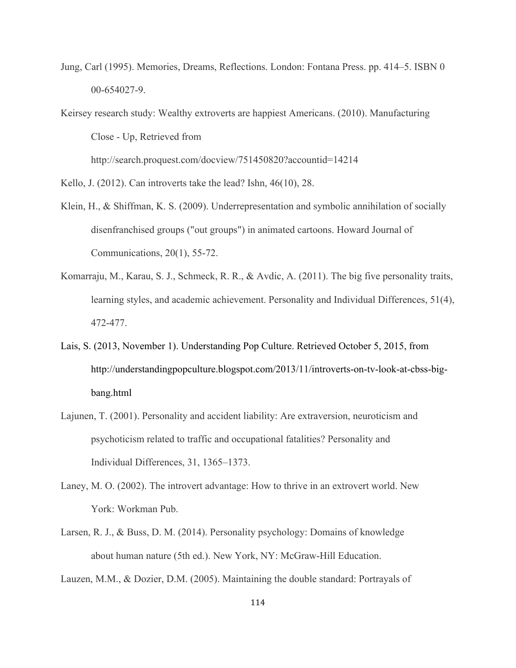- Jung, Carl (1995). Memories, Dreams, Reflections. London: Fontana Press. pp. 414–5. ISBN 0 00-654027-9.
- Keirsey research study: Wealthy extroverts are happiest Americans. (2010). Manufacturing Close - Up, Retrieved from

http://search.proquest.com/docview/751450820?accountid=14214

Kello, J. (2012). Can introverts take the lead? Ishn, 46(10), 28.

- Klein, H., & Shiffman, K. S. (2009). Underrepresentation and symbolic annihilation of socially disenfranchised groups ("out groups") in animated cartoons. Howard Journal of Communications, 20(1), 55-72.
- Komarraju, M., Karau, S. J., Schmeck, R. R., & Avdic, A. (2011). The big five personality traits, learning styles, and academic achievement. Personality and Individual Differences, 51(4), 472-477.
- Lais, S. (2013, November 1). Understanding Pop Culture. Retrieved October 5, 2015, from http://understandingpopculture.blogspot.com/2013/11/introverts-on-tv-look-at-cbss-bigbang.html
- Lajunen, T. (2001). Personality and accident liability: Are extraversion, neuroticism and psychoticism related to traffic and occupational fatalities? Personality and Individual Differences, 31, 1365–1373.
- Laney, M. O. (2002). The introvert advantage: How to thrive in an extrovert world. New York: Workman Pub.
- Larsen, R. J., & Buss, D. M. (2014). Personality psychology: Domains of knowledge about human nature (5th ed.). New York, NY: McGraw-Hill Education.

Lauzen, M.M., & Dozier, D.M. (2005). Maintaining the double standard: Portrayals of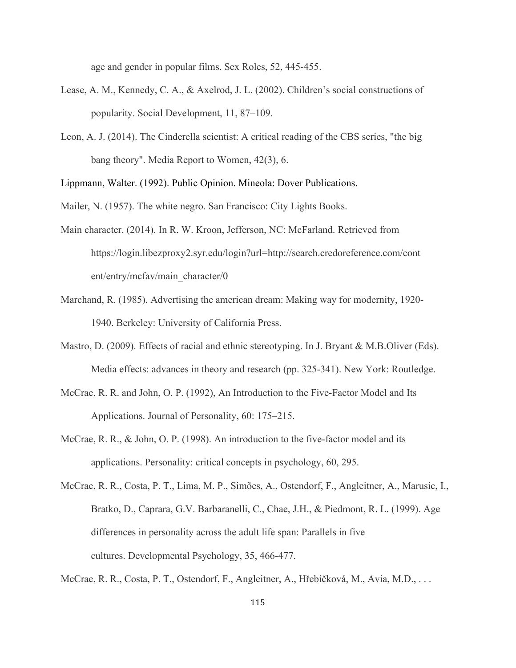age and gender in popular films. Sex Roles, 52, 445-455.

- Lease, A. M., Kennedy, C. A., & Axelrod, J. L. (2002). Children's social constructions of popularity. Social Development, 11, 87–109.
- Leon, A. J. (2014). The Cinderella scientist: A critical reading of the CBS series, "the big bang theory". Media Report to Women, 42(3), 6.

Lippmann, Walter. (1992). Public Opinion. Mineola: Dover Publications.

Mailer, N. (1957). The white negro. San Francisco: City Lights Books.

- Main character. (2014). In R. W. Kroon, Jefferson, NC: McFarland. Retrieved from https://login.libezproxy2.syr.edu/login?url=http://search.credoreference.com/cont ent/entry/mcfav/main\_character/0
- Marchand, R. (1985). Advertising the american dream: Making way for modernity, 1920- 1940. Berkeley: University of California Press.
- Mastro, D. (2009). Effects of racial and ethnic stereotyping. In J. Bryant & M.B.Oliver (Eds). Media effects: advances in theory and research (pp. 325-341). New York: Routledge.
- McCrae, R. R. and John, O. P. (1992), An Introduction to the Five-Factor Model and Its Applications. Journal of Personality, 60: 175–215.
- McCrae, R. R., & John, O. P. (1998). An introduction to the five-factor model and its applications. Personality: critical concepts in psychology, 60, 295.
- McCrae, R. R., Costa, P. T., Lima, M. P., Simões, A., Ostendorf, F., Angleitner, A., Marusic, I., Bratko, D., Caprara, G.V. Barbaranelli, C., Chae, J.H., & Piedmont, R. L. (1999). Age differences in personality across the adult life span: Parallels in five cultures. Developmental Psychology, 35, 466-477.

McCrae, R. R., Costa, P. T., Ostendorf, F., Angleitner, A., Hřebíčková, M., Avia, M.D., . . .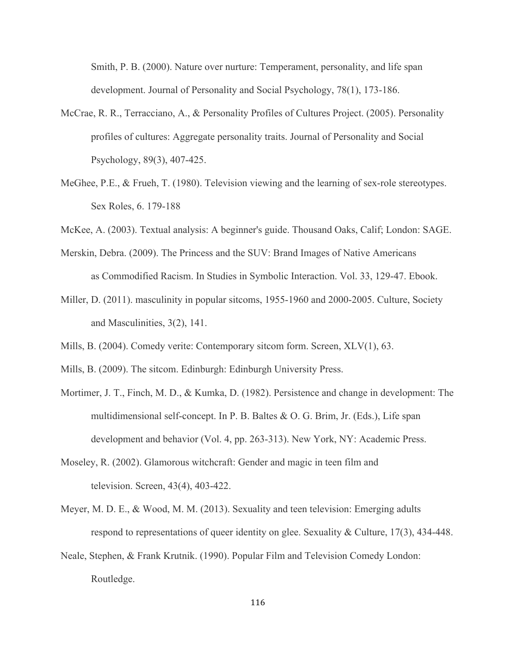Smith, P. B. (2000). Nature over nurture: Temperament, personality, and life span development. Journal of Personality and Social Psychology, 78(1), 173-186.

- McCrae, R. R., Terracciano, A., & Personality Profiles of Cultures Project. (2005). Personality profiles of cultures: Aggregate personality traits. Journal of Personality and Social Psychology, 89(3), 407-425.
- MeGhee, P.E., & Frueh, T. (1980). Television viewing and the learning of sex-role stereotypes. Sex Roles, 6. 179-188
- McKee, A. (2003). Textual analysis: A beginner's guide. Thousand Oaks, Calif; London: SAGE.
- Merskin, Debra. (2009). The Princess and the SUV: Brand Images of Native Americans as Commodified Racism. In Studies in Symbolic Interaction. Vol. 33, 129-47. Ebook.
- Miller, D. (2011). masculinity in popular sitcoms, 1955-1960 and 2000-2005. Culture, Society and Masculinities, 3(2), 141.
- Mills, B. (2004). Comedy verite: Contemporary sitcom form. Screen, XLV(1), 63.
- Mills, B. (2009). The sitcom. Edinburgh: Edinburgh University Press.
- Mortimer, J. T., Finch, M. D., & Kumka, D. (1982). Persistence and change in development: The multidimensional self-concept. In P. B. Baltes & O. G. Brim, Jr. (Eds.), Life span development and behavior (Vol. 4, pp. 263-313). New York, NY: Academic Press.
- Moseley, R. (2002). Glamorous witchcraft: Gender and magic in teen film and television. Screen, 43(4), 403-422.
- Meyer, M. D. E., & Wood, M. M. (2013). Sexuality and teen television: Emerging adults respond to representations of queer identity on glee. Sexuality & Culture, 17(3), 434-448.
- Neale, Stephen, & Frank Krutnik. (1990). Popular Film and Television Comedy London: Routledge.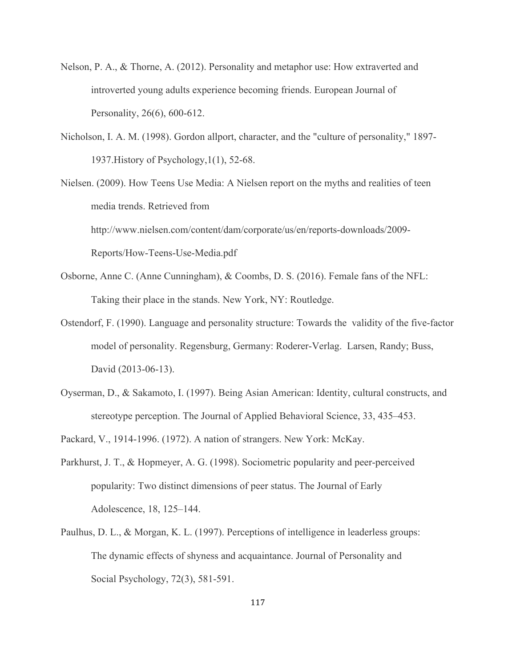- Nelson, P. A., & Thorne, A. (2012). Personality and metaphor use: How extraverted and introverted young adults experience becoming friends. European Journal of Personality, 26(6), 600-612.
- Nicholson, I. A. M. (1998). Gordon allport, character, and the "culture of personality," 1897- 1937.History of Psychology,1(1), 52-68.

Nielsen. (2009). How Teens Use Media: A Nielsen report on the myths and realities of teen media trends. Retrieved from http://www.nielsen.com/content/dam/corporate/us/en/reports-downloads/2009- Reports/How-Teens-Use-Media.pdf

- Osborne, Anne C. (Anne Cunningham), & Coombs, D. S. (2016). Female fans of the NFL: Taking their place in the stands. New York, NY: Routledge.
- Ostendorf, F. (1990). Language and personality structure: Towards the validity of the five-factor model of personality. Regensburg, Germany: Roderer-Verlag. Larsen, Randy; Buss, David (2013-06-13).
- Oyserman, D., & Sakamoto, I. (1997). Being Asian American: Identity, cultural constructs, and stereotype perception. The Journal of Applied Behavioral Science, 33, 435–453.
- Packard, V., 1914-1996. (1972). A nation of strangers. New York: McKay.
- Parkhurst, J. T., & Hopmeyer, A. G. (1998). Sociometric popularity and peer-perceived popularity: Two distinct dimensions of peer status. The Journal of Early Adolescence, 18, 125–144.
- Paulhus, D. L., & Morgan, K. L. (1997). Perceptions of intelligence in leaderless groups: The dynamic effects of shyness and acquaintance. Journal of Personality and Social Psychology, 72(3), 581-591.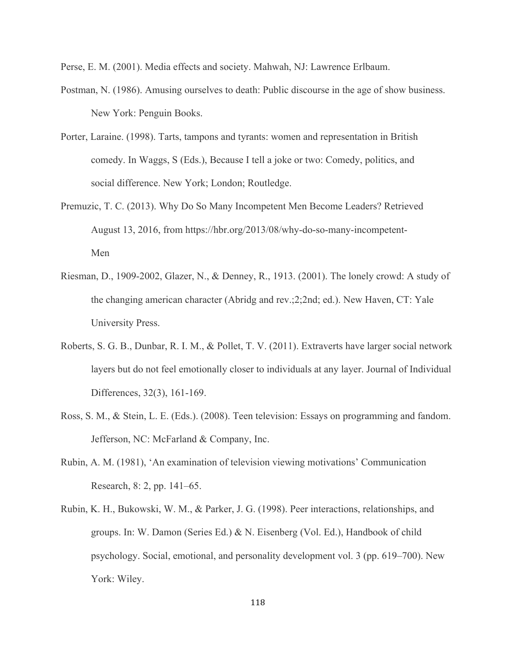Perse, E. M. (2001). Media effects and society. Mahwah, NJ: Lawrence Erlbaum.

- Postman, N. (1986). Amusing ourselves to death: Public discourse in the age of show business. New York: Penguin Books.
- Porter, Laraine. (1998). Tarts, tampons and tyrants: women and representation in British comedy. In Waggs, S (Eds.), Because I tell a joke or two: Comedy, politics, and social difference. New York; London; Routledge.
- Premuzic, T. C. (2013). Why Do So Many Incompetent Men Become Leaders? Retrieved August 13, 2016, from https://hbr.org/2013/08/why-do-so-many-incompetent-Men
- Riesman, D., 1909-2002, Glazer, N., & Denney, R., 1913. (2001). The lonely crowd: A study of the changing american character (Abridg and rev.;2;2nd; ed.). New Haven, CT: Yale University Press.
- Roberts, S. G. B., Dunbar, R. I. M., & Pollet, T. V. (2011). Extraverts have larger social network layers but do not feel emotionally closer to individuals at any layer. Journal of Individual Differences, 32(3), 161-169.
- Ross, S. M., & Stein, L. E. (Eds.). (2008). Teen television: Essays on programming and fandom. Jefferson, NC: McFarland & Company, Inc.
- Rubin, A. M. (1981), 'An examination of television viewing motivations' Communication Research, 8: 2, pp. 141–65.
- Rubin, K. H., Bukowski, W. M., & Parker, J. G. (1998). Peer interactions, relationships, and groups. In: W. Damon (Series Ed.) & N. Eisenberg (Vol. Ed.), Handbook of child psychology. Social, emotional, and personality development vol. 3 (pp. 619–700). New York: Wiley.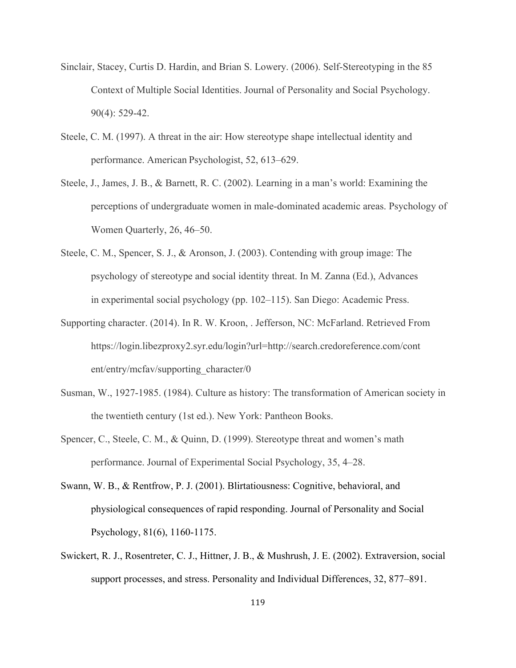- Sinclair, Stacey, Curtis D. Hardin, and Brian S. Lowery. (2006). Self-Stereotyping in the 85 Context of Multiple Social Identities. Journal of Personality and Social Psychology. 90(4): 529-42.
- Steele, C. M. (1997). A threat in the air: How stereotype shape intellectual identity and performance. American Psychologist, 52, 613–629.
- Steele, J., James, J. B., & Barnett, R. C. (2002). Learning in a man's world: Examining the perceptions of undergraduate women in male-dominated academic areas. Psychology of Women Quarterly, 26, 46–50.
- Steele, C. M., Spencer, S. J., & Aronson, J. (2003). Contending with group image: The psychology of stereotype and social identity threat. In M. Zanna (Ed.), Advances in experimental social psychology (pp. 102–115). San Diego: Academic Press.
- Supporting character. (2014). In R. W. Kroon, . Jefferson, NC: McFarland. Retrieved From https://login.libezproxy2.syr.edu/login?url=http://search.credoreference.com/cont ent/entry/mcfav/supporting\_character/0
- Susman, W., 1927-1985. (1984). Culture as history: The transformation of American society in the twentieth century (1st ed.). New York: Pantheon Books.
- Spencer, C., Steele, C. M., & Quinn, D. (1999). Stereotype threat and women's math performance. Journal of Experimental Social Psychology, 35, 4–28.
- Swann, W. B., & Rentfrow, P. J. (2001). Blirtatiousness: Cognitive, behavioral, and physiological consequences of rapid responding. Journal of Personality and Social Psychology, 81(6), 1160-1175.
- Swickert, R. J., Rosentreter, C. J., Hittner, J. B., & Mushrush, J. E. (2002). Extraversion, social support processes, and stress. Personality and Individual Differences, 32, 877–891.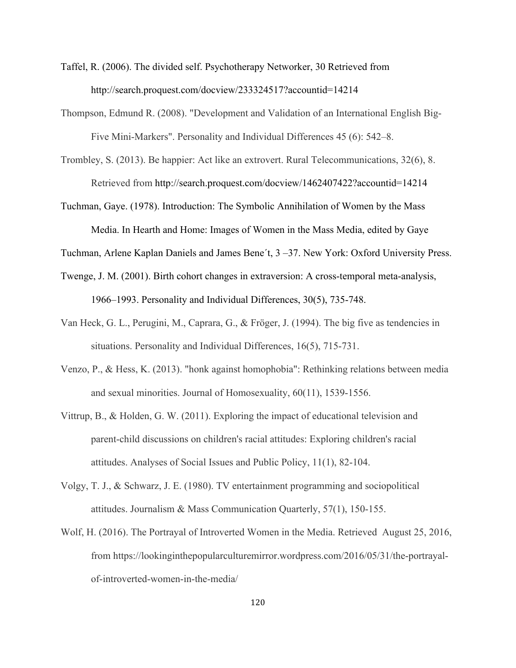- Taffel, R. (2006). The divided self. Psychotherapy Networker, 30 Retrieved from http://search.proquest.com/docview/233324517?accountid=14214
- Thompson, Edmund R. (2008). "Development and Validation of an International English Big-Five Mini-Markers". Personality and Individual Differences 45 (6): 542–8.
- Trombley, S. (2013). Be happier: Act like an extrovert. Rural Telecommunications, 32(6), 8. Retrieved from http://search.proquest.com/docview/1462407422?accountid=14214
- Tuchman, Gaye. (1978). Introduction: The Symbolic Annihilation of Women by the Mass Media. In Hearth and Home: Images of Women in the Mass Media, edited by Gaye
- Tuchman, Arlene Kaplan Daniels and James Bene´t, 3 –37. New York: Oxford University Press.
- Twenge, J. M. (2001). Birth cohort changes in extraversion: A cross-temporal meta-analysis, 1966–1993. Personality and Individual Differences, 30(5), 735-748.
- Van Heck, G. L., Perugini, M., Caprara, G., & Fröger, J. (1994). The big five as tendencies in situations. Personality and Individual Differences, 16(5), 715-731.
- Venzo, P., & Hess, K. (2013). "honk against homophobia": Rethinking relations between media and sexual minorities. Journal of Homosexuality, 60(11), 1539-1556.
- Vittrup, B., & Holden, G. W. (2011). Exploring the impact of educational television and parent-child discussions on children's racial attitudes: Exploring children's racial attitudes. Analyses of Social Issues and Public Policy, 11(1), 82-104.
- Volgy, T. J., & Schwarz, J. E. (1980). TV entertainment programming and sociopolitical attitudes. Journalism & Mass Communication Quarterly, 57(1), 150-155.
- Wolf, H. (2016). The Portrayal of Introverted Women in the Media. Retrieved August 25, 2016, from https://lookinginthepopularculturemirror.wordpress.com/2016/05/31/the-portrayalof-introverted-women-in-the-media/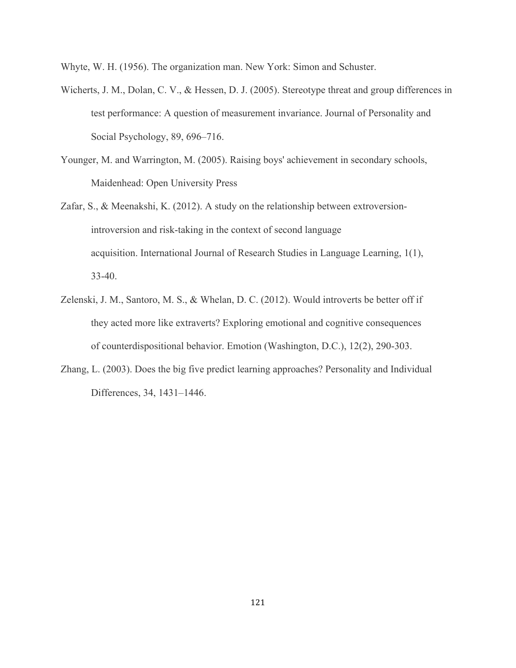Whyte, W. H. (1956). The organization man. New York: Simon and Schuster.

- Wicherts, J. M., Dolan, C. V., & Hessen, D. J. (2005). Stereotype threat and group differences in test performance: A question of measurement invariance. Journal of Personality and Social Psychology, 89, 696–716.
- Younger, M. and Warrington, M. (2005). Raising boys' achievement in secondary schools, Maidenhead: Open University Press
- Zafar, S., & Meenakshi, K. (2012). A study on the relationship between extroversionintroversion and risk-taking in the context of second language acquisition. International Journal of Research Studies in Language Learning, 1(1), 33-40.
- Zelenski, J. M., Santoro, M. S., & Whelan, D. C. (2012). Would introverts be better off if they acted more like extraverts? Exploring emotional and cognitive consequences of counterdispositional behavior. Emotion (Washington, D.C.), 12(2), 290-303.
- Zhang, L. (2003). Does the big five predict learning approaches? Personality and Individual Differences, 34, 1431–1446.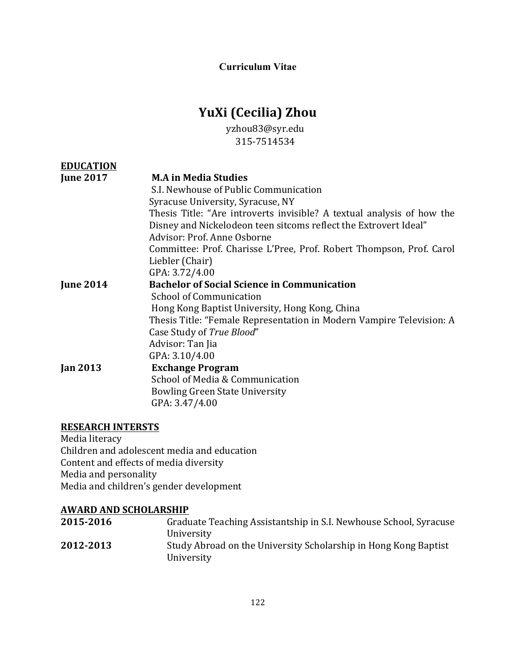**Curriculum Vitae**

# **YuXi (Cecilia) Zhou**

yzhou83@syr.edu 315-7514534

| <b>EDUCATION</b> |                                                                        |
|------------------|------------------------------------------------------------------------|
| <b>June 2017</b> | <b>M.A in Media Studies</b>                                            |
|                  | S.I. Newhouse of Public Communication                                  |
|                  | Syracuse University, Syracuse, NY                                      |
|                  | Thesis Title: "Are introverts invisible? A textual analysis of how the |
|                  | Disney and Nickelodeon teen sitcoms reflect the Extrovert Ideal"       |
|                  | Advisor: Prof. Anne Osborne                                            |
|                  | Committee: Prof. Charisse L'Pree, Prof. Robert Thompson, Prof. Carol   |
|                  | Liebler (Chair)                                                        |
|                  | GPA: 3.72/4.00                                                         |
| <b>June 2014</b> | <b>Bachelor of Social Science in Communication</b>                     |
|                  | School of Communication                                                |
|                  | Hong Kong Baptist University, Hong Kong, China                         |
|                  | Thesis Title: "Female Representation in Modern Vampire Television: A   |
|                  | Case Study of True Blood"                                              |
|                  | Advisor: Tan Jia                                                       |
|                  | GPA: 3.10/4.00                                                         |
| <b>Jan 2013</b>  | <b>Exchange Program</b>                                                |
|                  | School of Media & Communication                                        |
|                  | <b>Bowling Green State University</b>                                  |
|                  | GPA: 3.47/4.00                                                         |

# **RESEARCH INTERSTS**

Media literacy Children and adolescent media and education Content and effects of media diversity Media and personality Media and children's gender development

# **AWARD AND SCHOLARSHIP**

| 2015-2016 | Graduate Teaching Assistantship in S.I. Newhouse School, Syracuse |
|-----------|-------------------------------------------------------------------|
|           | University                                                        |
| 2012-2013 | Study Abroad on the University Scholarship in Hong Kong Baptist   |
|           | University                                                        |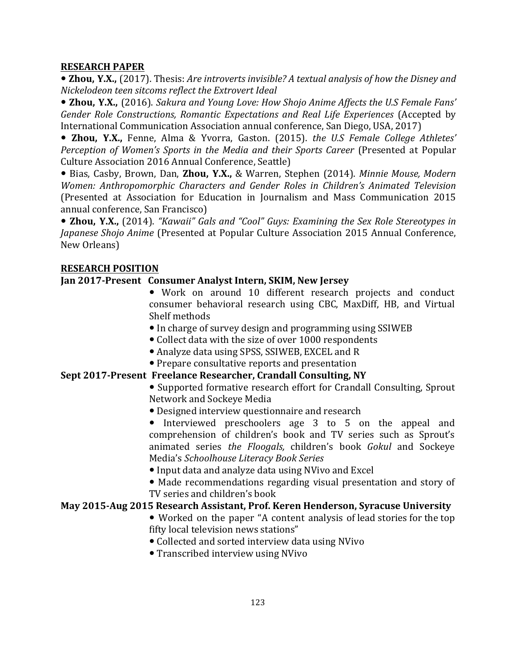#### **RESEARCH PAPER**

• Zhou, Y.X., (2017). Thesis: *Are introverts invisible? A textual analysis of how the Disney and Nickelodeon teen sitcoms reflect the Extrovert Ideal*

• Zhou, Y.X., (2016). *Sakura and Young Love: How Shojo Anime Affects the U.S Female Fans' Gender Role Constructions, Romantic Expectations and Real Life Experiences* (Accepted by International Communication Association annual conference, San Diego, USA, 2017)

**. Zhou, Y.X.,** Fenne, Alma & Yvorra, Gaston. (2015). the U.S Female College Athletes' *Perception of Women's Sports in the Media and their Sports Career* (Presented at Popular Culture Association 2016 Annual Conference, Seattle)

 $\bullet$  Bias, Casby, Brown, Dan, Zhou, Y.X., & Warren, Stephen (2014). *Minnie Mouse, Modern Women: Anthropomorphic Characters and Gender Roles in Children's Animated Television* (Presented at Association for Education in Journalism and Mass Communication 2015 annual conference, San Francisco)

• Zhou, Y.X., (2014). "Kawaii" Gals and "Cool" Guys: Examining the Sex Role Stereotypes in *Japanese Shojo Anime* (Presented at Popular Culture Association 2015 Annual Conference, New Orleans)

#### **RESEARCH POSITION**

#### **Jan 2017-Present Consumer Analyst Intern, SKIM, New Jersey**

- Work on around 10 different research projects and conduct consumer behavioral research using CBC, MaxDiff, HB, and Virtual Shelf methods
- In charge of survey design and programming using SSIWEB
- Collect data with the size of over 1000 respondents
- Analyze data using SPSS, SSIWEB, EXCEL and R
- Prepare consultative reports and presentation

#### **Sept 2017-Present Freelance Researcher, Crandall Consulting, NY**

• Supported formative research effort for Crandall Consulting, Sprout Network and Sockeye Media

• Designed interview questionnaire and research

• Interviewed preschoolers age 3 to 5 on the appeal and comprehension of children's book and TV series such as Sprout's animated series *the Floogals,*  children's book *Gokul*  and Sockeye Media's *Schoolhouse Literacy Book Series* 

• Input data and analyze data using NVivo and Excel

• Made recommendations regarding visual presentation and story of TV series and children's book

# **May 2015-Aug 2015 Research Assistant, Prof. Keren Henderson, Syracuse University**

- Worked on the paper "A content analysis of lead stories for the top fifty local television news stations"
- Collected and sorted interview data using NVivo
- Transcribed interview using NVivo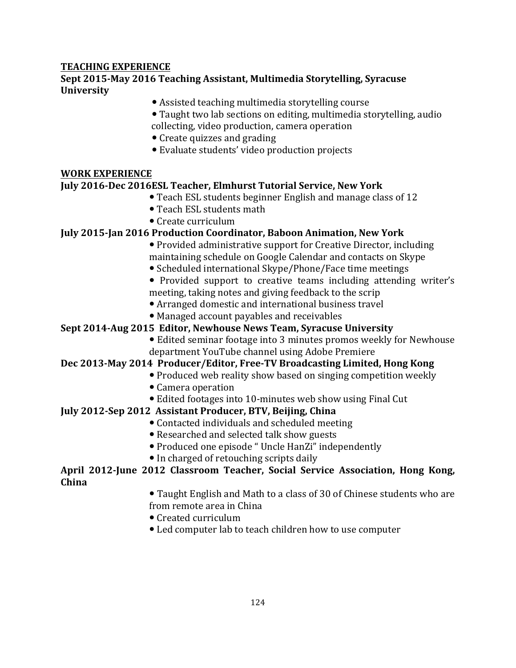# **TEACHING EXPERIENCE**

# **Sept 2015-May 2016 Teaching Assistant, Multimedia Storytelling, Syracuse University**

- Assisted teaching multimedia storytelling course
- Taught two lab sections on editing, multimedia storytelling, audio collecting, video production, camera operation
- Create quizzes and grading
- Evaluate students' video production projects

#### **WORK EXPERIENCE**

#### **July 2016-Dec 2016ESL Teacher, Elmhurst Tutorial Service, New York**

- Teach ESL students beginner English and manage class of 12
- Teach ESL students math
- Create curriculum

# **July 2015-Jan 2016 Production Coordinator, Baboon Animation, New York**

- Provided administrative support for Creative Director, including maintaining schedule on Google Calendar and contacts on Skype
- Scheduled international Skype/Phone/Face time meetings
- Provided support to creative teams including attending writer's meeting, taking notes and giving feedback to the scrip
- Arranged domestic and international business travel
- Managed account payables and receivables

# **Sept 2014-Aug 2015 Editor, Newhouse News Team, Syracuse University**

• Edited seminar footage into 3 minutes promos weekly for Newhouse department YouTube channel using Adobe Premiere

# Dec 2013-May 2014 Producer/Editor, Free-TV Broadcasting Limited, Hong Kong

- Produced web reality show based on singing competition weekly
- Camera operation
- Edited footages into 10-minutes web show using Final Cut

# **July 2012-Sep 2012 Assistant Producer, BTV, Beijing, China**

- Contacted individuals and scheduled meeting
- Researched and selected talk show guests
- Produced one episode " Uncle HanZi" independently
- In charged of retouching scripts daily

# April 2012-June 2012 Classroom Teacher, Social Service Association, Hong Kong, **China**

- Taught English and Math to a class of 30 of Chinese students who are from remote area in China
- Created curriculum
- Led computer lab to teach children how to use computer